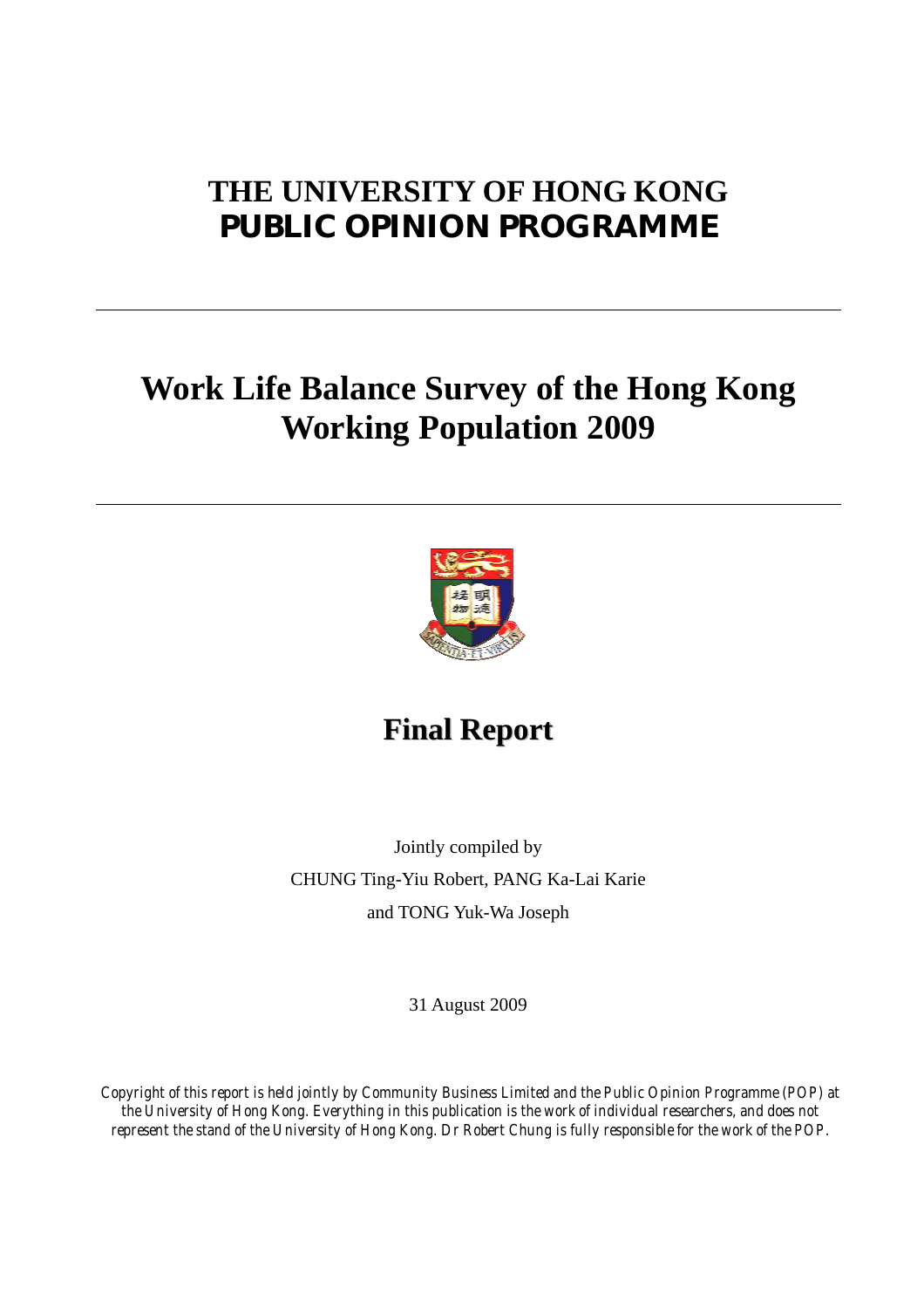### **THE UNIVERSITY OF HONG KONG PUBLIC OPINION PROGRAMME**

## **Work Life Balance Survey of the Hong Kong Working Population 2009**



**Final Report**

Jointly compiled by CHUNG Ting-Yiu Robert, PANG Ka-Lai Karie and TONG Yuk-Wa Joseph

31 August 2009

*Copyright of this report is held jointly by Community Business Limited and the Public Opinion Programme (POP) at the University of Hong Kong. Everything in this publication is the work of individual researchers, and does not represent the stand of the University of Hong Kong. Dr Robert Chung is fully responsible for the work of the POP.*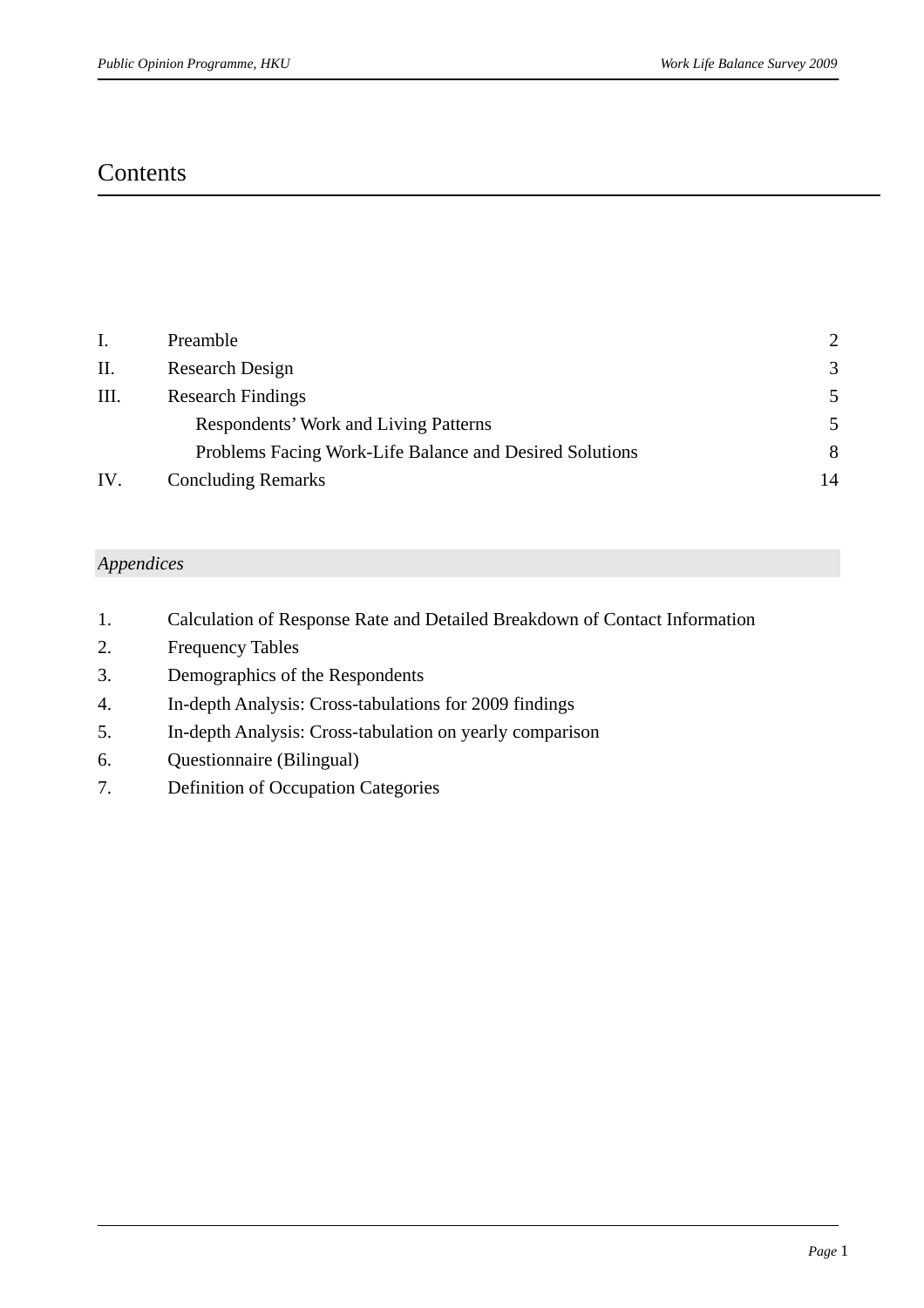### **Contents**

| Ι.  | Preamble                                                | $\mathcal{D}$ |
|-----|---------------------------------------------------------|---------------|
| П.  | Research Design                                         | 3             |
| Ш.  | <b>Research Findings</b>                                |               |
|     | Respondents' Work and Living Patterns                   |               |
|     | Problems Facing Work-Life Balance and Desired Solutions | 8             |
| IV. | <b>Concluding Remarks</b>                               | 14            |

#### *Appendices*

- 1. Calculation of Response Rate and Detailed Breakdown of Contact Information
- 2. Frequency Tables
- 3. Demographics of the Respondents
- 4. In-depth Analysis: Cross-tabulations for 2009 findings
- 5. In-depth Analysis: Cross-tabulation on yearly comparison
- 6. Questionnaire (Bilingual)
- 7. Definition of Occupation Categories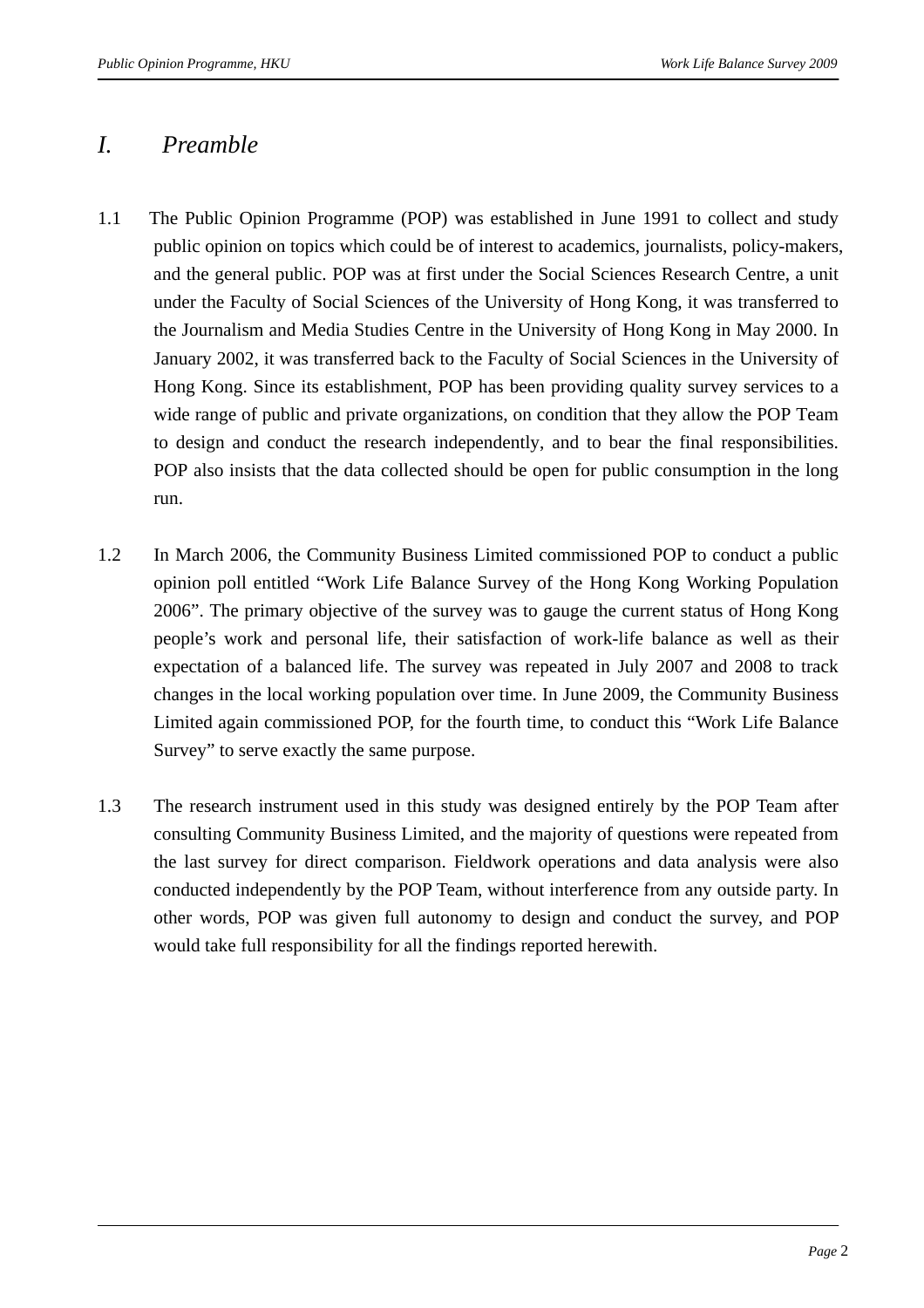### *I. Preamble*

- 1.1 The Public Opinion Programme (POP) was established in June 1991 to collect and study public opinion on topics which could be of interest to academics, journalists, policy-makers, and the general public. POP was at first under the Social Sciences Research Centre, a unit under the Faculty of Social Sciences of the University of Hong Kong, it was transferred to the Journalism and Media Studies Centre in the University of Hong Kong in May 2000. In January 2002, it was transferred back to the Faculty of Social Sciences in the University of Hong Kong. Since its establishment, POP has been providing quality survey services to a wide range of public and private organizations, on condition that they allow the POP Team to design and conduct the research independently, and to bear the final responsibilities. POP also insists that the data collected should be open for public consumption in the long run.
- 1.2 In March 2006, the Community Business Limited commissioned POP to conduct a public opinion poll entitled "Work Life Balance Survey of the Hong Kong Working Population 2006". The primary objective of the survey was to gauge the current status of Hong Kong people's work and personal life, their satisfaction of work-life balance as well as their expectation of a balanced life. The survey was repeated in July 2007 and 2008 to track changes in the local working population over time. In June 2009, the Community Business Limited again commissioned POP, for the fourth time, to conduct this "Work Life Balance Survey" to serve exactly the same purpose.
- 1.3 The research instrument used in this study was designed entirely by the POP Team after consulting Community Business Limited, and the majority of questions were repeated from the last survey for direct comparison. Fieldwork operations and data analysis were also conducted independently by the POP Team, without interference from any outside party. In other words, POP was given full autonomy to design and conduct the survey, and POP would take full responsibility for all the findings reported herewith.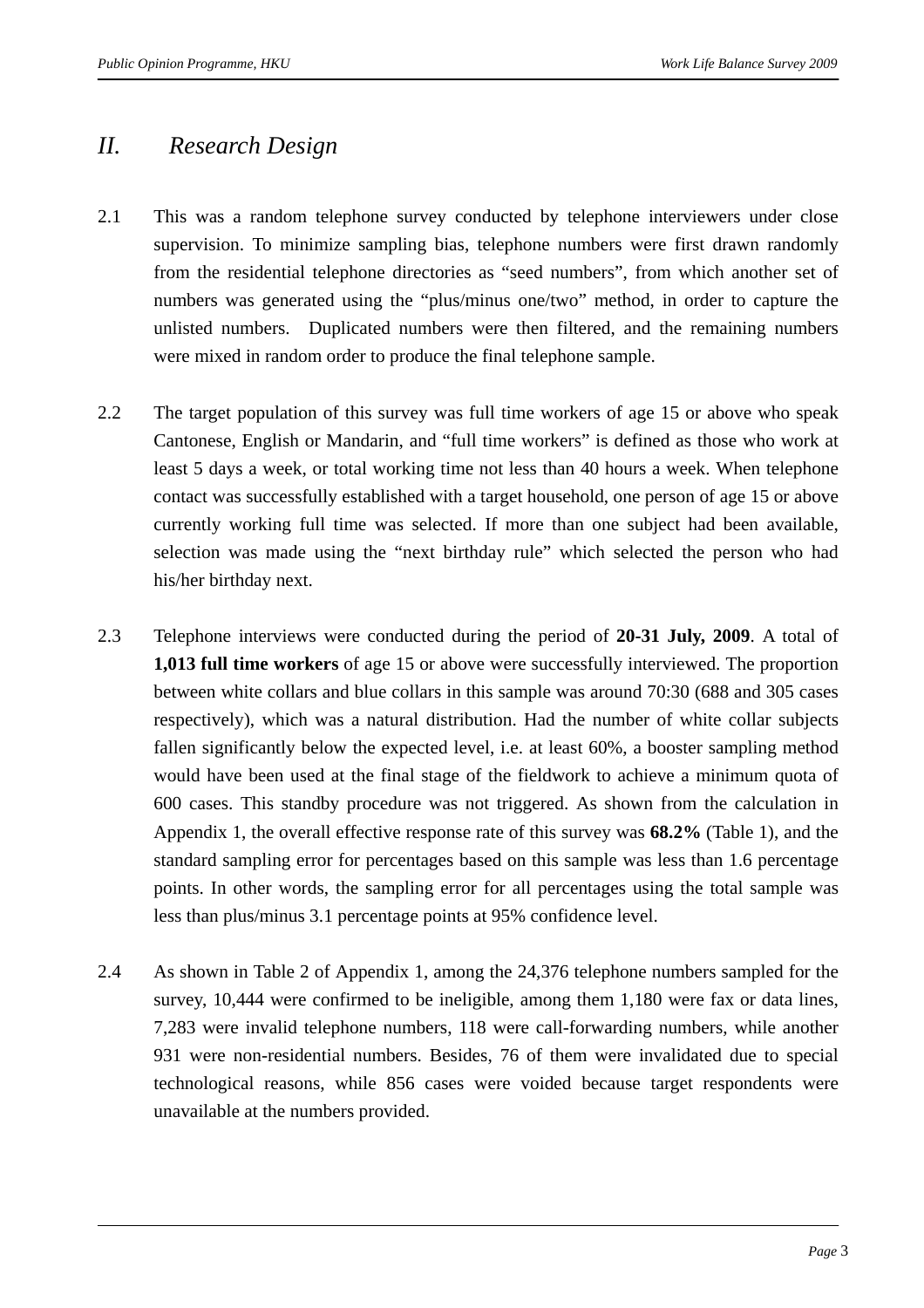### *II. Research Design*

- 2.1 This was a random telephone survey conducted by telephone interviewers under close supervision. To minimize sampling bias, telephone numbers were first drawn randomly from the residential telephone directories as "seed numbers", from which another set of numbers was generated using the "plus/minus one/two" method, in order to capture the unlisted numbers. Duplicated numbers were then filtered, and the remaining numbers were mixed in random order to produce the final telephone sample.
- 2.2 The target population of this survey was full time workers of age 15 or above who speak Cantonese, English or Mandarin, and "full time workers" is defined as those who work at least 5 days a week, or total working time not less than 40 hours a week. When telephone contact was successfully established with a target household, one person of age 15 or above currently working full time was selected. If more than one subject had been available, selection was made using the "next birthday rule" which selected the person who had his/her birthday next.
- 2.3 Telephone interviews were conducted during the period of **20-31 July, 2009**. A total of **1,013 full time workers** of age 15 or above were successfully interviewed. The proportion between white collars and blue collars in this sample was around 70:30 (688 and 305 cases respectively), which was a natural distribution. Had the number of white collar subjects fallen significantly below the expected level, i.e. at least 60%, a booster sampling method would have been used at the final stage of the fieldwork to achieve a minimum quota of 600 cases. This standby procedure was not triggered. As shown from the calculation in Appendix 1, the overall effective response rate of this survey was **68.2%** (Table 1), and the standard sampling error for percentages based on this sample was less than 1.6 percentage points. In other words, the sampling error for all percentages using the total sample was less than plus/minus 3.1 percentage points at 95% confidence level.
- 2.4 As shown in Table 2 of Appendix 1, among the 24,376 telephone numbers sampled for the survey, 10,444 were confirmed to be ineligible, among them 1,180 were fax or data lines, 7,283 were invalid telephone numbers, 118 were call-forwarding numbers, while another 931 were non-residential numbers. Besides, 76 of them were invalidated due to special technological reasons, while 856 cases were voided because target respondents were unavailable at the numbers provided.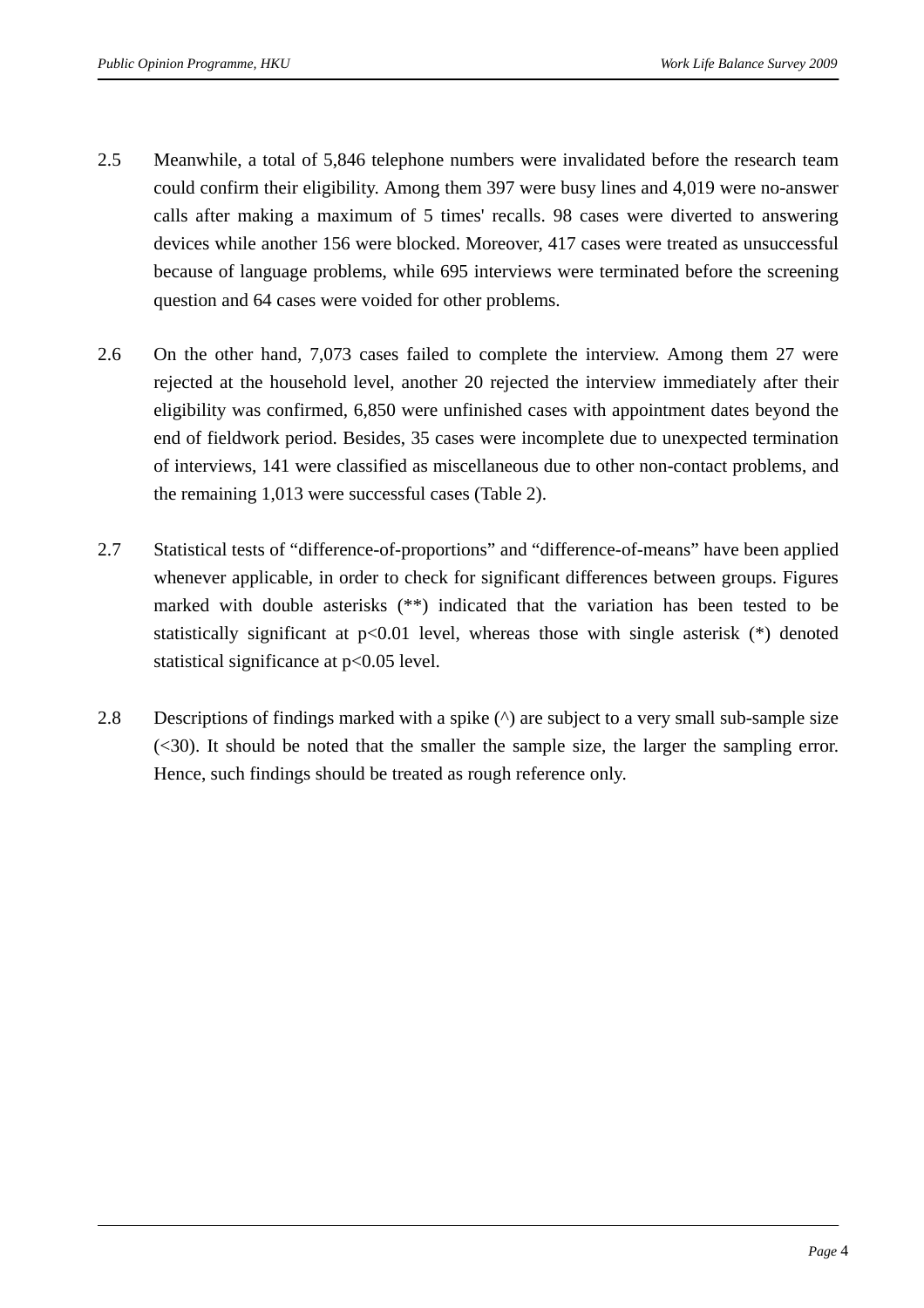- 2.5 Meanwhile, a total of 5,846 telephone numbers were invalidated before the research team could confirm their eligibility. Among them 397 were busy lines and 4,019 were no-answer calls after making a maximum of 5 times' recalls. 98 cases were diverted to answering devices while another 156 were blocked. Moreover, 417 cases were treated as unsuccessful because of language problems, while 695 interviews were terminated before the screening question and 64 cases were voided for other problems.
- 2.6 On the other hand, 7,073 cases failed to complete the interview. Among them 27 were rejected at the household level, another 20 rejected the interview immediately after their eligibility was confirmed, 6,850 were unfinished cases with appointment dates beyond the end of fieldwork period. Besides, 35 cases were incomplete due to unexpected termination of interviews, 141 were classified as miscellaneous due to other non-contact problems, and the remaining 1,013 were successful cases (Table 2).
- 2.7 Statistical tests of "difference-of-proportions" and "difference-of-means" have been applied whenever applicable, in order to check for significant differences between groups. Figures marked with double asterisks (\*\*) indicated that the variation has been tested to be statistically significant at  $p<0.01$  level, whereas those with single asterisk  $(*)$  denoted statistical significance at p<0.05 level.
- 2.8 Descriptions of findings marked with a spike (^) are subject to a very small sub-sample size (<30). It should be noted that the smaller the sample size, the larger the sampling error. Hence, such findings should be treated as rough reference only.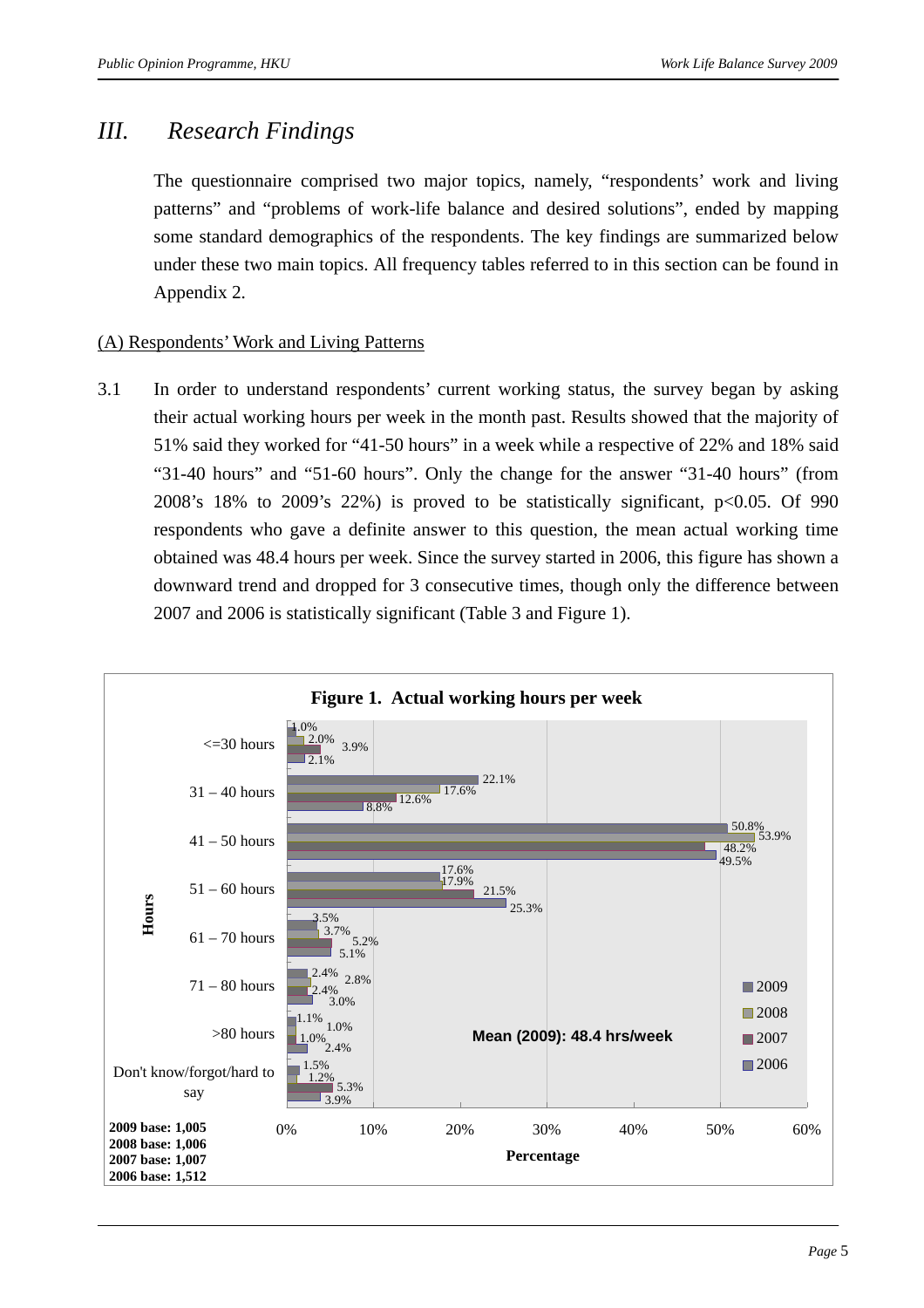### *III. Research Findings*

The questionnaire comprised two major topics, namely, "respondents' work and living patterns" and "problems of work-life balance and desired solutions", ended by mapping some standard demographics of the respondents. The key findings are summarized below under these two main topics. All frequency tables referred to in this section can be found in Appendix 2.

#### (A) Respondents' Work and Living Patterns

3.1 In order to understand respondents' current working status, the survey began by asking their actual working hours per week in the month past. Results showed that the majority of 51% said they worked for "41-50 hours" in a week while a respective of 22% and 18% said "31-40 hours" and "51-60 hours". Only the change for the answer "31-40 hours" (from 2008's 18% to 2009's 22%) is proved to be statistically significant, p<0.05. Of 990 respondents who gave a definite answer to this question, the mean actual working time obtained was 48.4 hours per week. Since the survey started in 2006, this figure has shown a downward trend and dropped for 3 consecutive times, though only the difference between 2007 and 2006 is statistically significant (Table 3 and Figure 1).

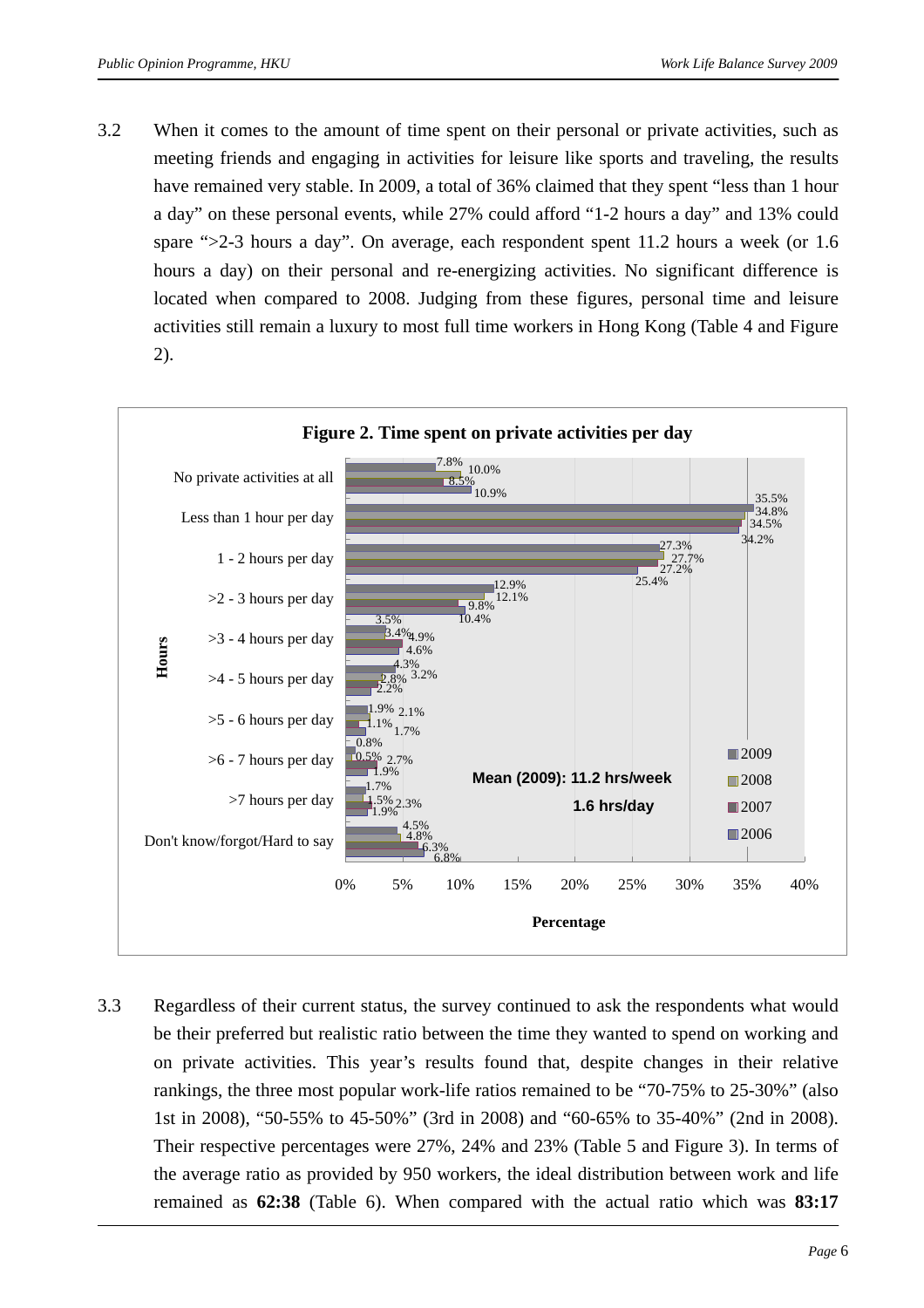3.2 When it comes to the amount of time spent on their personal or private activities, such as meeting friends and engaging in activities for leisure like sports and traveling, the results have remained very stable. In 2009, a total of 36% claimed that they spent "less than 1 hour a day" on these personal events, while 27% could afford "1-2 hours a day" and 13% could spare ">2-3 hours a day". On average, each respondent spent 11.2 hours a week (or 1.6 hours a day) on their personal and re-energizing activities. No significant difference is located when compared to 2008. Judging from these figures, personal time and leisure activities still remain a luxury to most full time workers in Hong Kong (Table 4 and Figure 2).



3.3 Regardless of their current status, the survey continued to ask the respondents what would be their preferred but realistic ratio between the time they wanted to spend on working and on private activities. This year's results found that, despite changes in their relative rankings, the three most popular work-life ratios remained to be "70-75% to 25-30%" (also 1st in 2008), "50-55% to 45-50%" (3rd in 2008) and "60-65% to 35-40%" (2nd in 2008). Their respective percentages were 27%, 24% and 23% (Table 5 and Figure 3). In terms of the average ratio as provided by 950 workers, the ideal distribution between work and life remained as **62:38** (Table 6). When compared with the actual ratio which was **83:17**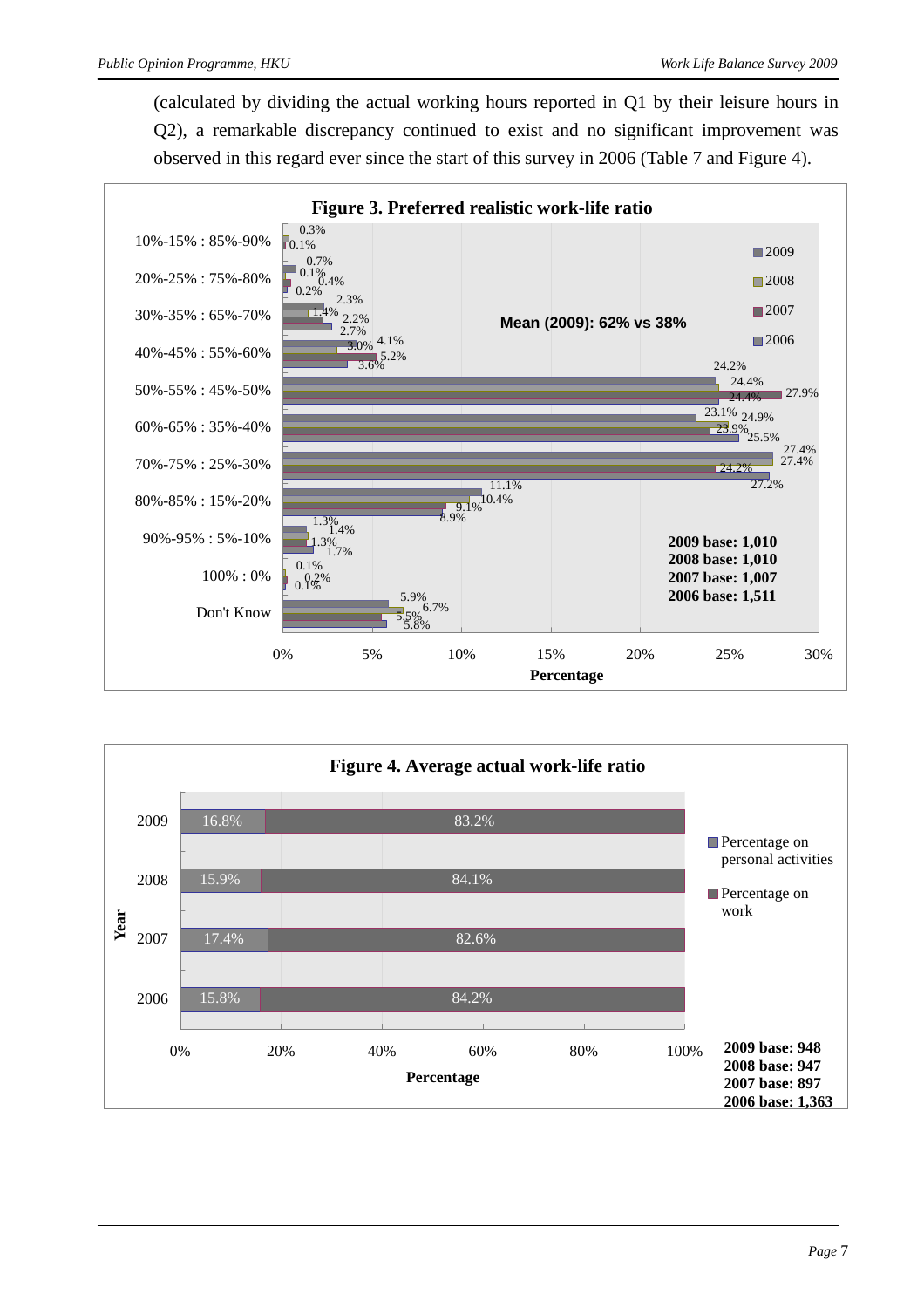(calculated by dividing the actual working hours reported in Q1 by their leisure hours in Q2), a remarkable discrepancy continued to exist and no significant improvement was observed in this regard ever since the start of this survey in 2006 (Table 7 and Figure 4).



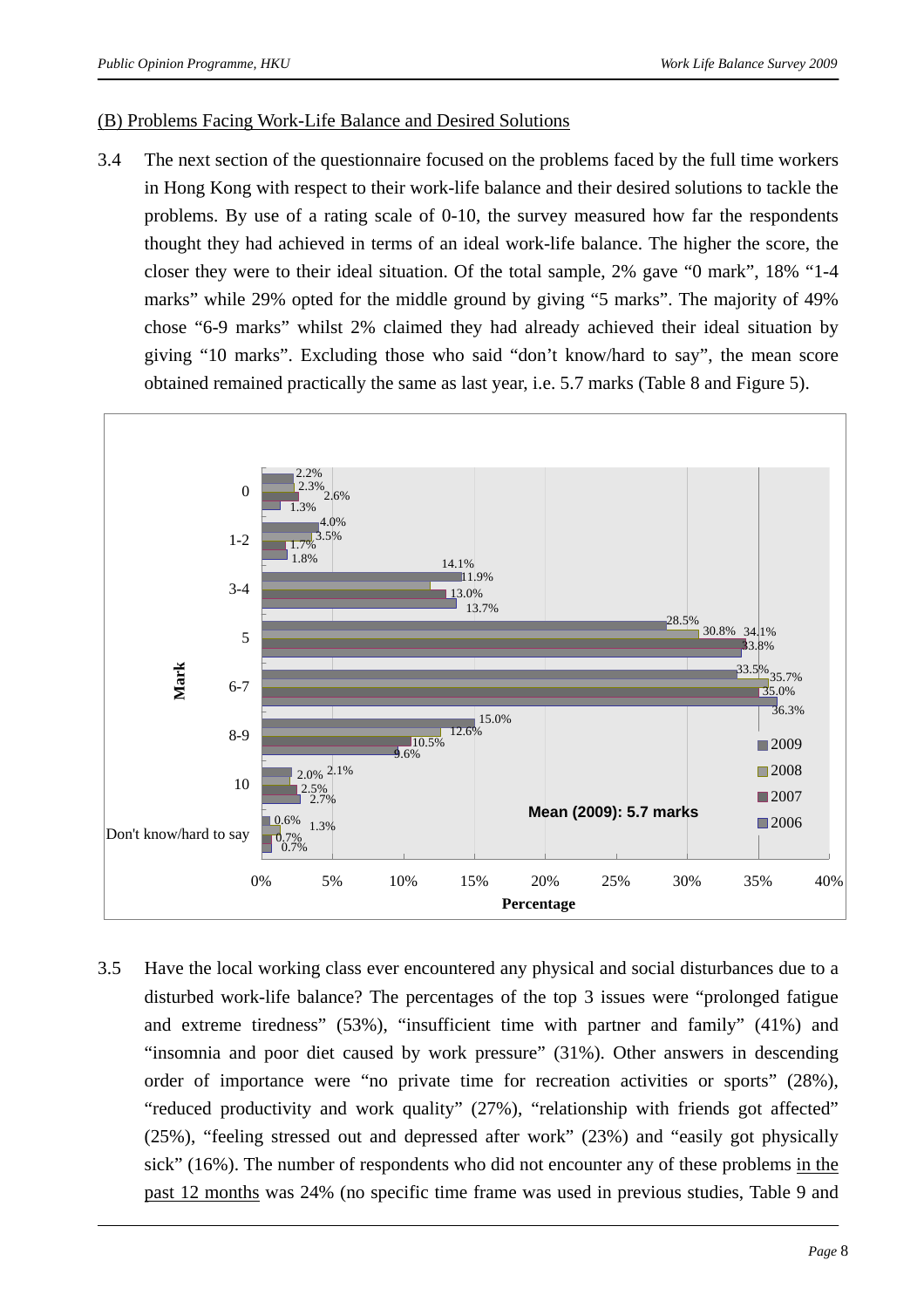#### (B) Problems Facing Work-Life Balance and Desired Solutions

3.4 The next section of the questionnaire focused on the problems faced by the full time workers in Hong Kong with respect to their work-life balance and their desired solutions to tackle the problems. By use of a rating scale of 0-10, the survey measured how far the respondents thought they had achieved in terms of an ideal work-life balance. The higher the score, the closer they were to their ideal situation. Of the total sample, 2% gave "0 mark", 18% "1-4 marks" while 29% opted for the middle ground by giving "5 marks". The majority of 49% chose "6-9 marks" whilst 2% claimed they had already achieved their ideal situation by giving "10 marks". Excluding those who said "don't know/hard to say", the mean score obtained remained practically the same as last year, i.e. 5.7 marks (Table 8 and Figure 5).



3.5 Have the local working class ever encountered any physical and social disturbances due to a disturbed work-life balance? The percentages of the top 3 issues were "prolonged fatigue and extreme tiredness" (53%), "insufficient time with partner and family" (41%) and "insomnia and poor diet caused by work pressure" (31%). Other answers in descending order of importance were "no private time for recreation activities or sports" (28%), "reduced productivity and work quality" (27%), "relationship with friends got affected" (25%), "feeling stressed out and depressed after work" (23%) and "easily got physically sick" (16%). The number of respondents who did not encounter any of these problems in the past 12 months was 24% (no specific time frame was used in previous studies, Table 9 and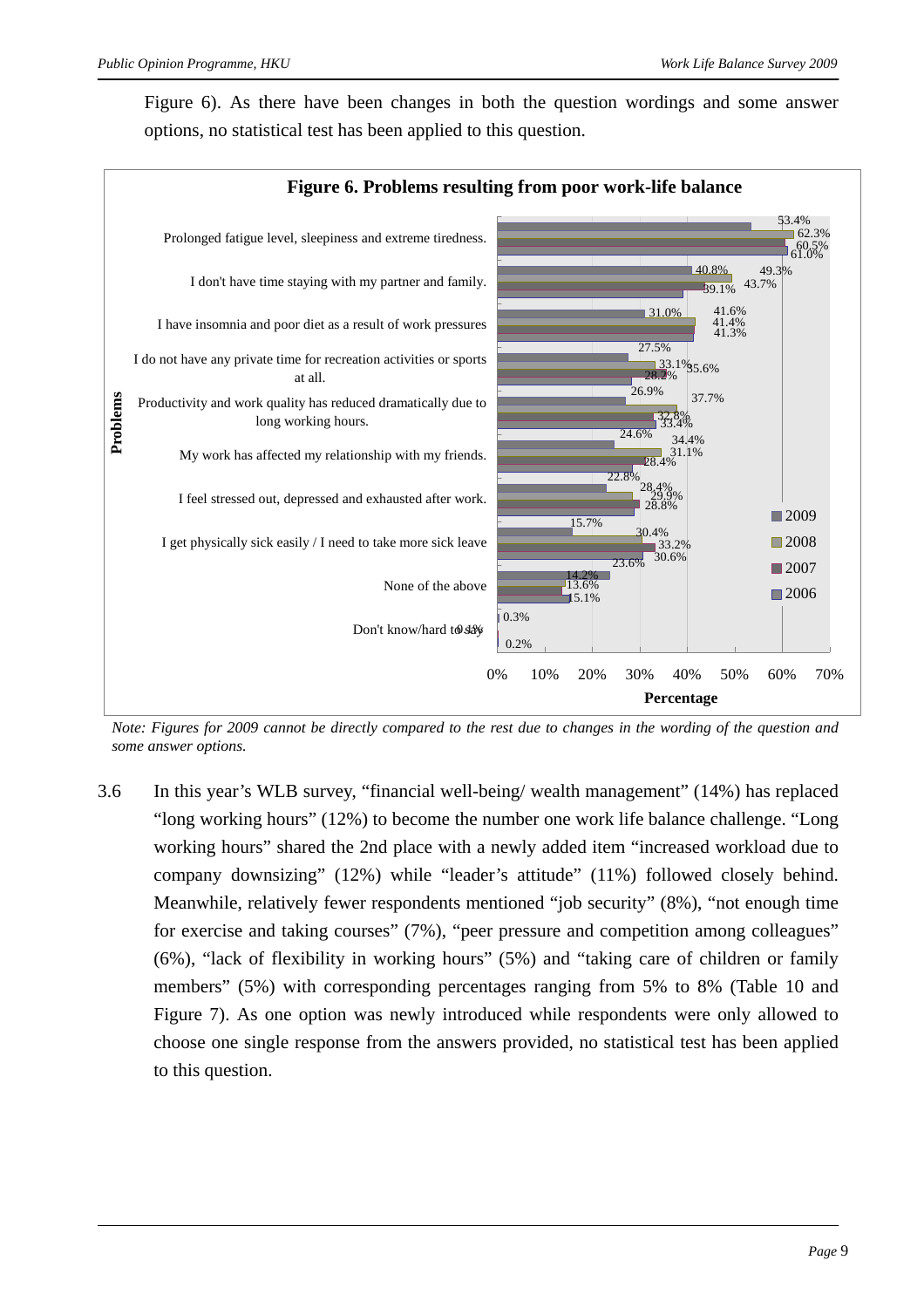Figure 6). As there have been changes in both the question wordings and some answer options, no statistical test has been applied to this question.



*Note: Figures for 2009 cannot be directly compared to the rest due to changes in the wording of the question and some answer options.*

3.6 In this year's WLB survey, "financial well-being/ wealth management" (14%) has replaced "long working hours" (12%) to become the number one work life balance challenge. "Long working hours" shared the 2nd place with a newly added item "increased workload due to company downsizing" (12%) while "leader's attitude" (11%) followed closely behind. Meanwhile, relatively fewer respondents mentioned "job security" (8%), "not enough time for exercise and taking courses" (7%), "peer pressure and competition among colleagues" (6%), "lack of flexibility in working hours" (5%) and "taking care of children or family members" (5%) with corresponding percentages ranging from 5% to 8% (Table 10 and Figure 7). As one option was newly introduced while respondents were only allowed to choose one single response from the answers provided, no statistical test has been applied to this question.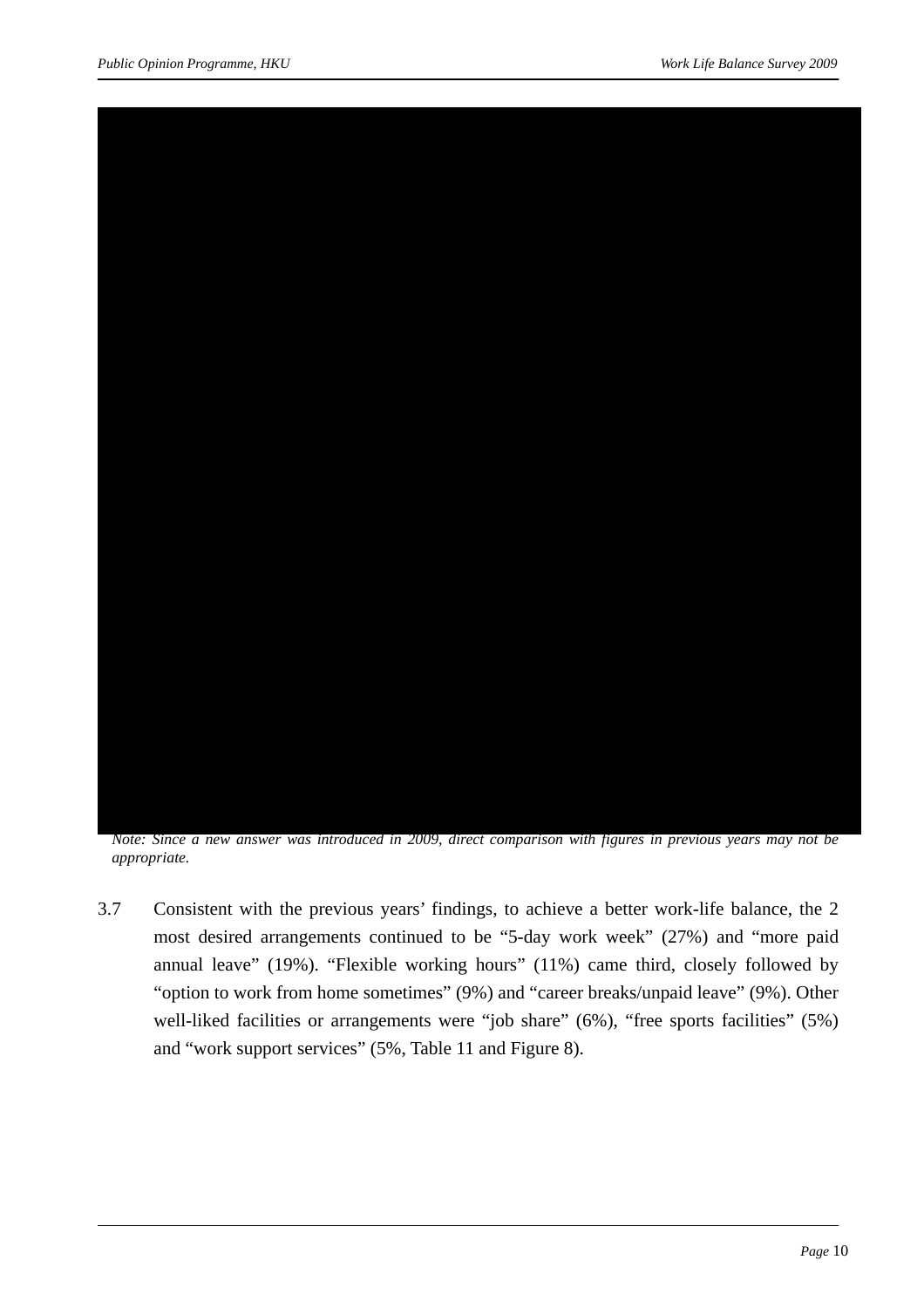

*Note: Since a new answer was introduced in 2009, direct comparison with figures in previous years may not be appropriate.* 

3.7 Consistent with the previous years' findings, to achieve a better work-life balance, the 2 most desired arrangements continued to be "5-day work week" (27%) and "more paid annual leave" (19%). "Flexible working hours" (11%) came third, closely followed by "option to work from home sometimes" (9%) and "career breaks/unpaid leave" (9%). Other well-liked facilities or arrangements were "job share" (6%), "free sports facilities" (5%) and "work support services" (5%, Table 11 and Figure 8).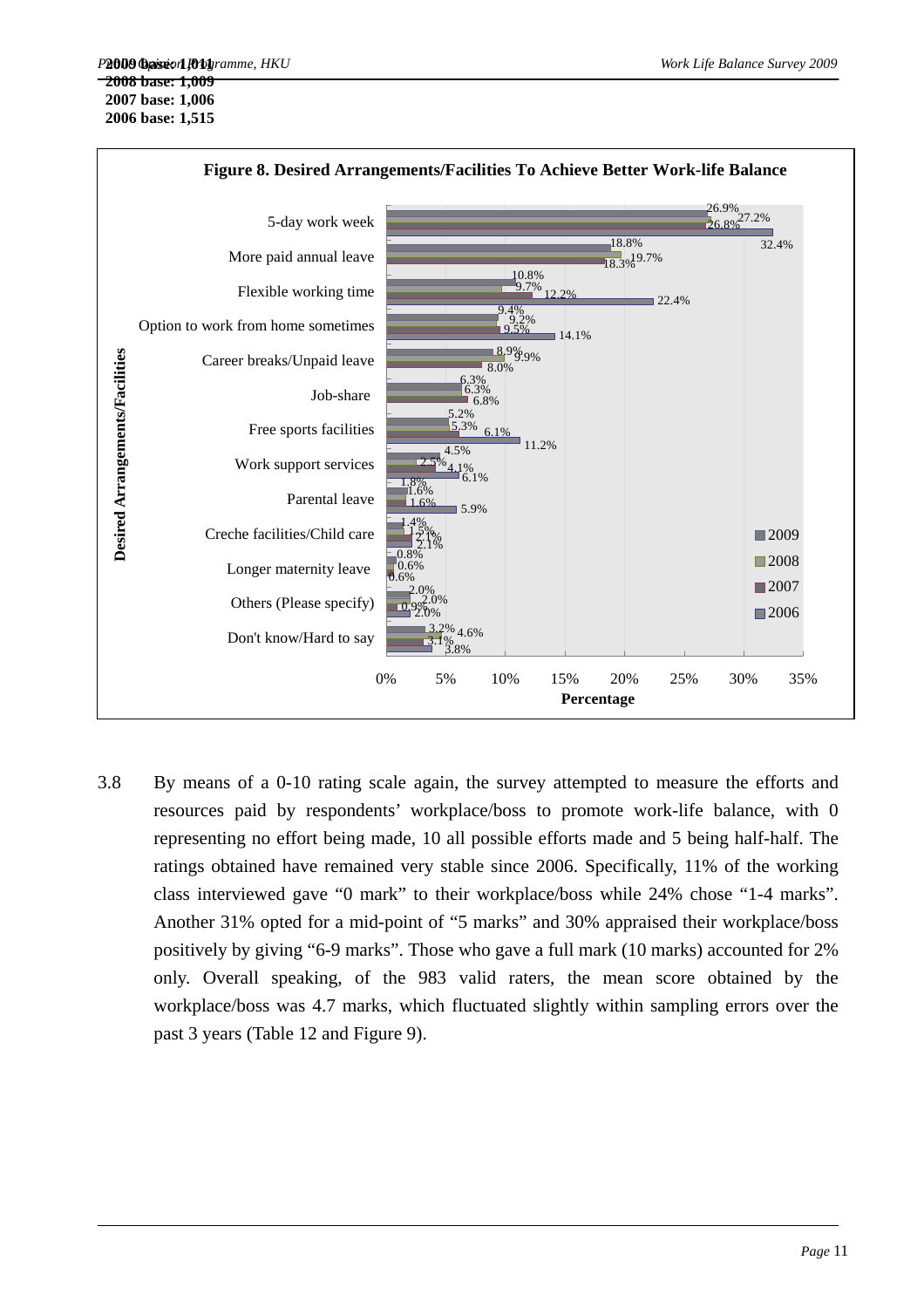

- 3.8 By means of a 0-10 rating scale again, the survey attempted to measure the efforts and resources paid by respondents' workplace/boss to promote work-life balance, with 0 representing no effort being made, 10 all possible efforts made and 5 being half-half. The ratings obtained have remained very stable since 2006. Specifically, 11% of the working class interviewed gave "0 mark" to their workplace/boss while 24% chose "1-4 marks". Another 31% opted for a mid-point of "5 marks" and 30% appraised their workplace/boss positively by giving "6-9 marks". Those who gave a full mark (10 marks) accounted for 2%
	- only. Overall speaking, of the 983 valid raters, the mean score obtained by the workplace/boss was 4.7 marks, which fluctuated slightly within sampling errors over the past 3 years (Table 12 and Figure 9).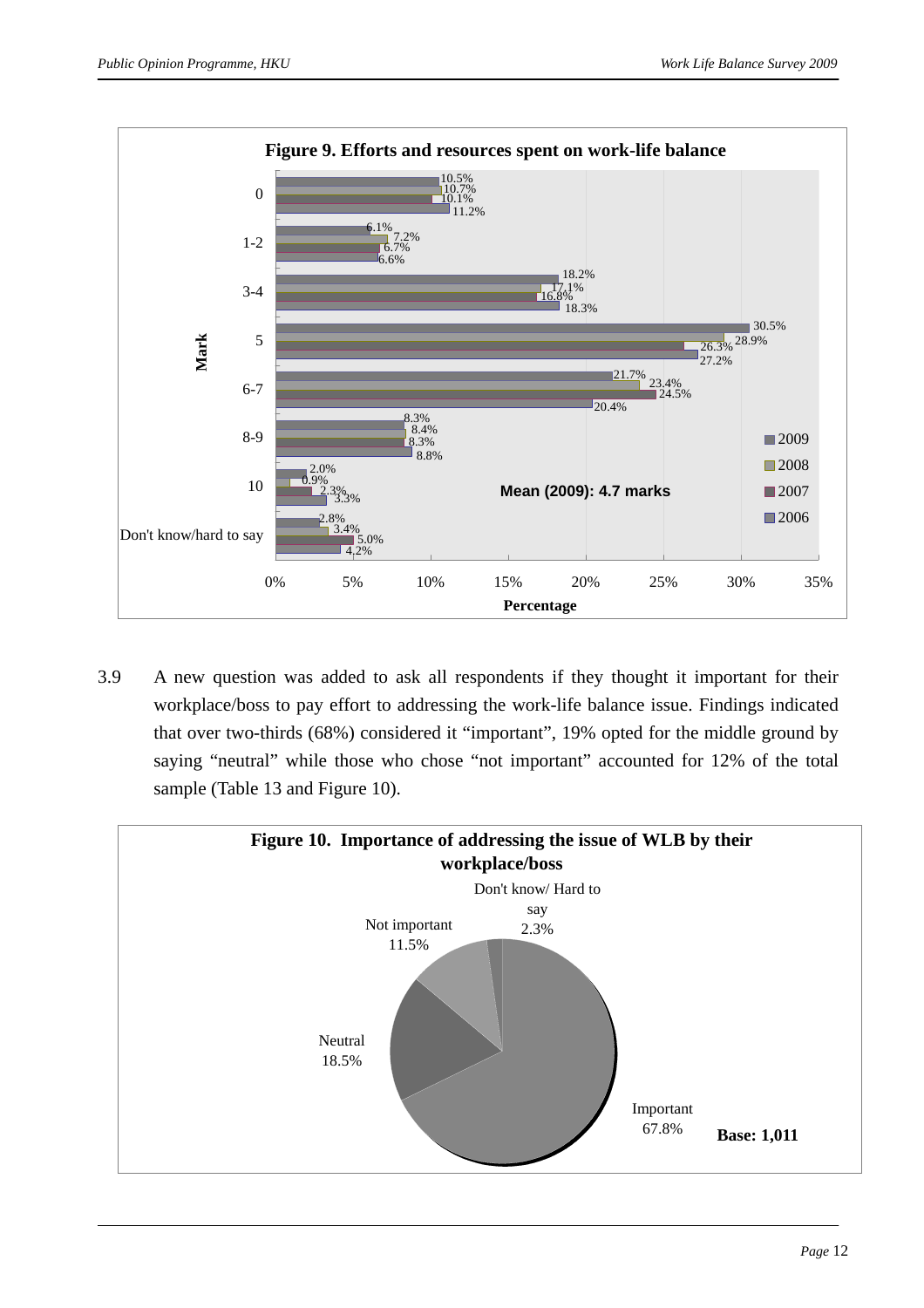

3.9 A new question was added to ask all respondents if they thought it important for their workplace/boss to pay effort to addressing the work-life balance issue. Findings indicated that over two-thirds (68%) considered it "important", 19% opted for the middle ground by saying "neutral" while those who chose "not important" accounted for 12% of the total sample (Table 13 and Figure 10).

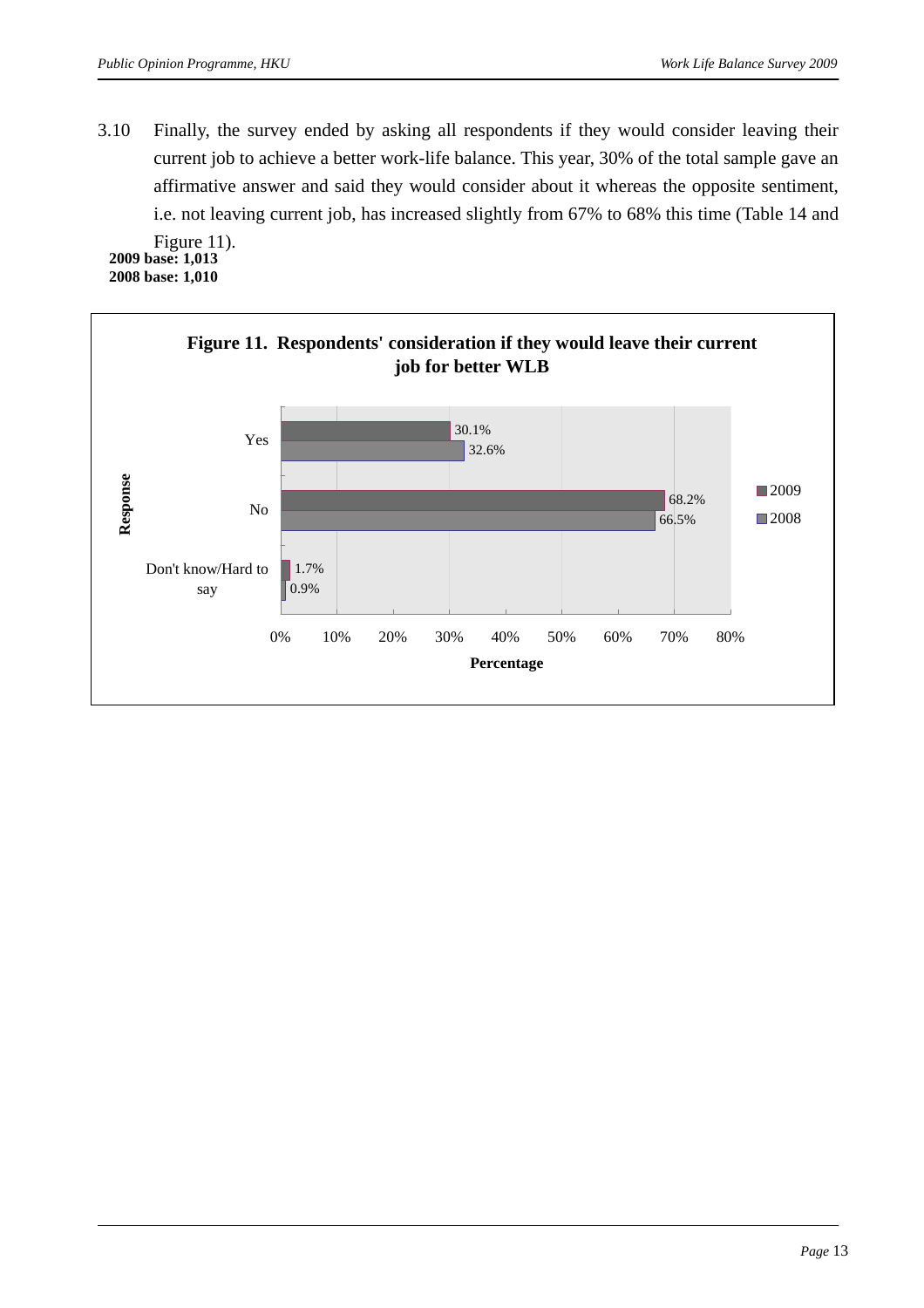3.10 Finally, the survey ended by asking all respondents if they would consider leaving their current job to achieve a better work-life balance. This year, 30% of the total sample gave an affirmative answer and said they would consider about it whereas the opposite sentiment, i.e. not leaving current job, has increased slightly from 67% to 68% this time (Table 14 and

Figure 11). **2009 base: 1,013 2008 base: 1,010** 

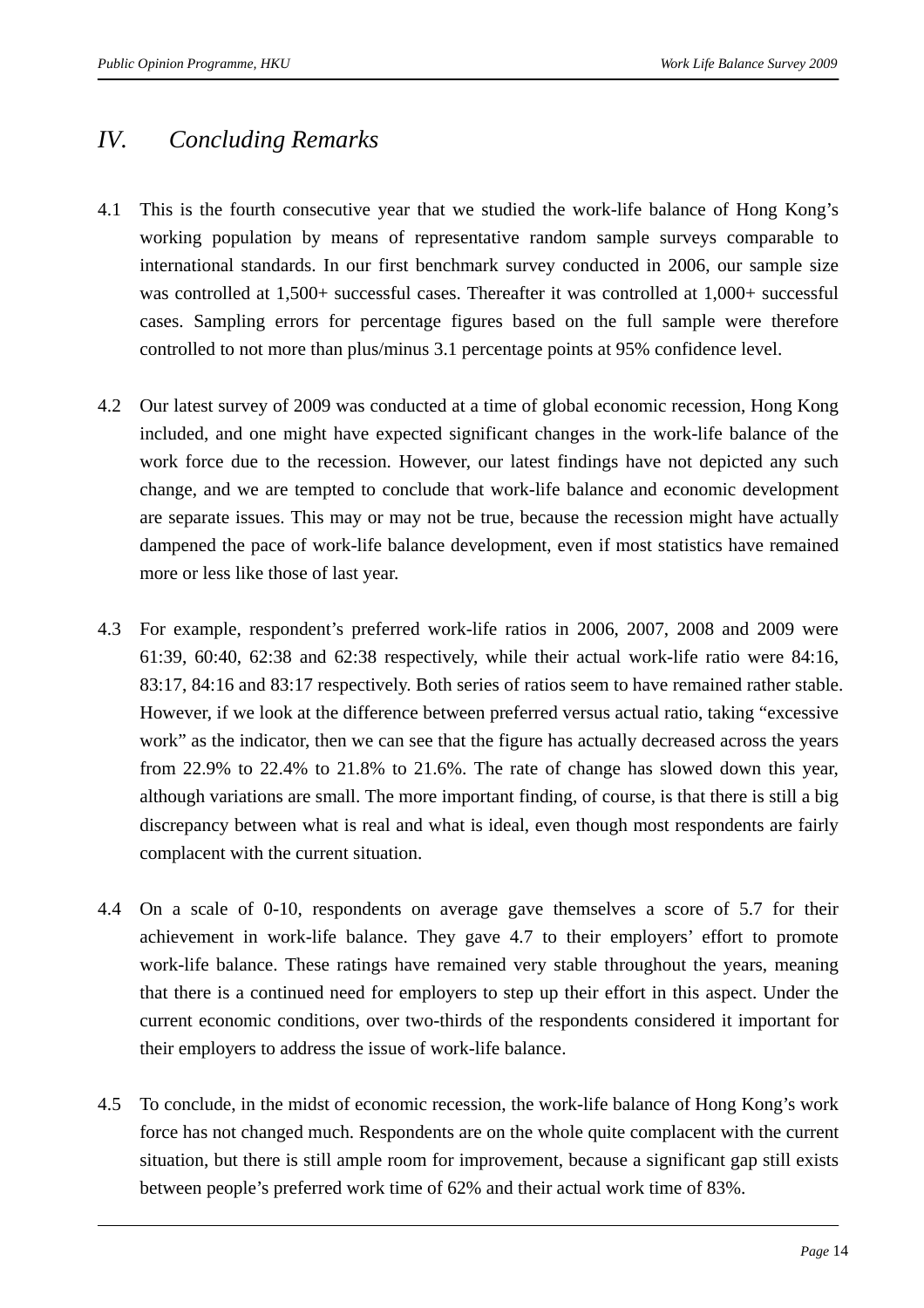### *IV. Concluding Remarks*

- 4.1 This is the fourth consecutive year that we studied the work-life balance of Hong Kong's working population by means of representative random sample surveys comparable to international standards. In our first benchmark survey conducted in 2006, our sample size was controlled at 1,500+ successful cases. Thereafter it was controlled at 1,000+ successful cases. Sampling errors for percentage figures based on the full sample were therefore controlled to not more than plus/minus 3.1 percentage points at 95% confidence level.
- 4.2 Our latest survey of 2009 was conducted at a time of global economic recession, Hong Kong included, and one might have expected significant changes in the work-life balance of the work force due to the recession. However, our latest findings have not depicted any such change, and we are tempted to conclude that work-life balance and economic development are separate issues. This may or may not be true, because the recession might have actually dampened the pace of work-life balance development, even if most statistics have remained more or less like those of last year.
- 4.3 For example, respondent's preferred work-life ratios in 2006, 2007, 2008 and 2009 were 61:39, 60:40, 62:38 and 62:38 respectively, while their actual work-life ratio were 84:16, 83:17, 84:16 and 83:17 respectively. Both series of ratios seem to have remained rather stable. However, if we look at the difference between preferred versus actual ratio, taking "excessive work" as the indicator, then we can see that the figure has actually decreased across the years from 22.9% to 22.4% to 21.8% to 21.6%. The rate of change has slowed down this year, although variations are small. The more important finding, of course, is that there is still a big discrepancy between what is real and what is ideal, even though most respondents are fairly complacent with the current situation.
- 4.4 On a scale of 0-10, respondents on average gave themselves a score of 5.7 for their achievement in work-life balance. They gave 4.7 to their employers' effort to promote work-life balance. These ratings have remained very stable throughout the years, meaning that there is a continued need for employers to step up their effort in this aspect. Under the current economic conditions, over two-thirds of the respondents considered it important for their employers to address the issue of work-life balance.
- 4.5 To conclude, in the midst of economic recession, the work-life balance of Hong Kong's work force has not changed much. Respondents are on the whole quite complacent with the current situation, but there is still ample room for improvement, because a significant gap still exists between people's preferred work time of 62% and their actual work time of 83%.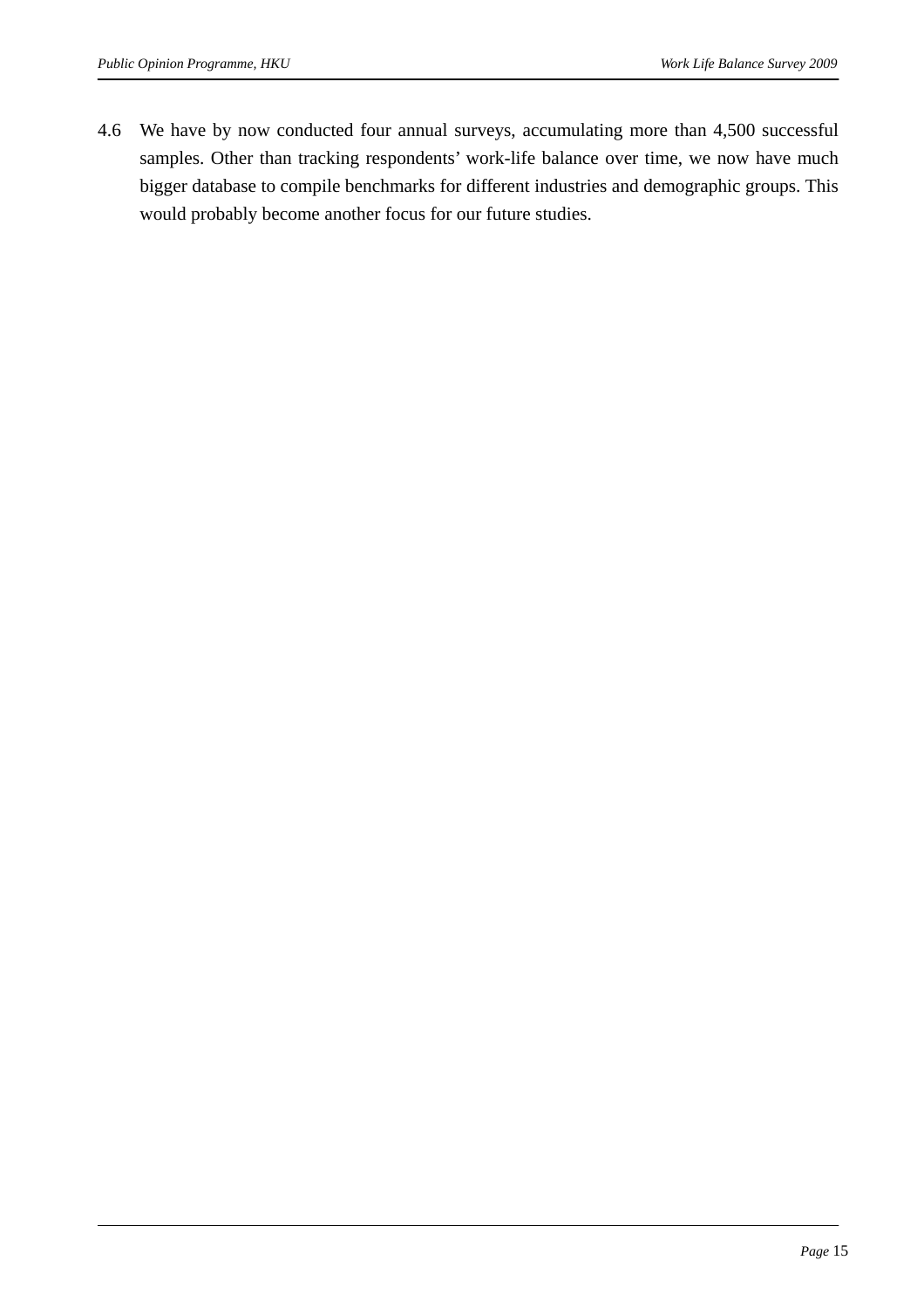4.6 We have by now conducted four annual surveys, accumulating more than 4,500 successful samples. Other than tracking respondents' work-life balance over time, we now have much bigger database to compile benchmarks for different industries and demographic groups. This would probably become another focus for our future studies.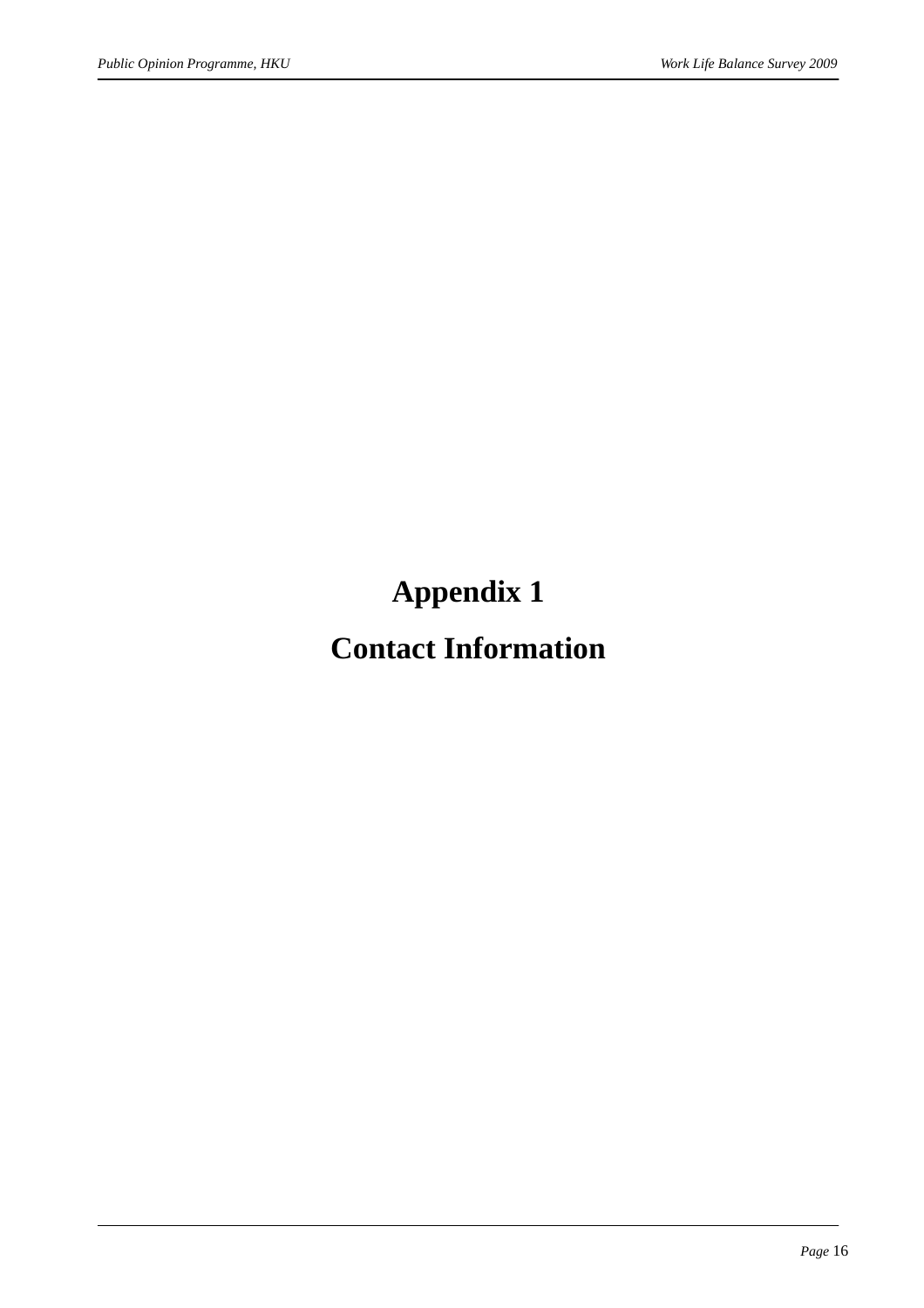**Appendix 1** 

## **Contact Information**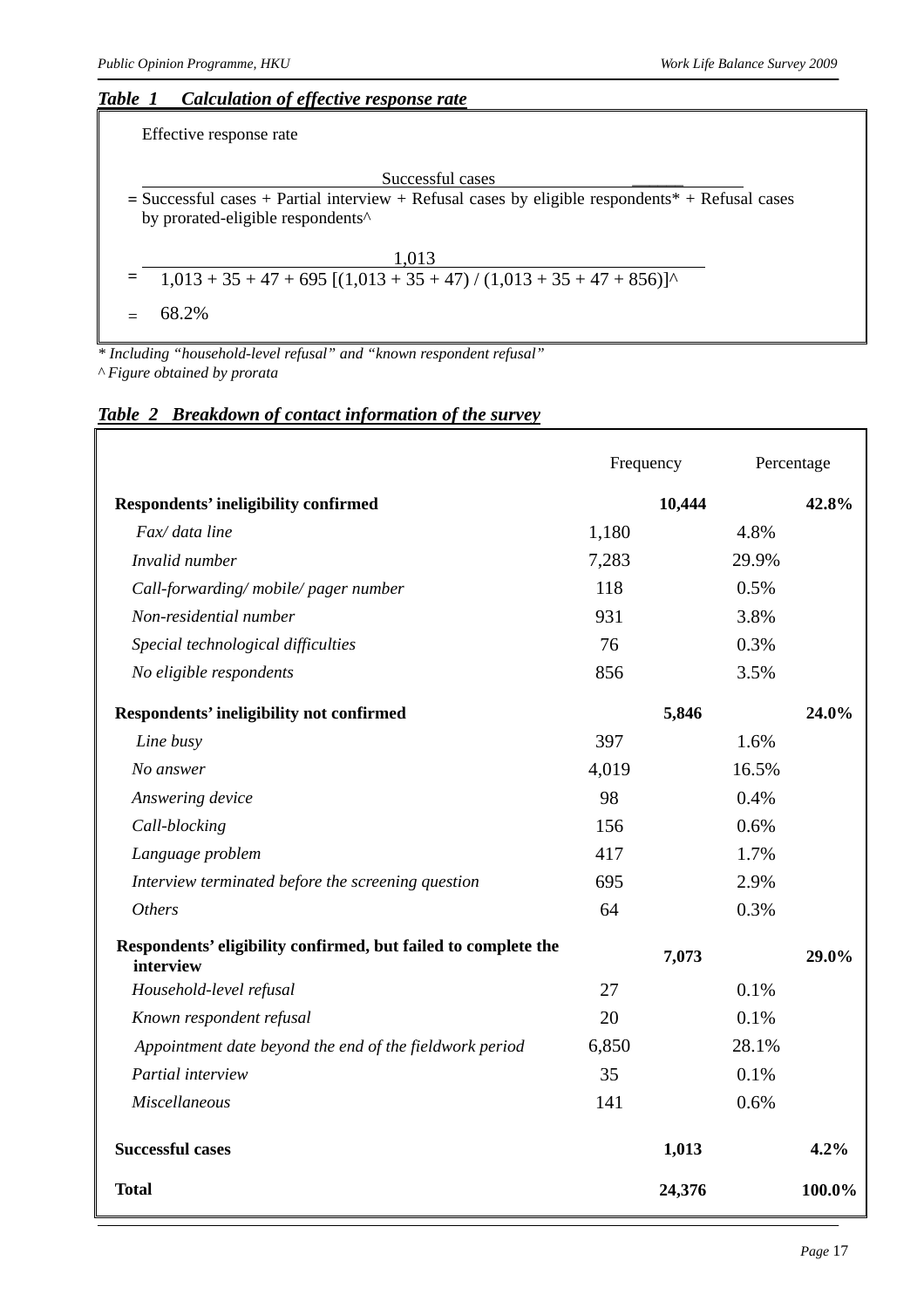#### *Table 1 Calculation of effective response rate*

Effective response rate

Successful cases **=** Successful cases + Partial interview + Refusal cases by eligible respondents\* + Refusal cases by prorated-eligible respondents^

| 1,013                                                                    |  |
|--------------------------------------------------------------------------|--|
| $=$ 1,013 + 35 + 47 + 695 [(1,013 + 35 + 47) / (1,013 + 35 + 47 + 856)]^ |  |

 $= 68.2\%$ 

*\* Including "household-level refusal" and "known respondent refusal" ^ Figure obtained by prorata* 

#### *Table 2 Breakdown of contact information of the survey*

|                                                                             | Frequency |       | Percentage |
|-----------------------------------------------------------------------------|-----------|-------|------------|
| <b>Respondents' ineligibility confirmed</b>                                 | 10,444    |       | 42.8%      |
| Fax/ data line                                                              | 1,180     | 4.8%  |            |
| Invalid number                                                              | 7,283     | 29.9% |            |
| Call-forwarding/mobile/pager number                                         | 118       | 0.5%  |            |
| Non-residential number                                                      | 931       | 3.8%  |            |
| Special technological difficulties                                          | 76        | 0.3%  |            |
| No eligible respondents                                                     | 856       | 3.5%  |            |
| <b>Respondents' ineligibility not confirmed</b>                             | 5,846     |       | 24.0%      |
| Line busy                                                                   | 397       | 1.6%  |            |
| No answer                                                                   | 4,019     | 16.5% |            |
| Answering device                                                            | 98        | 0.4%  |            |
| Call-blocking                                                               | 156       | 0.6%  |            |
| Language problem                                                            | 417       | 1.7%  |            |
| Interview terminated before the screening question                          | 695       | 2.9%  |            |
| <b>Others</b>                                                               | 64        | 0.3%  |            |
| Respondents' eligibility confirmed, but failed to complete the<br>interview | 7,073     |       | 29.0%      |
| Household-level refusal                                                     | 27        | 0.1%  |            |
| Known respondent refusal                                                    | 20        | 0.1%  |            |
| Appointment date beyond the end of the fieldwork period                     | 6,850     | 28.1% |            |
| Partial interview                                                           | 35        | 0.1%  |            |
| Miscellaneous                                                               | 141       | 0.6%  |            |
| <b>Successful cases</b>                                                     | 1,013     |       | 4.2%       |
| <b>Total</b>                                                                | 24,376    |       | 100.0%     |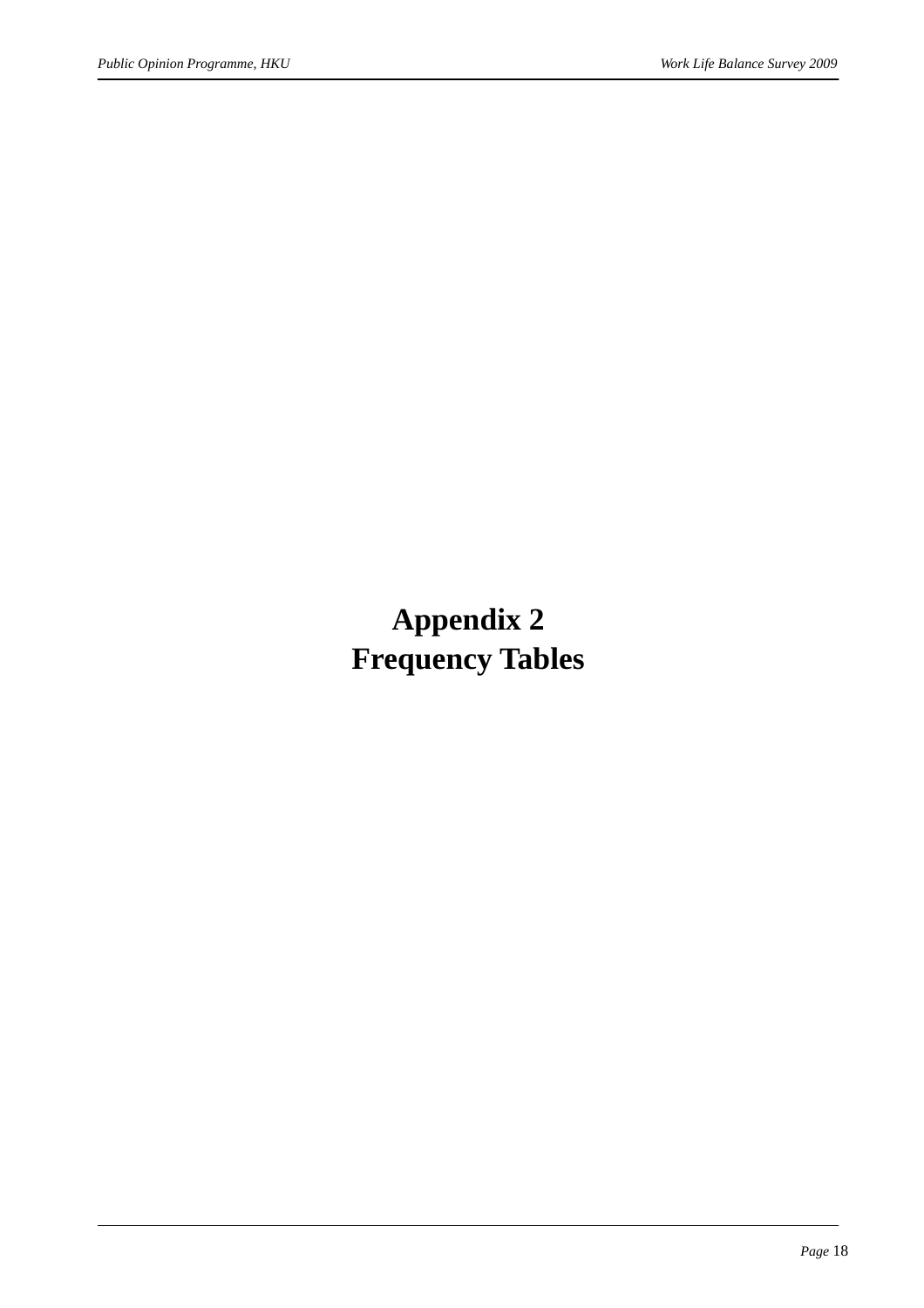## **Appendix 2 Frequency Tables**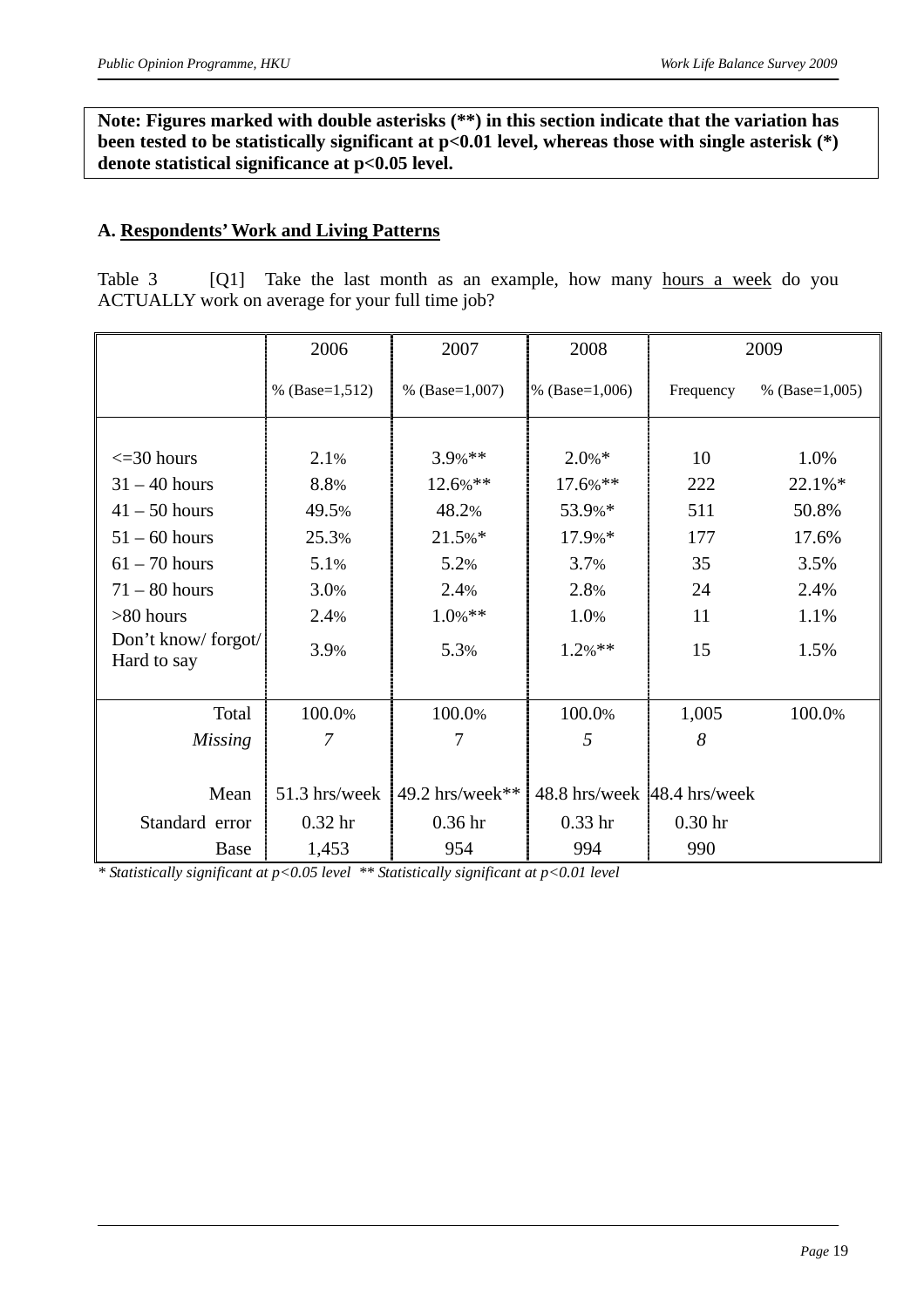**Note: Figures marked with double asterisks (\*\*) in this section indicate that the variation has been tested to be statistically significant at p<0.01 level, whereas those with single asterisk (\*) denote statistical significance at p<0.05 level.** 

#### **A. Respondents' Work and Living Patterns**

Table 3 [Q1] Take the last month as an example, how many hours a week do you ACTUALLY work on average for your full time job?

|                                   | 2006               | 2007               | 2008                        |                    | 2009               |
|-----------------------------------|--------------------|--------------------|-----------------------------|--------------------|--------------------|
|                                   | % $(Base=1,512)$   | % $(Base=1,007)$   | % $(Base=1,006)$            | Frequency          | % (Base= $1,005$ ) |
|                                   |                    |                    |                             |                    |                    |
| $\leq$ = 30 hours                 | 2.1%               | $3.9\%**$          | $2.0\%*$                    | 10                 | 1.0%               |
| $31 - 40$ hours                   | 8.8%               | 12.6%**            | 17.6%**                     | 222                | 22.1%*             |
| $41 - 50$ hours                   | 49.5%              | 48.2%              | 53.9%*                      | 511                | 50.8%              |
| $51 - 60$ hours                   | 25.3%              | 21.5%*             | 17.9%*                      | 177                | 17.6%              |
| $61 - 70$ hours                   | 5.1%               | 5.2%               | 3.7%                        | 35                 | 3.5%               |
| $71 - 80$ hours                   | 3.0%               | 2.4%               | 2.8%                        | 24                 | 2.4%               |
| $>80$ hours                       | 2.4%               | $1.0\%$ **         | 1.0%                        | 11                 | 1.1%               |
| Don't know/forgot/<br>Hard to say | 3.9%               | 5.3%               | $1.2%$ **                   | 15                 | 1.5%               |
|                                   |                    |                    |                             |                    |                    |
| Total                             | 100.0%             | 100.0%             | 100.0%                      | 1,005              | 100.0%             |
| <b>Missing</b>                    | $\overline{7}$     | 7                  | 5                           | 8                  |                    |
|                                   |                    |                    |                             |                    |                    |
| Mean                              | 51.3 hrs/week      | 49.2 hrs/week**    | 48.8 hrs/week 48.4 hrs/week |                    |                    |
| Standard error                    | 0.32 <sub>hr</sub> | 0.36 <sub>hr</sub> | $0.33$ hr                   | 0.30 <sub>hr</sub> |                    |
| Base                              | 1,453              | 954                | 994                         | 990                |                    |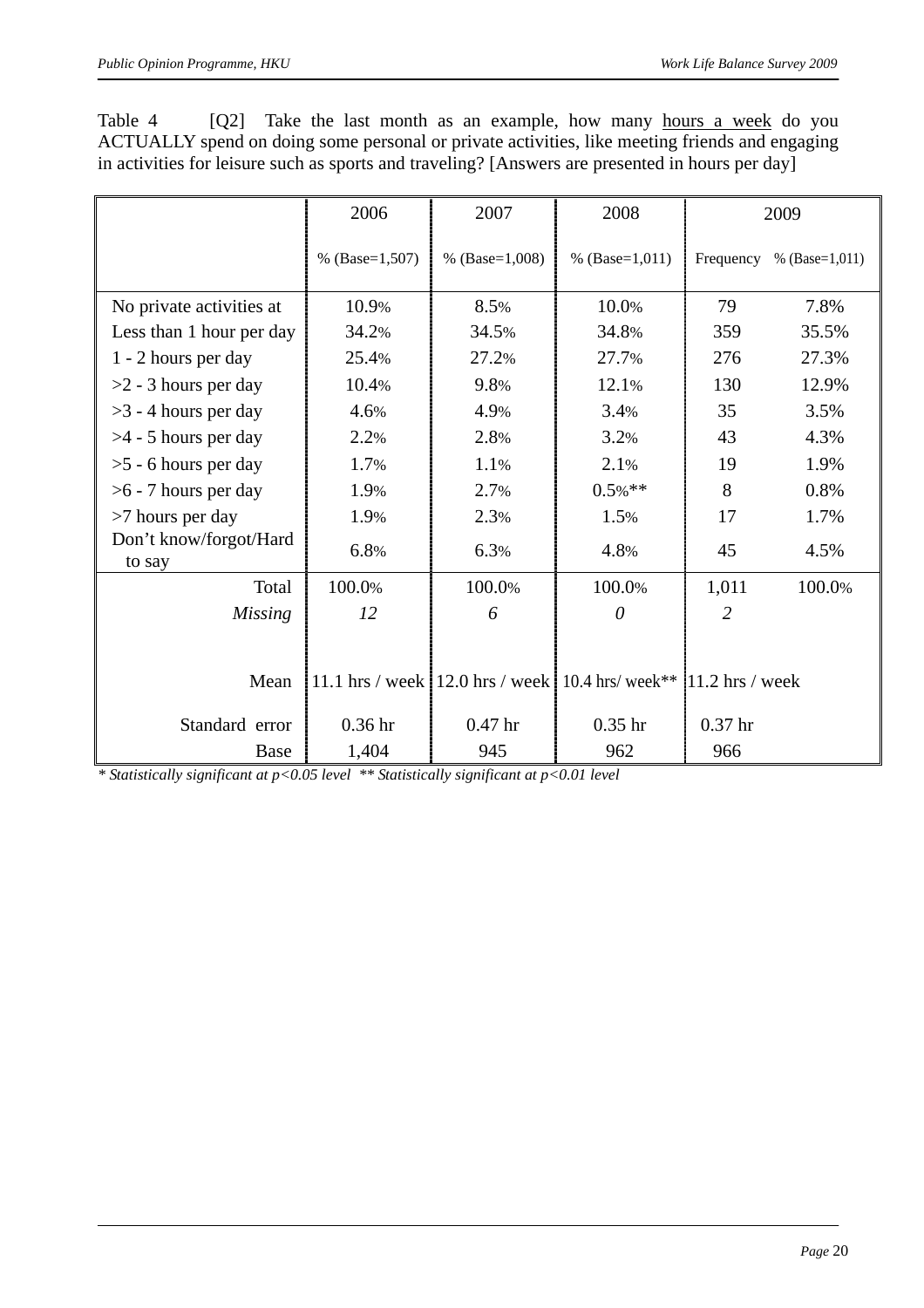| Table 4                                                                                          |  |  |  | [Q2] Take the last month as an example, how many hours a week do you |  |  |  |  |
|--------------------------------------------------------------------------------------------------|--|--|--|----------------------------------------------------------------------|--|--|--|--|
| ACTUALLY spend on doing some personal or private activities, like meeting friends and engaging   |  |  |  |                                                                      |  |  |  |  |
| in activities for leisure such as sports and traveling? [Answers are presented in hours per day] |  |  |  |                                                                      |  |  |  |  |

|                                  | 2006               | 2007               | 2008                                                                   | 2009               |                  |  |
|----------------------------------|--------------------|--------------------|------------------------------------------------------------------------|--------------------|------------------|--|
|                                  | % $(Base=1,507)$   | % $(Base=1,008)$   | % $(Base=1,011)$                                                       | Frequency          | % $(Base=1,011)$ |  |
| No private activities at         | 10.9%              | 8.5%               | 10.0%                                                                  | 79                 | 7.8%             |  |
| Less than 1 hour per day         | 34.2%              | 34.5%              | 34.8%                                                                  | 359                | 35.5%            |  |
| 1 - 2 hours per day              | 25.4%              | 27.2%              | 27.7%                                                                  | 276                | 27.3%            |  |
| $>2$ - 3 hours per day           | 10.4%              | 9.8%               | 12.1%                                                                  | 130                | 12.9%            |  |
| $>3$ - 4 hours per day           | 4.6%               | 4.9%               | 3.4%                                                                   | 35                 | 3.5%             |  |
| $>4$ - 5 hours per day           | 2.2%               | 2.8%               | 3.2%                                                                   | 43                 | 4.3%             |  |
| $>5$ - 6 hours per day           | 1.7%               | 1.1%               | 2.1%                                                                   | 19                 | 1.9%             |  |
| $>6$ - 7 hours per day           | 1.9%               | 2.7%               | $0.5\%$ **                                                             | 8                  | 0.8%             |  |
| >7 hours per day                 | 1.9%               | 2.3%               | 1.5%                                                                   | 17                 | 1.7%             |  |
| Don't know/forgot/Hard<br>to say | 6.8%               | 6.3%               | 4.8%                                                                   | 45                 | 4.5%             |  |
| Total                            | 100.0%             | 100.0%             | 100.0%                                                                 | 1,011              | 100.0%           |  |
| <b>Missing</b>                   | 12                 | 6                  | 0                                                                      | 2                  |                  |  |
|                                  |                    |                    |                                                                        |                    |                  |  |
| Mean                             |                    |                    | 11.1 hrs / week   12.0 hrs / week   10.4 hrs/ week** $11.2$ hrs / week |                    |                  |  |
| Standard error                   | 0.36 <sub>hr</sub> | 0.47 <sub>hr</sub> | $0.35$ hr                                                              | 0.37 <sub>hr</sub> |                  |  |
| Base                             | 1,404              | 945                | 962                                                                    | 966                |                  |  |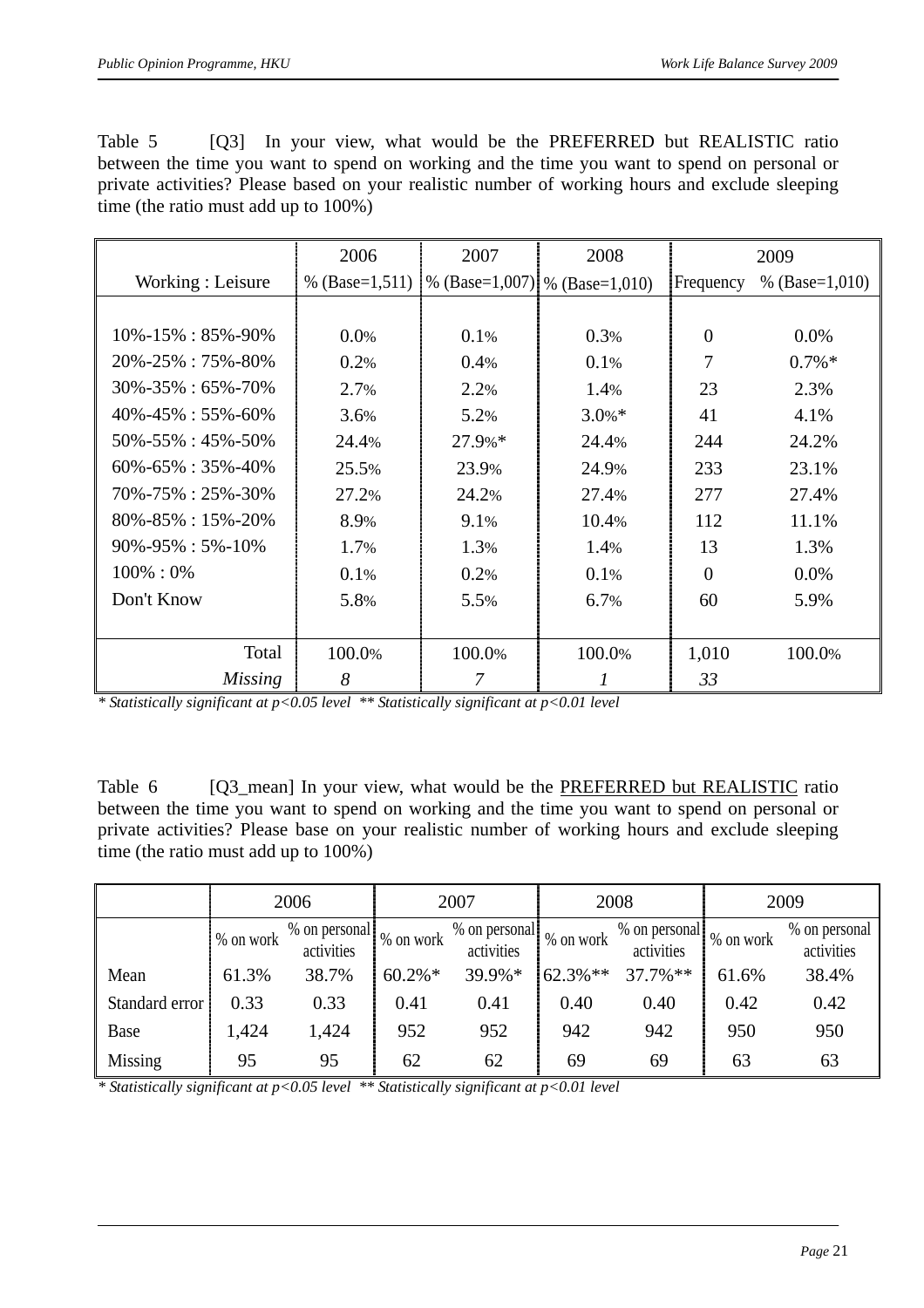Table 5 [Q3] In your view, what would be the PREFERRED but REALISTIC ratio between the time you want to spend on working and the time you want to spend on personal or private activities? Please based on your realistic number of working hours and exclude sleeping time (the ratio must add up to 100%)

|                             | 2006             | 2007   | 2008                            |                | 2009             |
|-----------------------------|------------------|--------|---------------------------------|----------------|------------------|
| Working: Leisure            | % $(Base=1,511)$ |        | % (Base=1,007)   % (Base=1,010) | Frequency      | % $(Base=1,010)$ |
|                             |                  |        |                                 |                |                  |
| $10\% - 15\% : 85\% - 90\%$ | 0.0%             | 0.1%   | 0.3%                            | $\overline{0}$ | 0.0%             |
| 20%-25%: 75%-80%            | 0.2%             | 0.4%   | 0.1%                            | 7              | $0.7\%*$         |
| $30\% - 35\% : 65\% - 70\%$ | 2.7%             | 2.2%   | 1.4%                            | 23             | 2.3%             |
| $40\% - 45\% : 55\% - 60\%$ | 3.6%             | 5.2%   | $3.0\% *$                       | 41             | 4.1%             |
| $50\% - 55\% : 45\% - 50\%$ | 24.4%            | 27.9%* | 24.4%                           | 244            | 24.2%            |
| $60\% - 65\% : 35\% - 40\%$ | 25.5%            | 23.9%  | 24.9%                           | 233            | 23.1%            |
| $70\% - 75\% : 25\% - 30\%$ | 27.2%            | 24.2%  | 27.4%                           | 277            | 27.4%            |
| $80\% - 85\% : 15\% - 20\%$ | 8.9%             | 9.1%   | 10.4%                           | 112            | 11.1%            |
| $90\% - 95\% : 5\% - 10\%$  | 1.7%             | 1.3%   | 1.4%                            | 13             | 1.3%             |
| $100\% : 0\%$               | 0.1%             | 0.2%   | 0.1%                            | $\overline{0}$ | $0.0\%$          |
| Don't Know                  | 5.8%             | 5.5%   | 6.7%                            | 60             | 5.9%             |
|                             |                  |        |                                 |                |                  |
| Total                       | 100.0%           | 100.0% | 100.0%                          | 1,010          | 100.0%           |
| Missing                     | 8                |        |                                 | 33             |                  |

Table 6 [Q3\_mean] In your view, what would be the PREFERRED but REALISTIC ratio between the time you want to spend on working and the time you want to spend on personal or private activities? Please base on your realistic number of working hours and exclude sleeping time (the ratio must add up to 100%)

|                |                                           | 2006  |            | 2007                        |            | 2008                        | 2009      |                             |
|----------------|-------------------------------------------|-------|------------|-----------------------------|------------|-----------------------------|-----------|-----------------------------|
|                | % on personal<br>1% on work<br>activities |       | % on work  | % on personal<br>activities | % on work  | % on personal<br>activities | % on work | % on personal<br>activities |
| Mean           | 61.3%                                     | 38.7% | $60.2\% *$ | 39.9%*                      | $62.3\%**$ | $37.7\%$ **                 | 61.6%     | 38.4%                       |
| Standard error | 0.33                                      | 0.33  | 0.41       | 0.41                        | 0.40       | 0.40                        | 0.42      | 0.42                        |
| Base           | 1,424                                     | 1,424 | 952        | 952                         | 942        | 942                         | 950       | 950                         |
| Missing        | 95                                        | 95    | 62         | 62                          | 69         | 69                          | 63        | 63                          |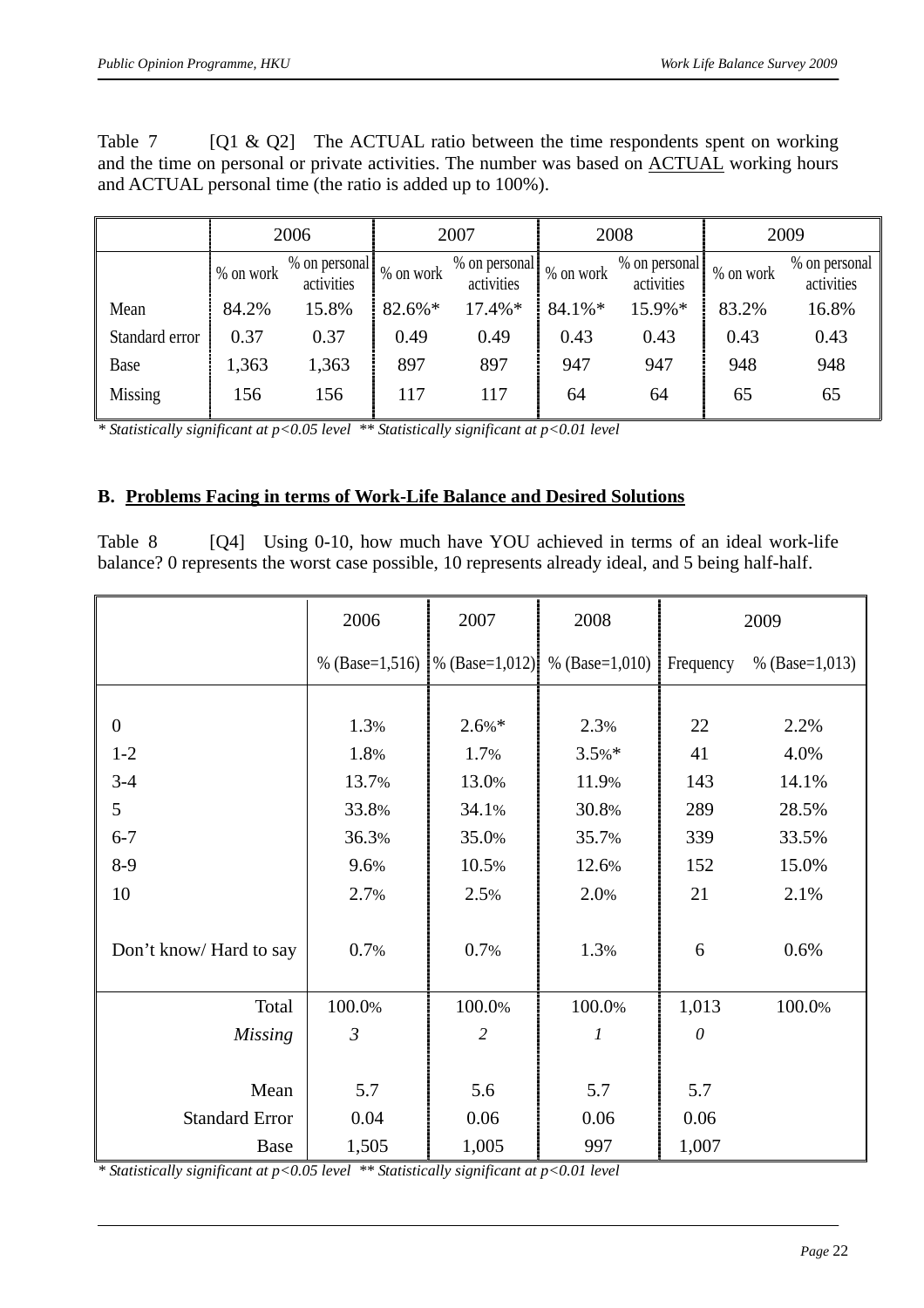Table 7  $\lceil Q1 \& Q2 \rceil$  The ACTUAL ratio between the time respondents spent on working and the time on personal or private activities. The number was based on ACTUAL working hours and ACTUAL personal time (the ratio is added up to 100%).

|                | 2006      |                             |           | 2007                        |           | 2008                        | 2009      |                             |  |
|----------------|-----------|-----------------------------|-----------|-----------------------------|-----------|-----------------------------|-----------|-----------------------------|--|
|                | % on work | % on personal<br>activities | % on work | % on personal<br>activities | % on work | % on personal<br>activities | % on work | % on personal<br>activities |  |
| Mean           | 84.2%     | 15.8%                       | 82.6%*    | 17.4%*                      | 84.1%*    | 15.9%*                      | 83.2%     | 16.8%                       |  |
| Standard error | 0.37      | 0.37                        | 0.49      | 0.49                        | 0.43      | 0.43                        | 0.43      | 0.43                        |  |
| Base           | 1,363     | 1,363                       | 897       | 897                         | 947       | 947                         | 948       | 948                         |  |
| Missing        | 156       | 156                         | 117       | 117                         | 64        | 64                          | 65        | 65                          |  |

#### **B. Problems Facing in terms of Work-Life Balance and Desired Solutions**

Table 8 [Q4] Using 0-10, how much have YOU achieved in terms of an ideal work-life balance? 0 represents the worst case possible, 10 represents already ideal, and 5 being half-half.

|                         | 2006           | 2007                            | 2008             |           | 2009             |
|-------------------------|----------------|---------------------------------|------------------|-----------|------------------|
|                         |                | % (Base=1,516)   % (Base=1,012) | % $(Base=1,010)$ | Frequency | % $(Base=1,013)$ |
|                         |                |                                 |                  |           |                  |
| $\boldsymbol{0}$        | 1.3%           | $2.6\%*$                        | 2.3%             | 22        | 2.2%             |
| $1 - 2$                 | 1.8%           | 1.7%                            | $3.5%$ *         | 41        | 4.0%             |
| $3-4$                   | 13.7%          | 13.0%                           | 11.9%            | 143       | 14.1%            |
| 5                       | 33.8%          | 34.1%                           | 30.8%            | 289       | 28.5%            |
| $6 - 7$                 | 36.3%          | 35.0%                           | 35.7%            | 339       | 33.5%            |
| $8-9$                   | 9.6%           | 10.5%                           | 12.6%            | 152       | 15.0%            |
| 10                      | 2.7%           | 2.5%                            | 2.0%             | 21        | 2.1%             |
| Don't know/ Hard to say | 0.7%           | 0.7%                            | 1.3%             | 6         | 0.6%             |
| Total                   | 100.0%         | 100.0%                          | 100.0%           | 1,013     | 100.0%           |
| <b>Missing</b>          | $\mathfrak{Z}$ | $\overline{c}$                  | $\boldsymbol{l}$ | $\theta$  |                  |
|                         |                |                                 |                  |           |                  |
| Mean                    | 5.7            | 5.6                             | 5.7              | 5.7       |                  |
| <b>Standard Error</b>   | 0.04           | 0.06                            | 0.06             | 0.06      |                  |
| <b>Base</b>             | 1,505          | 1,005                           | 997              | 1,007     |                  |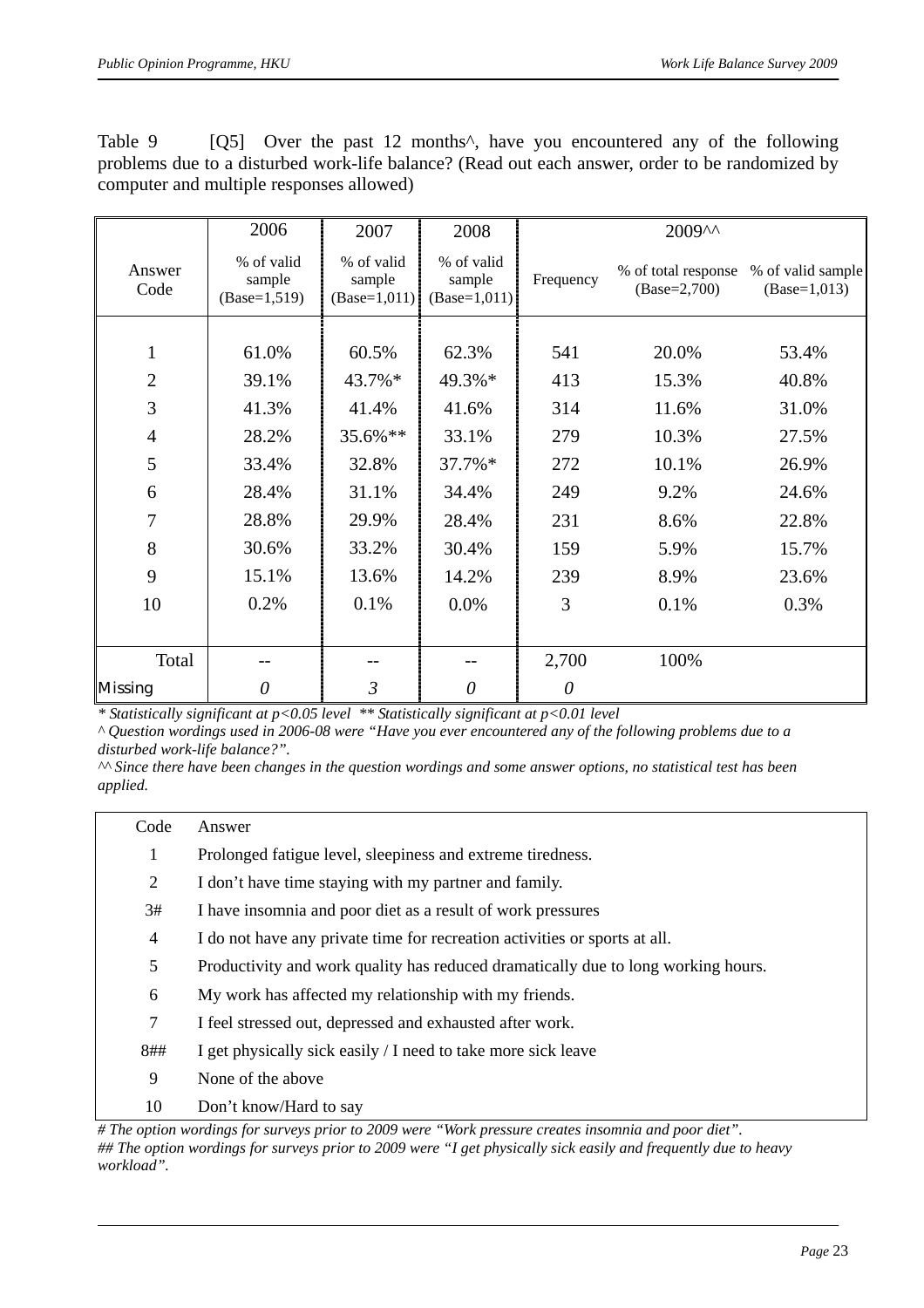| Table 9 |                                          |  |  |  |  | [Q5] Over the past 12 months <sup>2</sup> , have you encountered any of the following           |
|---------|------------------------------------------|--|--|--|--|-------------------------------------------------------------------------------------------------|
|         |                                          |  |  |  |  | problems due to a disturbed work-life balance? (Read out each answer, order to be randomized by |
|         | computer and multiple responses allowed) |  |  |  |  |                                                                                                 |

|                | 2006                                   | 2007                                   | 2008                                   | 2009^^    |                                       |                                     |
|----------------|----------------------------------------|----------------------------------------|----------------------------------------|-----------|---------------------------------------|-------------------------------------|
| Answer<br>Code | % of valid<br>sample<br>$(Base=1,519)$ | % of valid<br>sample<br>$(Base=1,011)$ | % of valid<br>sample<br>$(Base=1,011)$ | Frequency | % of total response<br>$(Base=2,700)$ | % of valid sample<br>$(Base=1,013)$ |
|                |                                        |                                        |                                        |           |                                       |                                     |
| 1              | 61.0%                                  | 60.5%                                  | 62.3%                                  | 541       | 20.0%                                 | 53.4%                               |
| $\overline{2}$ | 39.1%                                  | 43.7%*                                 | 49.3%*                                 | 413       | 15.3%                                 | 40.8%                               |
| 3              | 41.3%                                  | 41.4%                                  | 41.6%                                  | 314       | 11.6%                                 | 31.0%                               |
| $\overline{4}$ | 28.2%                                  | 35.6%**                                | 33.1%                                  | 279       | 10.3%                                 | 27.5%                               |
| 5              | 33.4%                                  | 32.8%                                  | 37.7%*                                 | 272       | 10.1%                                 | 26.9%                               |
| 6              | 28.4%                                  | 31.1%                                  | 34.4%                                  | 249       | 9.2%                                  | 24.6%                               |
| 7              | 28.8%                                  | 29.9%                                  | 28.4%                                  | 231       | 8.6%                                  | 22.8%                               |
| 8              | 30.6%                                  | 33.2%                                  | 30.4%                                  | 159       | 5.9%                                  | 15.7%                               |
| 9              | 15.1%                                  | 13.6%                                  | 14.2%                                  | 239       | 8.9%                                  | 23.6%                               |
| 10             | 0.2%                                   | 0.1%                                   | 0.0%                                   | 3         | 0.1%                                  | 0.3%                                |
|                |                                        |                                        |                                        |           |                                       |                                     |
| Total          |                                        |                                        |                                        | 2,700     | 100%                                  |                                     |
| <b>Missing</b> | $\theta$                               | $\mathfrak{Z}$                         | $\theta$                               | $\theta$  |                                       |                                     |

*^ Question wordings used in 2006-08 were "Have you ever encountered any of the following problems due to a disturbed work-life balance?".* 

*^^ Since there have been changes in the question wordings and some answer options, no statistical test has been applied.* 

| Code           | Answer                                                                            |
|----------------|-----------------------------------------------------------------------------------|
| 1              | Prolonged fatigue level, sleepiness and extreme tiredness.                        |
| 2              | I don't have time staying with my partner and family.                             |
| 3#             | I have insomnia and poor diet as a result of work pressures                       |
| 4              | I do not have any private time for recreation activities or sports at all.        |
| 5              | Productivity and work quality has reduced dramatically due to long working hours. |
| 6              | My work has affected my relationship with my friends.                             |
| $\overline{7}$ | I feel stressed out, depressed and exhausted after work.                          |
| 8##            | I get physically sick easily / I need to take more sick leave                     |
| 9              | None of the above                                                                 |
| 10             | Don't know/Hard to say                                                            |

*<sup>#</sup> The option wordings for surveys prior to 2009 were "Work pressure creates insomnia and poor diet". ## The option wordings for surveys prior to 2009 were "I get physically sick easily and frequently due to heavy workload".*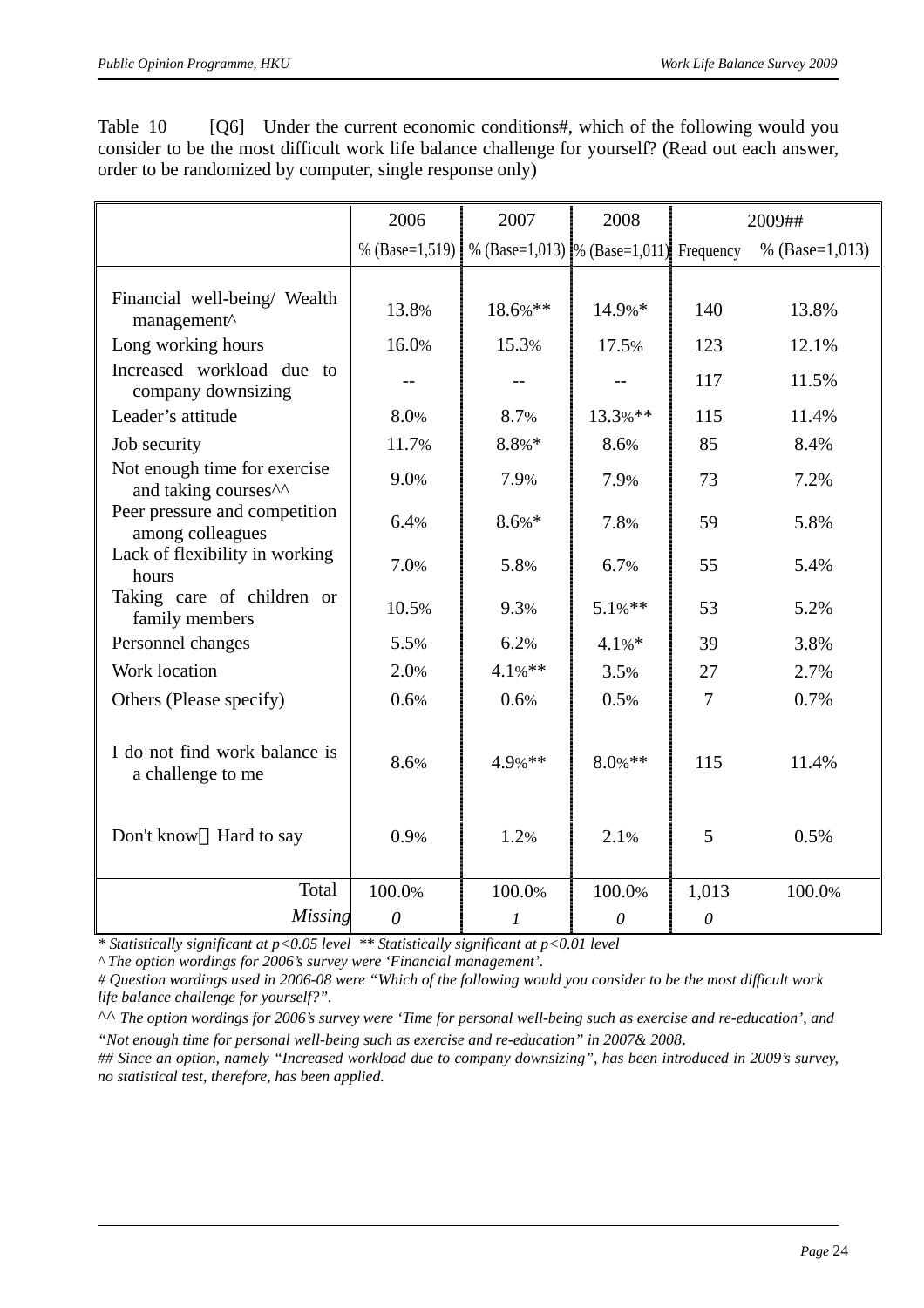|                                                                  | 2006             | 2007                                      | 2008       |          | 2009##           |
|------------------------------------------------------------------|------------------|-------------------------------------------|------------|----------|------------------|
|                                                                  | % $(Base=1,519)$ | % (Base=1,013)  % (Base=1,011). Frequency |            |          | % $(Base=1,013)$ |
| Financial well-being/ Wealth<br>management <sup>^</sup>          | 13.8%            | 18.6%**                                   | 14.9%*     | 140      | 13.8%            |
| Long working hours                                               | 16.0%            | 15.3%                                     | 17.5%      | 123      | 12.1%            |
| Increased workload due to<br>company downsizing                  |                  |                                           |            | 117      | 11.5%            |
| Leader's attitude                                                | 8.0%             | 8.7%                                      | 13.3%**    | 115      | 11.4%            |
| Job security                                                     | 11.7%            | $8.8%*$                                   | 8.6%       | 85       | 8.4%             |
| Not enough time for exercise<br>and taking courses <sup>^^</sup> | 9.0%             | 7.9%                                      | 7.9%       | 73       | 7.2%             |
| Peer pressure and competition<br>among colleagues                | 6.4%             | $8.6\% *$                                 | 7.8%       | 59       | 5.8%             |
| Lack of flexibility in working<br>hours                          | 7.0%             | 5.8%                                      | 6.7%       | 55       | 5.4%             |
| Taking care of children or<br>family members                     | 10.5%            | 9.3%                                      | $5.1\%$ ** | 53       | 5.2%             |
| Personnel changes                                                | 5.5%             | 6.2%                                      | 4.1%       | 39       | 3.8%             |
| Work location                                                    | 2.0%             | 4.1%**                                    | 3.5%       | 27       | 2.7%             |
| Others (Please specify)                                          | 0.6%             | 0.6%                                      | 0.5%       | 7        | 0.7%             |
| I do not find work balance is<br>a challenge to me               | 8.6%             | 4.9%**                                    | $8.0\%$ ** | 115      | 11.4%            |
| Don't know<br>Hard to say                                        | 0.9%             | 1.2%                                      | 2.1%       | 5        | 0.5%             |
| Total                                                            | 100.0%           | 100.0%                                    | 100.0%     | 1,013    | 100.0%           |
| <b>Missing</b>                                                   | $\theta$         | 1                                         | $\theta$   | $\theta$ |                  |

Table 10 [Q6] Under the current economic conditions#, which of the following would you consider to be the most difficult work life balance challenge for yourself? (Read out each answer, order to be randomized by computer, single response only)

*\* Statistically significant at p<0.05 level \*\* Statistically significant at p<0.01 level* 

*^ The option wordings for 2006's survey were 'Financial management'.* 

*# Question wordings used in 2006-08 were "Which of the following would you consider to be the most difficult work life balance challenge for yourself?".* 

^^ *The option wordings for 2006's survey were 'Time for personal well-being such as exercise and re-education', and "Not enough time for personal well-being such as exercise and re-education" in 2007& 2008*.

*## Since an option, namely "Increased workload due to company downsizing", has been introduced in 2009's survey, no statistical test, therefore, has been applied.*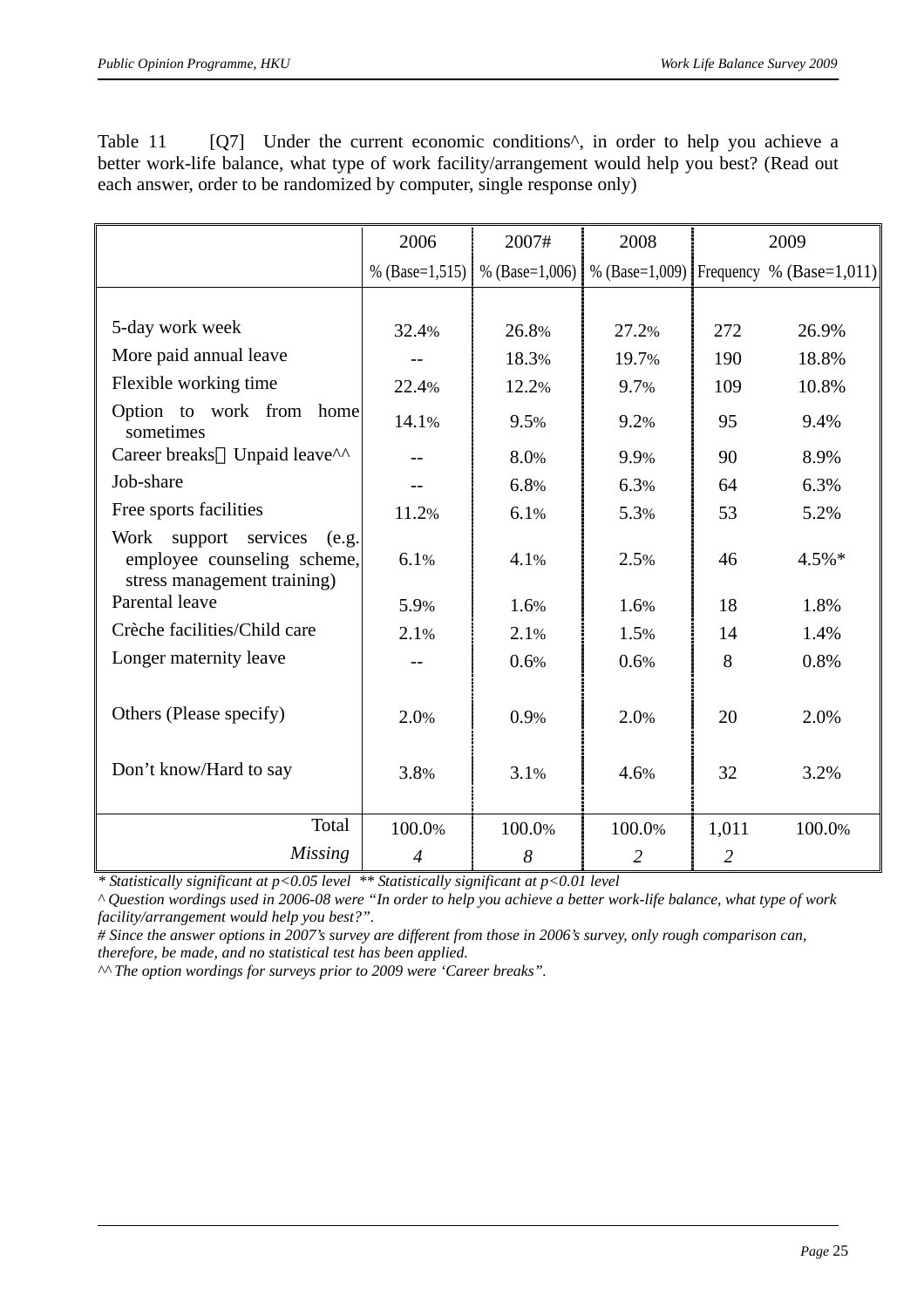|                                                                                              | 2006             | 2007#              | 2008               |                | 2009                     |
|----------------------------------------------------------------------------------------------|------------------|--------------------|--------------------|----------------|--------------------------|
|                                                                                              | % $(Base=1,515)$ | % (Base= $1,006$ ) | % (Base= $1,009$ ) |                | Frequency % (Base=1,011) |
|                                                                                              |                  |                    |                    |                |                          |
| 5-day work week                                                                              | 32.4%            | 26.8%              | 27.2%              | 272            | 26.9%                    |
| More paid annual leave                                                                       |                  | 18.3%              | 19.7%              | 190            | 18.8%                    |
| Flexible working time                                                                        | 22.4%            | 12.2%              | 9.7%               | 109            | 10.8%                    |
| Option to work from home<br>sometimes                                                        | 14.1%            | 9.5%               | 9.2%               | 95             | 9.4%                     |
| Career breaks Unpaid leave <sup>^^</sup>                                                     |                  | 8.0%               | 9.9%               | 90             | 8.9%                     |
| Job-share                                                                                    | $-$              | 6.8%               | 6.3%               | 64             | 6.3%                     |
| Free sports facilities                                                                       | 11.2%            | 6.1%               | 5.3%               | 53             | 5.2%                     |
| Work support services<br>(e.g.<br>employee counseling scheme,<br>stress management training) | 6.1%             | 4.1%               | 2.5%               | 46             | $4.5\%*$                 |
| Parental leave                                                                               | 5.9%             | 1.6%               | 1.6%               | 18             | 1.8%                     |
| Crèche facilities/Child care                                                                 | 2.1%             | 2.1%               | 1.5%               | 14             | 1.4%                     |
| Longer maternity leave                                                                       | $-$              | 0.6%               | 0.6%               | 8              | 0.8%                     |
| Others (Please specify)                                                                      | 2.0%             | 0.9%               | 2.0%               | 20             | 2.0%                     |
| Don't know/Hard to say                                                                       | 3.8%             | 3.1%               | 4.6%               | 32             | 3.2%                     |
| Total                                                                                        | 100.0%           | 100.0%             | 100.0%             | 1,011          | 100.0%                   |
| <b>Missing</b>                                                                               | $\overline{4}$   | 8                  | $\overline{2}$     | $\overline{2}$ |                          |

Table 11 [Q7] Under the current economic conditions<sup> $\wedge$ </sup>, in order to help you achieve a better work-life balance, what type of work facility/arrangement would help you best? (Read out each answer, order to be randomized by computer, single response only)

*\* Statistically significant at p<0.05 level \*\* Statistically significant at p<0.01 level* 

*^ Question wordings used in 2006-08 were "In order to help you achieve a better work-life balance, what type of work facility/arrangement would help you best?".* 

*# Since the answer options in 2007's survey are different from those in 2006's survey, only rough comparison can,* 

*therefore, be made, and no statistical test has been applied.*

*^^ The option wordings for surveys prior to 2009 were 'Career breaks".*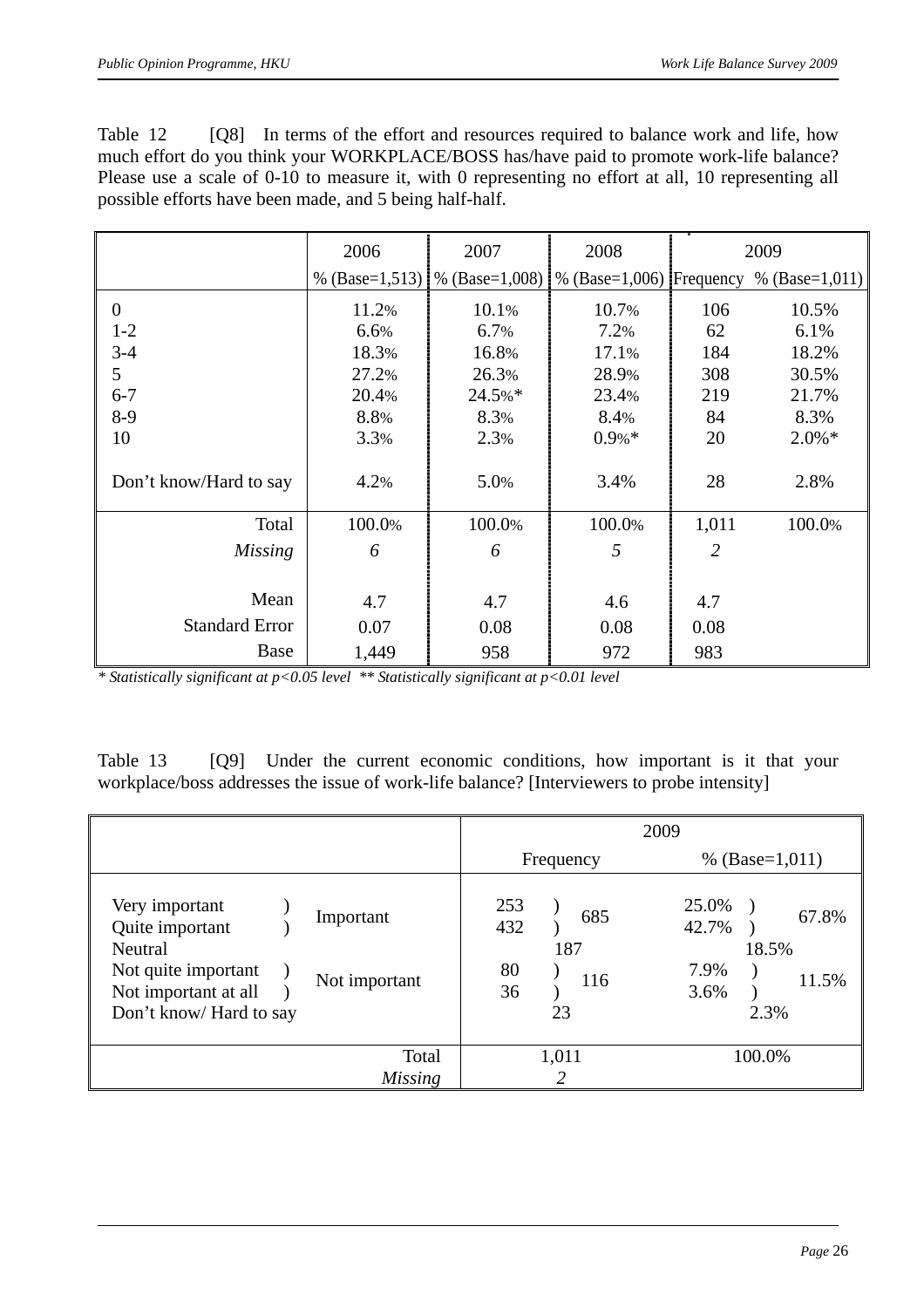Table 12 [Q8] In terms of the effort and resources required to balance work and life, how much effort do you think your WORKPLACE/BOSS has/have paid to promote work-life balance? Please use a scale of 0-10 to measure it, with 0 representing no effort at all, 10 representing all possible efforts have been made, and 5 being half-half.

|                        | 2006             | 2007                                                            | 2008    |       | 2009             |
|------------------------|------------------|-----------------------------------------------------------------|---------|-------|------------------|
|                        | % $(Base=1,513)$ | $\frac{1}{6}$ (Base=1,008) $\frac{1}{6}$ (Base=1,006) Frequency |         |       | % $(Base=1,011)$ |
| $\overline{0}$         | 11.2%            | 10.1%                                                           | 10.7%   | 106   | 10.5%            |
| $1 - 2$                | 6.6%             | 6.7%                                                            | 7.2%    | 62    | 6.1%             |
| $3 - 4$                | 18.3%            | 16.8%                                                           | 17.1%   | 184   | 18.2%            |
| 5                      | 27.2%            | 26.3%                                                           | 28.9%   | 308   | 30.5%            |
| $6 - 7$                | 20.4%            | 24.5%*                                                          | 23.4%   | 219   | 21.7%            |
| $8-9$                  | 8.8%             | 8.3%                                                            | 8.4%    | 84    | 8.3%             |
| 10                     | 3.3%             | 2.3%                                                            | $0.9%*$ | 20    | $2.0\%*$         |
|                        |                  |                                                                 |         |       |                  |
| Don't know/Hard to say | 4.2%             | 5.0%                                                            | 3.4%    | 28    | 2.8%             |
|                        |                  |                                                                 |         |       |                  |
| Total                  | 100.0%           | 100.0%                                                          | 100.0%  | 1,011 | 100.0%           |
| <b>Missing</b>         | 6                | 6                                                               | 5       | 2     |                  |
|                        |                  |                                                                 |         |       |                  |
| Mean                   | 4.7              | 4.7                                                             | 4.6     | 4.7   |                  |
| <b>Standard Error</b>  | 0.07             | 0.08                                                            | 0.08    | 0.08  |                  |
| Base                   | 1,449            | 958                                                             | 972     | 983   |                  |

*\* Statistically significant at p<0.05 level \*\* Statistically significant at p<0.01 level* 

Table 13 [Q9] Under the current economic conditions, how important is it that your workplace/boss addresses the issue of work-life balance? [Interviewers to probe intensity]

|                                                                                                                                                      |                                                   | 2009                                                              |
|------------------------------------------------------------------------------------------------------------------------------------------------------|---------------------------------------------------|-------------------------------------------------------------------|
|                                                                                                                                                      | Frequency                                         | % $(Base=1,011)$                                                  |
| Very important<br>Important<br>Quite important<br>Neutral<br>Not quite important<br>Not important<br>Not important at all<br>Don't know/ Hard to say | 253<br>685<br>432<br>187<br>80<br>116<br>36<br>23 | 25.0%<br>67.8%<br>42.7%<br>18.5%<br>7.9%<br>11.5%<br>3.6%<br>2.3% |
| Total                                                                                                                                                | 1,011                                             | 100.0%                                                            |
| <i>Missing</i>                                                                                                                                       |                                                   |                                                                   |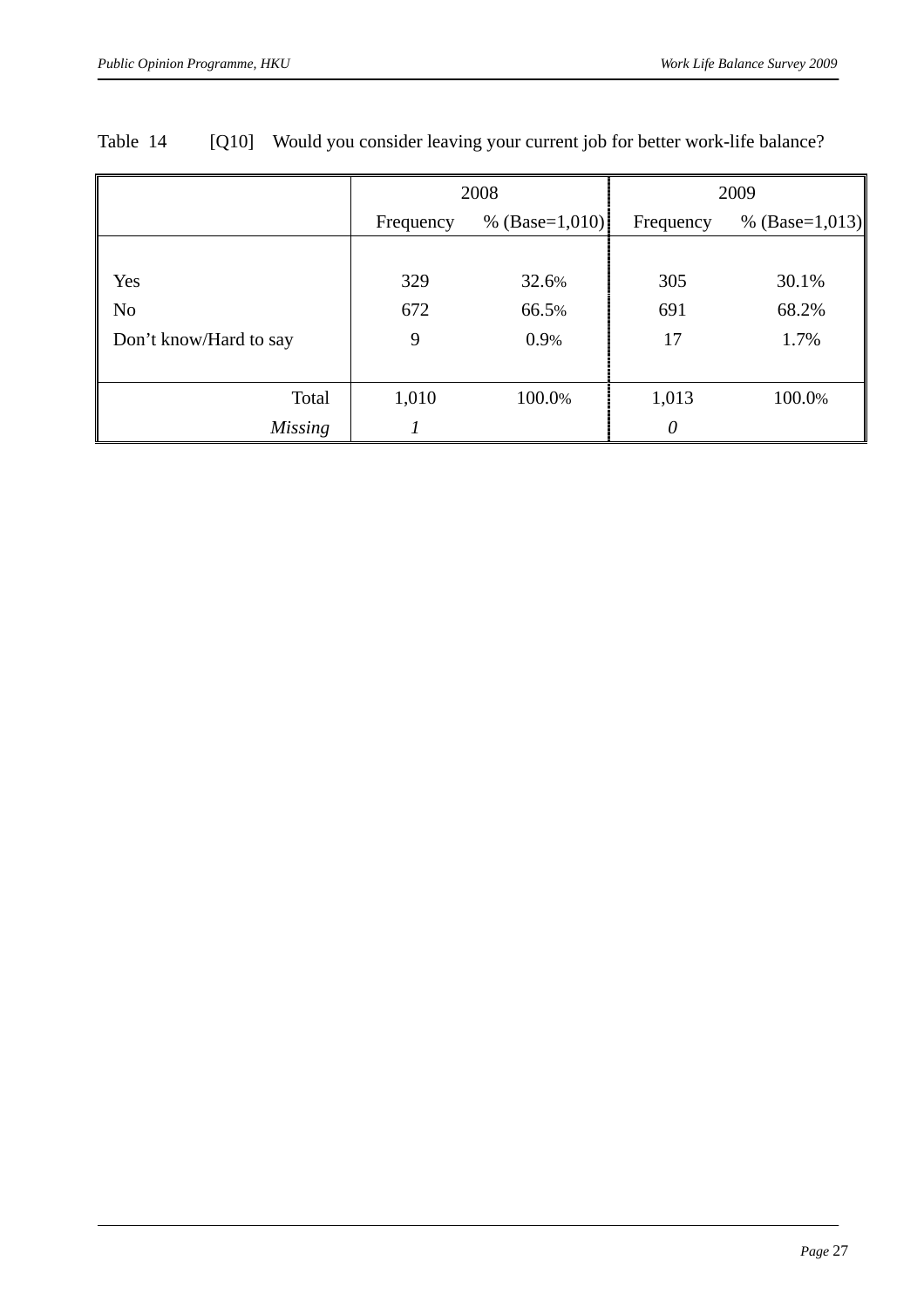|                        |                               | 2008   | 2009      |                    |  |
|------------------------|-------------------------------|--------|-----------|--------------------|--|
|                        | % $(Base=1,010)$<br>Frequency |        | Frequency | % (Base= $1,013$ ) |  |
|                        |                               |        |           |                    |  |
| Yes                    | 329                           | 32.6%  | 305       | 30.1%              |  |
| N <sub>o</sub>         | 672                           | 66.5%  | 691       | 68.2%              |  |
| Don't know/Hard to say | 9                             | 0.9%   | 17        | 1.7%               |  |
|                        |                               |        |           |                    |  |
| Total                  | 1,010                         | 100.0% | 1,013     | 100.0%             |  |
| <b>Missing</b>         |                               |        | $\theta$  |                    |  |

#### Table 14 [Q10] Would you consider leaving your current job for better work-life balance?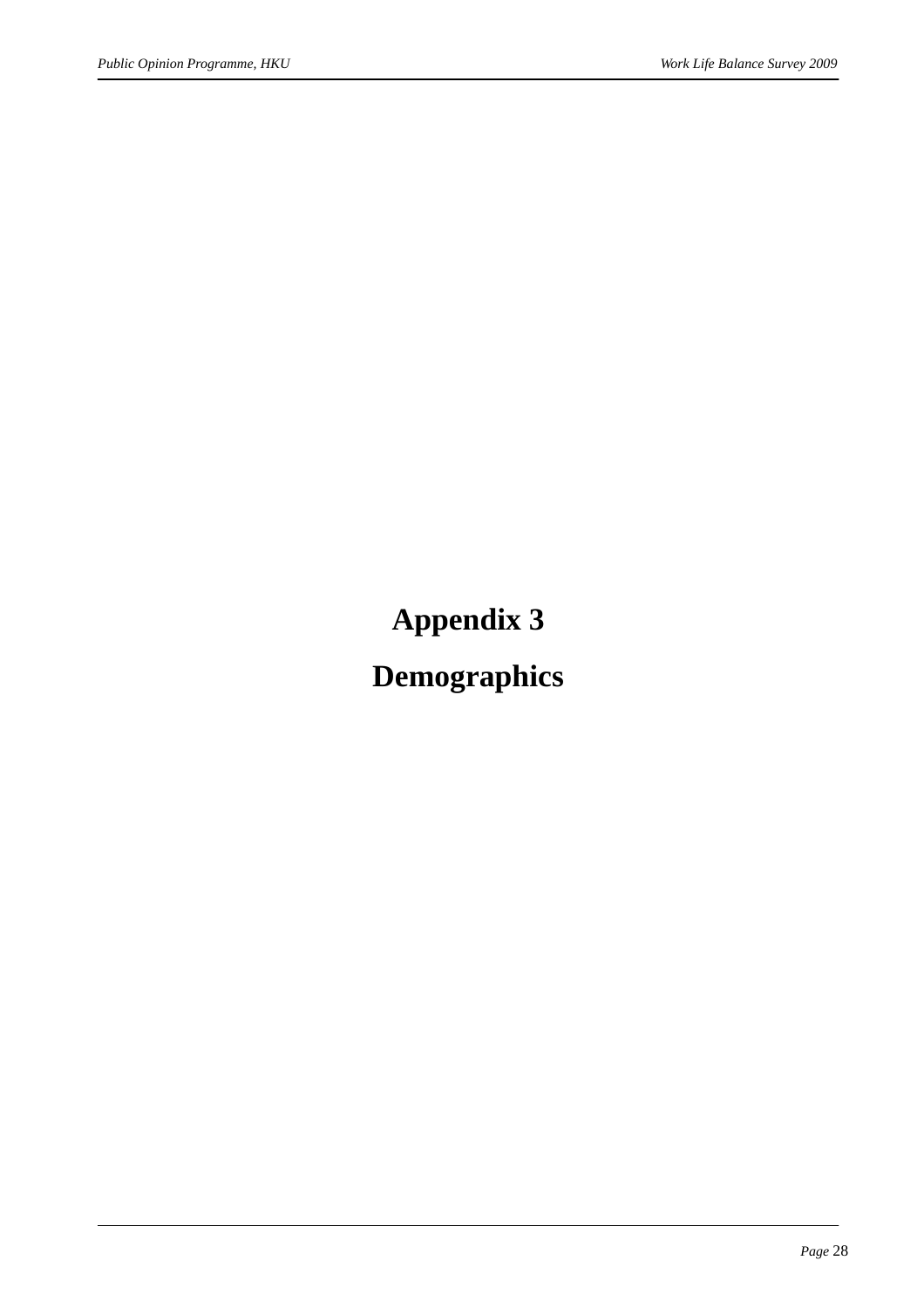## **Appendix 3**

### **Demographics**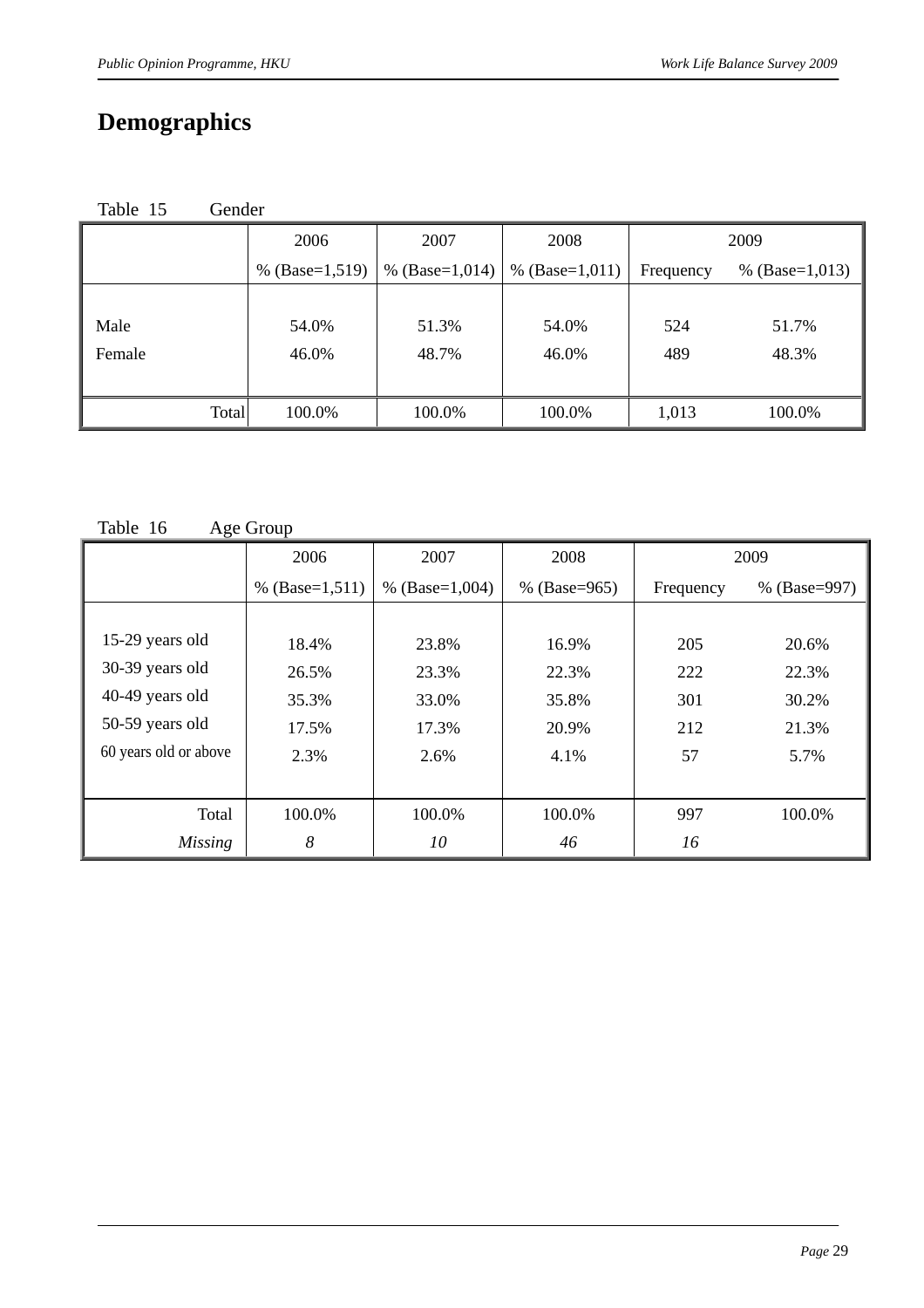### **Demographics**

| Table 15<br><b>Gender</b> |
|---------------------------|
|---------------------------|

|        | 2006             | 2007             | 2008             | 2009      |                  |
|--------|------------------|------------------|------------------|-----------|------------------|
|        | % $(Base=1,519)$ | % $(Base=1,014)$ | % $(Base=1,011)$ | Frequency | % $(Base=1,013)$ |
|        |                  |                  |                  |           |                  |
| Male   | 54.0%            | 51.3%            | 54.0%            | 524       | 51.7%            |
| Female | 46.0%            | 48.7%            | 46.0%            | 489       | 48.3%            |
|        |                  |                  |                  |           |                  |
| Total  | 100.0%           | 100.0%           | 100.0%           | 1,013     | 100.0%           |

Table 16 Age Group

|                       | 2006             | 2007               | 2008             |           | 2009         |
|-----------------------|------------------|--------------------|------------------|-----------|--------------|
|                       | % $(Base=1,511)$ | % (Base= $1,004$ ) | % $(Base = 965)$ | Frequency | % (Base=997) |
|                       |                  |                    |                  |           |              |
| 15-29 years old       | 18.4%            | 23.8%              | 16.9%            | 205       | 20.6%        |
| 30-39 years old       | 26.5%            | 23.3%              | 22.3%            | 222       | 22.3%        |
| 40-49 years old       | 35.3%            | 33.0%              | 35.8%            | 301       | 30.2%        |
| 50-59 years old       | 17.5%            | 17.3%              | 20.9%            | 212       | 21.3%        |
| 60 years old or above | 2.3%             | 2.6%               | 4.1%             | 57        | 5.7%         |
|                       |                  |                    |                  |           |              |
| Total                 | 100.0%           | 100.0%             | 100.0%           | 997       | 100.0%       |
| <i>Missing</i>        | 8                | 10                 | 46               | 16        |              |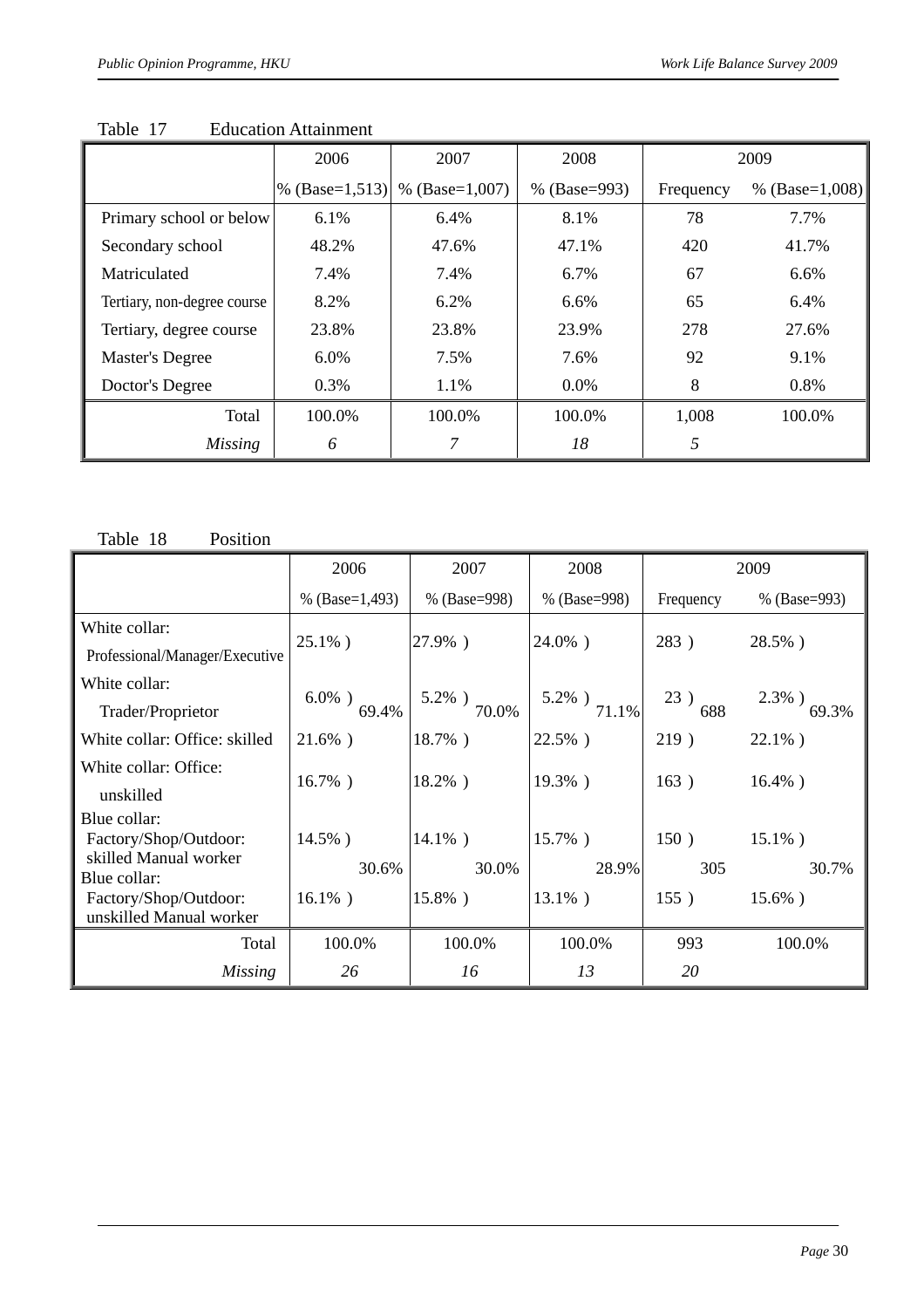|                             | 2006             | 2007             | 2008         |           | 2009             |
|-----------------------------|------------------|------------------|--------------|-----------|------------------|
|                             | % $(Base=1,513)$ | % $(Base=1,007)$ | % (Base=993) | Frequency | % $(Base=1,008)$ |
| Primary school or below     | 6.1%             | 6.4%             | 8.1%         | 78        | 7.7%             |
| Secondary school            | 48.2%            | 47.6%            | 47.1%        | 420       | 41.7%            |
| Matriculated                | 7.4%             | 7.4%             | 6.7%         | 67        | 6.6%             |
| Tertiary, non-degree course | 8.2%             | 6.2%             | 6.6%         | 65        | 6.4%             |
| Tertiary, degree course     | 23.8%            | 23.8%            | 23.9%        | 278       | 27.6%            |
| Master's Degree             | 6.0%             | 7.5%             | 7.6%         | 92        | 9.1%             |
| Doctor's Degree             | 0.3%             | 1.1%             | $0.0\%$      | 8         | 0.8%             |
| Total                       | 100.0%           | 100.0%           | 100.0%       | 1,008     | 100.0%           |
| <b>Missing</b>              | 6                |                  | 18           | 5         |                  |

Table 17 Education Attainment

Table 18 Position

|                                                | 2006               | 2007               | 2008           |            | 2009               |
|------------------------------------------------|--------------------|--------------------|----------------|------------|--------------------|
|                                                | % $(Base=1,493)$   | % (Base=998)       | % (Base=998)   | Frequency  | % (Base=993)       |
| White collar:                                  |                    |                    |                |            |                    |
| Professional/Manager/Executive                 | $25.1\%$ )         | 27.9%)             | 24.0%)         | 283)       | 28.5%)             |
| White collar:                                  |                    |                    |                |            |                    |
| Trader/Proprietor                              | $6.0\%$ )<br>69.4% | $5.2\%$ )<br>70.0% | 5.2%) $71.1\%$ | 23)<br>688 | $2.3\%$ )<br>69.3% |
| White collar: Office: skilled                  | $21.6\%$ )         | $18.7\%$ )         | 22.5%)         | 219)       | $22.1\%$ )         |
| White collar: Office:                          |                    |                    |                |            |                    |
| unskilled                                      | $16.7\%$ )         | 18.2%)             | 19.3%)         | 163)       | $16.4\%$ )         |
| Blue collar:                                   |                    |                    |                |            |                    |
| Factory/Shop/Outdoor:<br>skilled Manual worker | $14.5\%$ )         | $14.1\%$ )         | 15.7%)         | 150)       | $15.1\%$ )         |
| Blue collar:                                   | 30.6%              | 30.0%              | 28.9%          | 305        | 30.7%              |
| Factory/Shop/Outdoor:                          | $16.1\%$ )         | 15.8%)             | $13.1\%$ )     | 155)       | $15.6\%$ )         |
| unskilled Manual worker                        |                    |                    |                |            |                    |
| Total                                          | 100.0%             | 100.0%             | 100.0%         | 993        | 100.0%             |
| Missing                                        | 26                 | 16                 | 13             | 20         |                    |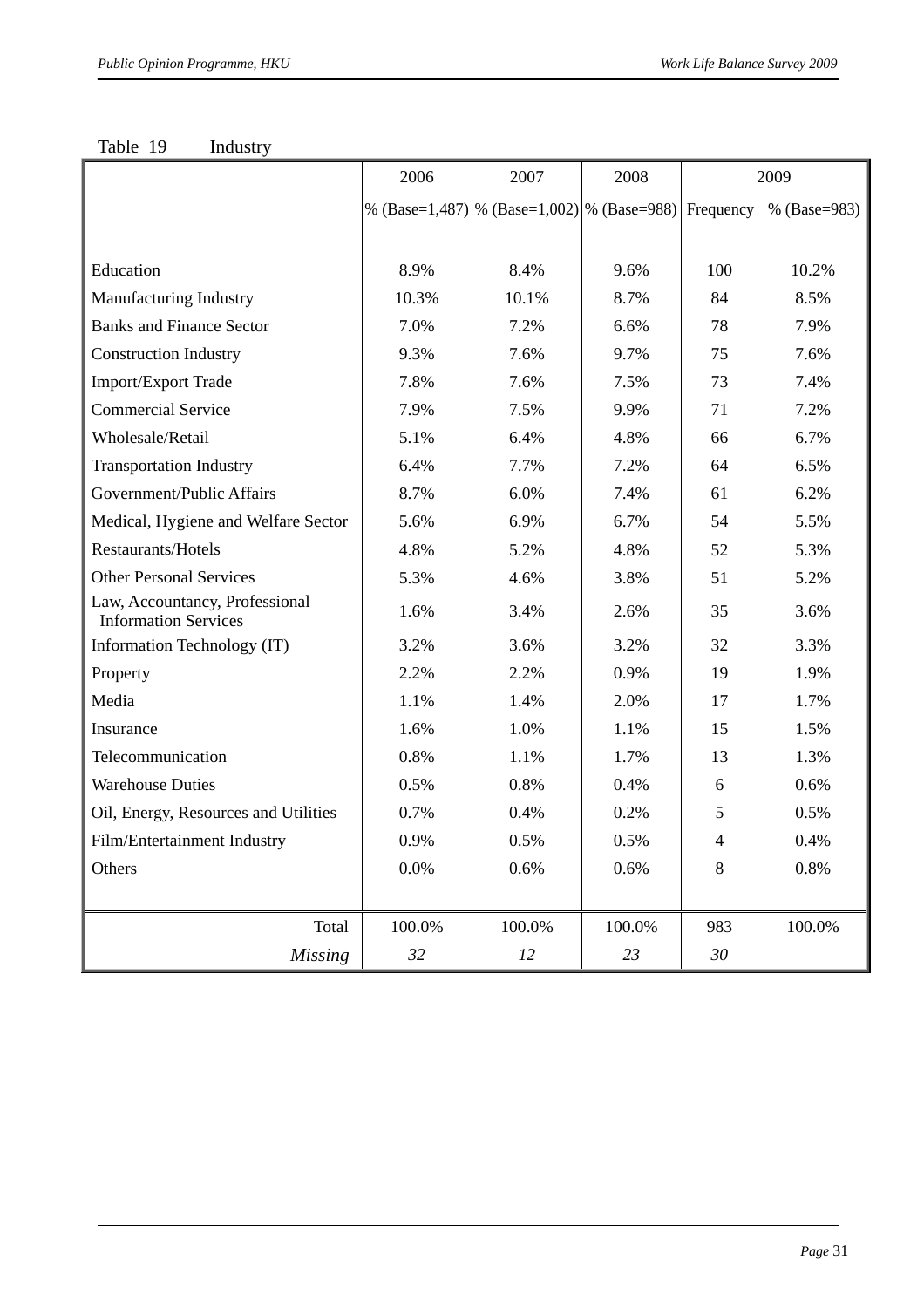|                                                               | 2006   | 2007                                           | 2008   | 2009      |              |
|---------------------------------------------------------------|--------|------------------------------------------------|--------|-----------|--------------|
|                                                               |        | % (Base=1,487)   % (Base=1,002)   % (Base=988) |        | Frequency | % (Base=983) |
|                                                               |        |                                                |        |           |              |
| Education                                                     | 8.9%   | 8.4%                                           | 9.6%   | 100       | 10.2%        |
| Manufacturing Industry                                        | 10.3%  | 10.1%                                          | 8.7%   | 84        | 8.5%         |
| <b>Banks and Finance Sector</b>                               | 7.0%   | 7.2%                                           | 6.6%   | 78        | 7.9%         |
| <b>Construction Industry</b>                                  | 9.3%   | 7.6%                                           | 9.7%   | 75        | 7.6%         |
| Import/Export Trade                                           | 7.8%   | 7.6%                                           | 7.5%   | 73        | 7.4%         |
| <b>Commercial Service</b>                                     | 7.9%   | 7.5%                                           | 9.9%   | 71        | 7.2%         |
| Wholesale/Retail                                              | 5.1%   | 6.4%                                           | 4.8%   | 66        | 6.7%         |
| <b>Transportation Industry</b>                                | 6.4%   | 7.7%                                           | 7.2%   | 64        | 6.5%         |
| Government/Public Affairs                                     | 8.7%   | 6.0%                                           | 7.4%   | 61        | 6.2%         |
| Medical, Hygiene and Welfare Sector                           | 5.6%   | 6.9%                                           | 6.7%   | 54        | 5.5%         |
| Restaurants/Hotels                                            | 4.8%   | 5.2%                                           | 4.8%   | 52        | 5.3%         |
| <b>Other Personal Services</b>                                | 5.3%   | 4.6%                                           | 3.8%   | 51        | 5.2%         |
| Law, Accountancy, Professional<br><b>Information Services</b> | 1.6%   | 3.4%                                           | 2.6%   | 35        | 3.6%         |
| Information Technology (IT)                                   | 3.2%   | 3.6%                                           | 3.2%   | 32        | 3.3%         |
| Property                                                      | 2.2%   | 2.2%                                           | 0.9%   | 19        | 1.9%         |
| Media                                                         | 1.1%   | 1.4%                                           | 2.0%   | 17        | 1.7%         |
| Insurance                                                     | 1.6%   | 1.0%                                           | 1.1%   | 15        | 1.5%         |
| Telecommunication                                             | 0.8%   | 1.1%                                           | 1.7%   | 13        | 1.3%         |
| <b>Warehouse Duties</b>                                       | 0.5%   | 0.8%                                           | 0.4%   | 6         | 0.6%         |
| Oil, Energy, Resources and Utilities                          | 0.7%   | 0.4%                                           | 0.2%   | 5         | 0.5%         |
| Film/Entertainment Industry                                   | 0.9%   | 0.5%                                           | 0.5%   | 4         | 0.4%         |
| Others                                                        | 0.0%   | 0.6%                                           | 0.6%   | 8         | 0.8%         |
|                                                               |        |                                                |        |           |              |
| Total                                                         | 100.0% | 100.0%                                         | 100.0% | 983       | 100.0%       |
| <b>Missing</b>                                                | 32     | 12                                             | 23     | 30        |              |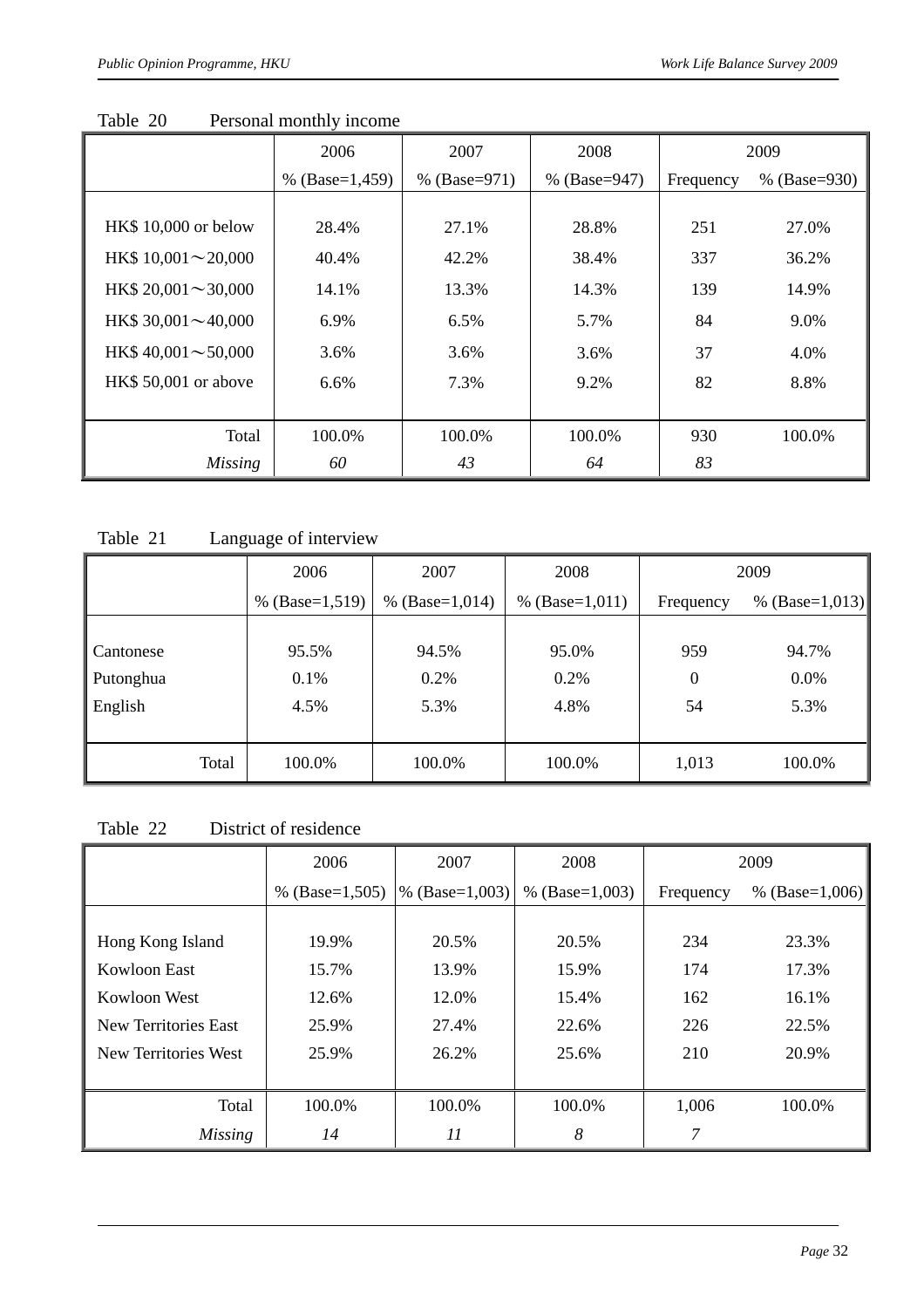|                           | 2006             | 2007           | 2008           | 2009      |                |
|---------------------------|------------------|----------------|----------------|-----------|----------------|
|                           | % $(Base=1,459)$ | % $(Base=971)$ | % $(Base=947)$ | Frequency | % $(Base=930)$ |
|                           |                  |                |                |           |                |
| HK\$ 10,000 or below      | 28.4%            | 27.1%          | 28.8%          | 251       | 27.0%          |
| HK\$ $10,001 \sim 20,000$ | 40.4%            | 42.2%          | 38.4%          | 337       | 36.2%          |
| HK\$ $20,001 \sim 30,000$ | 14.1%            | 13.3%          | 14.3%          | 139       | 14.9%          |
| HK\$ $30,001 \sim 40,000$ | 6.9%             | 6.5%           | 5.7%           | 84        | 9.0%           |
| HK\$ $40,001 \sim 50,000$ | 3.6%             | 3.6%           | 3.6%           | 37        | 4.0%           |
| HK\$ 50,001 or above      | 6.6%             | 7.3%           | 9.2%           | 82        | 8.8%           |
|                           |                  |                |                |           |                |
| Total                     | 100.0%           | 100.0%         | 100.0%         | 930       | 100.0%         |
| <b>Missing</b>            | 60               | 43             | 64             | 83        |                |

Table 20 Personal monthly income

Table 21 Language of interview

|           | 2006             | 2007<br>2008     |                  | 2009      |                    |
|-----------|------------------|------------------|------------------|-----------|--------------------|
|           | % $(Base=1,519)$ | % $(Base=1,014)$ | % $(Base=1,011)$ | Frequency | % (Base= $1,013$ ) |
|           |                  |                  |                  |           |                    |
| Cantonese | 95.5%            | 94.5%            | 95.0%            | 959       | 94.7%              |
| Putonghua | 0.1%             | 0.2%             | 0.2%             | 0         | 0.0%               |
| English   | 4.5%             | 5.3%             | 4.8%             | 54        | 5.3%               |
|           |                  |                  |                  |           |                    |
| Total     | 100.0%           | 100.0%           | 100.0%           | 1,013     | 100.0%             |

Table 22 District of residence

|                      | 2006             | 2007             | 2008               | 2009      |                  |
|----------------------|------------------|------------------|--------------------|-----------|------------------|
|                      | % $(Base=1,505)$ | % $(Base=1,003)$ | % (Base= $1,003$ ) | Frequency | % $(Base=1,006)$ |
|                      |                  |                  |                    |           |                  |
| Hong Kong Island     | 19.9%            | 20.5%            | 20.5%              | 234       | 23.3%            |
| Kowloon East         | 15.7%            | 13.9%            | 15.9%              | 174       | 17.3%            |
| Kowloon West         | 12.6%            | 12.0%            | 15.4%              | 162       | 16.1%            |
| New Territories East | 25.9%            | 27.4%            | 22.6%              | 226       | 22.5%            |
| New Territories West | 25.9%            | 26.2%            | 25.6%              | 210       | 20.9%            |
|                      |                  |                  |                    |           |                  |
| Total                | 100.0%           | 100.0%           | 100.0%             | 1,006     | 100.0%           |
| <i>Missing</i>       | 14               | 11               | 8                  | 7         |                  |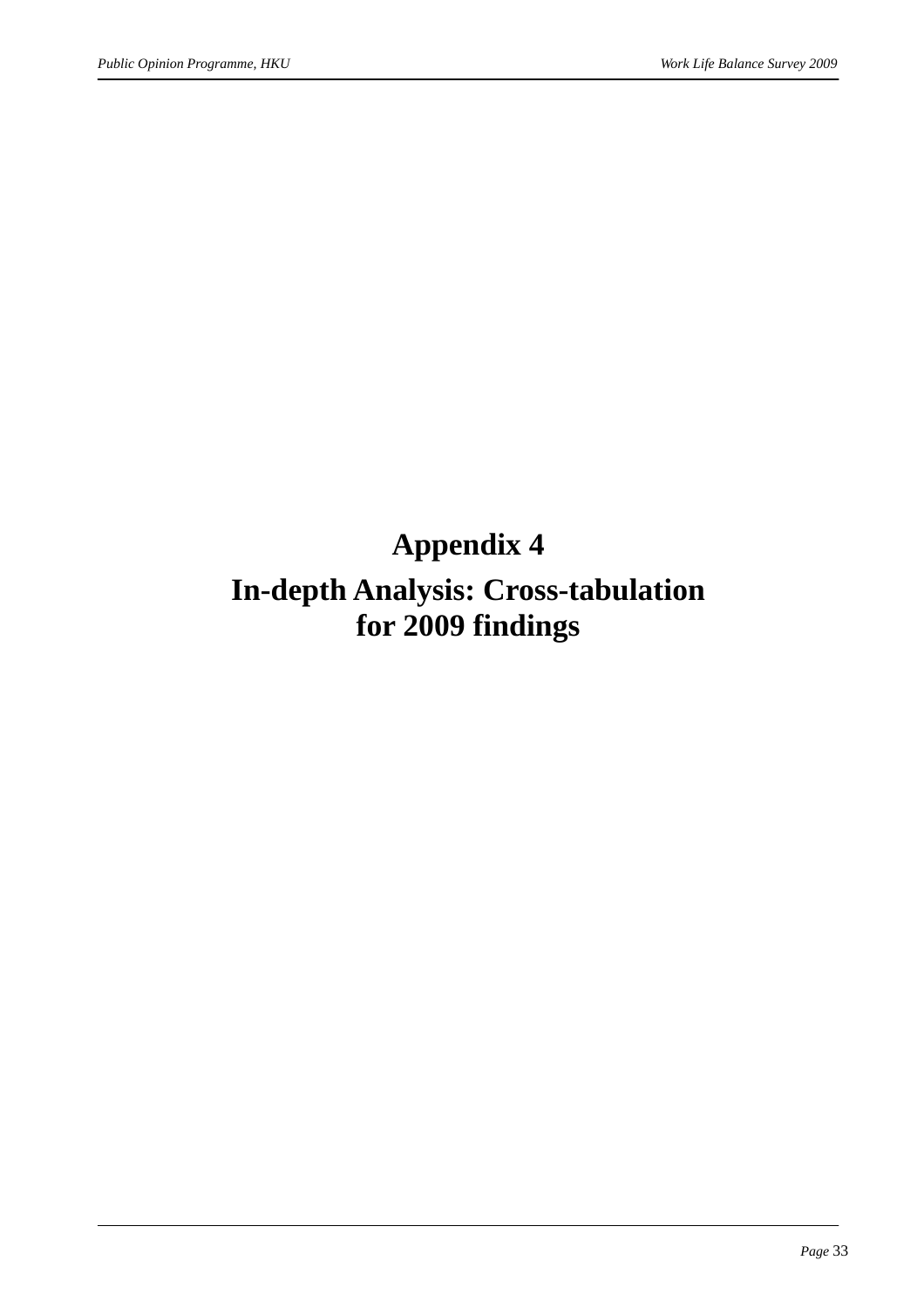### **Appendix 4**

### **In-depth Analysis: Cross-tabulation for 2009 findings**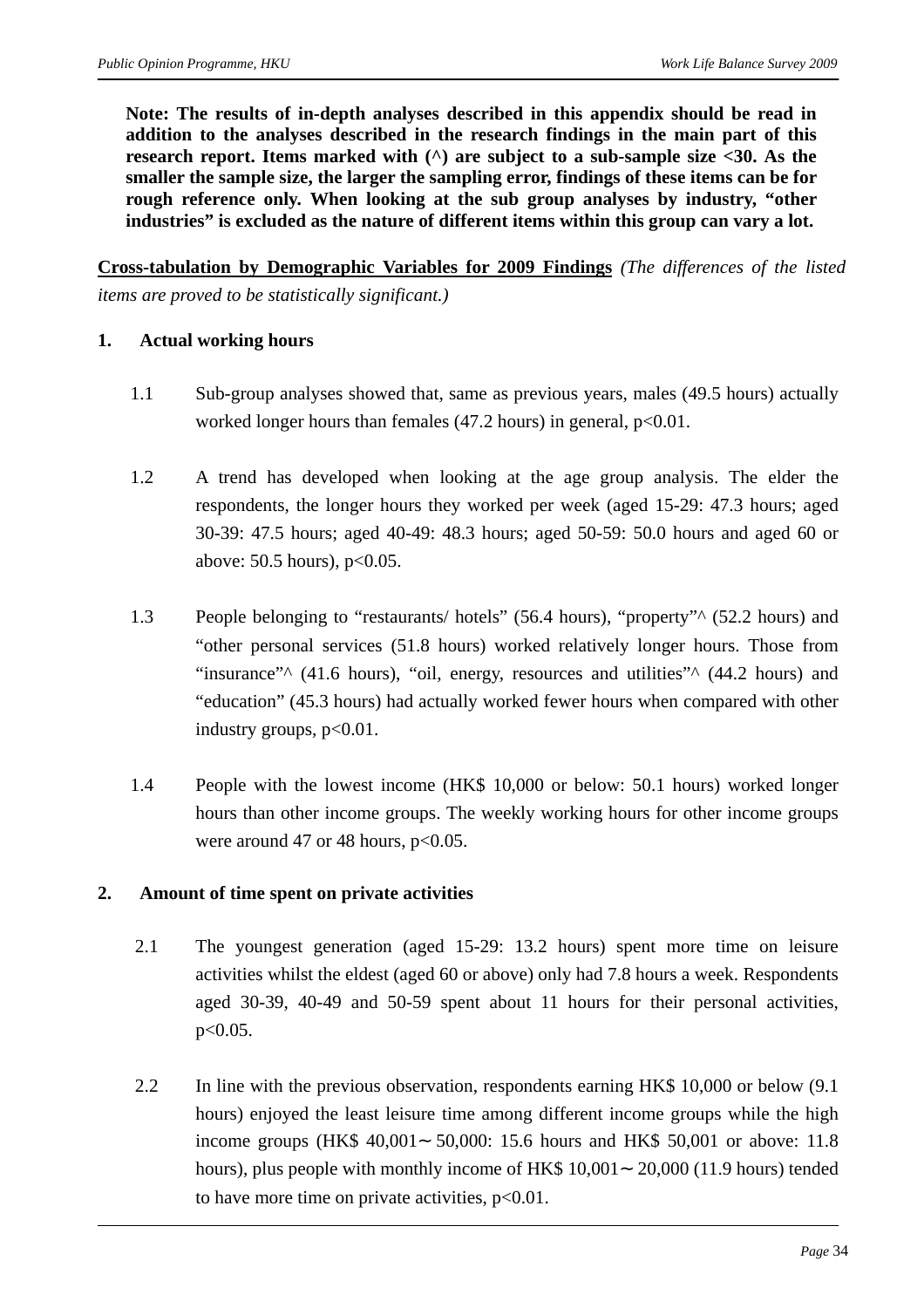**Note: The results of in-depth analyses described in this appendix should be read in addition to the analyses described in the research findings in the main part of this research report. Items marked with (^) are subject to a sub-sample size <30. As the smaller the sample size, the larger the sampling error, findings of these items can be for rough reference only. When looking at the sub group analyses by industry, "other industries" is excluded as the nature of different items within this group can vary a lot.** 

**Cross-tabulation by Demographic Variables for 2009 Findings** *(The differences of the listed items are proved to be statistically significant.)*

#### **1. Actual working hours**

- 1.1 Sub-group analyses showed that, same as previous years, males (49.5 hours) actually worked longer hours than females (47.2 hours) in general,  $p<0.01$ .
- 1.2 A trend has developed when looking at the age group analysis. The elder the respondents, the longer hours they worked per week (aged 15-29: 47.3 hours; aged 30-39: 47.5 hours; aged 40-49: 48.3 hours; aged 50-59: 50.0 hours and aged 60 or above: 50.5 hours), p<0.05.
- 1.3 People belonging to "restaurants/ hotels" (56.4 hours), "property"^ (52.2 hours) and "other personal services (51.8 hours) worked relatively longer hours. Those from "insurance"<sup> $\land$ </sup> (41.6 hours), "oil, energy, resources and utilities" $\land$  (44.2 hours) and "education" (45.3 hours) had actually worked fewer hours when compared with other industry groups,  $p<0.01$ .
- 1.4 People with the lowest income (HK\$ 10,000 or below: 50.1 hours) worked longer hours than other income groups. The weekly working hours for other income groups were around 47 or 48 hours,  $p<0.05$ .

#### **2. Amount of time spent on private activities**

- 2.1 The youngest generation (aged 15-29: 13.2 hours) spent more time on leisure activities whilst the eldest (aged 60 or above) only had 7.8 hours a week. Respondents aged 30-39, 40-49 and 50-59 spent about 11 hours for their personal activities, p<0.05.
- 2.2 In line with the previous observation, respondents earning HK\$ 10,000 or below (9.1) hours) enjoyed the least leisure time among different income groups while the high income groups (HK\$ 40,001 50,000: 15.6 hours and HK\$ 50,001 or above: 11.8 hours), plus people with monthly income of HK\$ 10,001 20,000 (11.9 hours) tended to have more time on private activities,  $p<0.01$ .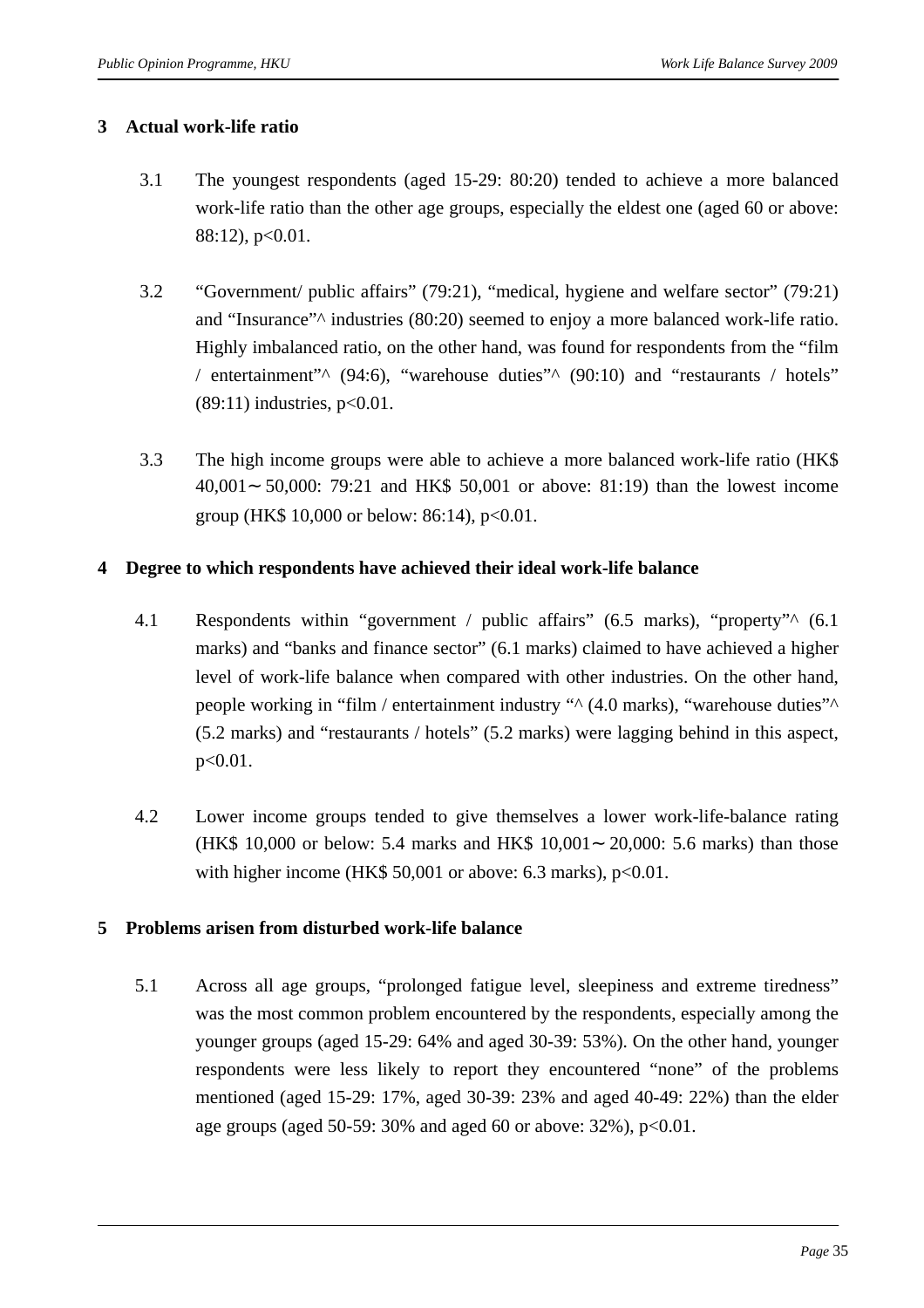#### **3 Actual work-life ratio**

- 3.1 The youngest respondents (aged 15-29: 80:20) tended to achieve a more balanced work-life ratio than the other age groups, especially the eldest one (aged 60 or above:  $88:12$ ,  $p<0.01$ .
- 3.2 "Government/ public affairs" (79:21), "medical, hygiene and welfare sector" (79:21) and "Insurance"^ industries (80:20) seemed to enjoy a more balanced work-life ratio. Highly imbalanced ratio, on the other hand, was found for respondents from the "film / entertainment" $\land$  (94:6), "warehouse duties" $\land$  (90:10) and "restaurants / hotels"  $(89:11)$  industries,  $p<0.01$ .
- 3.3 The high income groups were able to achieve a more balanced work-life ratio (HK\$ 40,001 50,000: 79:21 and HK\$ 50,001 or above: 81:19) than the lowest income group (HK\$ 10,000 or below: 86:14),  $p<0.01$ .

#### **4 Degree to which respondents have achieved their ideal work-life balance**

- 4.1 Respondents within "government / public affairs" (6.5 marks), "property"  $\wedge$  (6.1) marks) and "banks and finance sector" (6.1 marks) claimed to have achieved a higher level of work-life balance when compared with other industries. On the other hand, people working in "film / entertainment industry "^ (4.0 marks), "warehouse duties"^ (5.2 marks) and "restaurants / hotels" (5.2 marks) were lagging behind in this aspect, p<0.01.
- 4.2 Lower income groups tended to give themselves a lower work-life-balance rating (HK\$ 10,000 or below: 5.4 marks and HK\$ 10,001 20,000: 5.6 marks) than those with higher income (HK\$ 50,001 or above: 6.3 marks),  $p<0.01$ .

#### **5 Problems arisen from disturbed work-life balance**

5.1 Across all age groups, "prolonged fatigue level, sleepiness and extreme tiredness" was the most common problem encountered by the respondents, especially among the younger groups (aged 15-29: 64% and aged 30-39: 53%). On the other hand, younger respondents were less likely to report they encountered "none" of the problems mentioned (aged 15-29: 17%, aged 30-39: 23% and aged 40-49: 22%) than the elder age groups (aged 50-59:  $30\%$  and aged 60 or above:  $32\%$ ), p<0.01.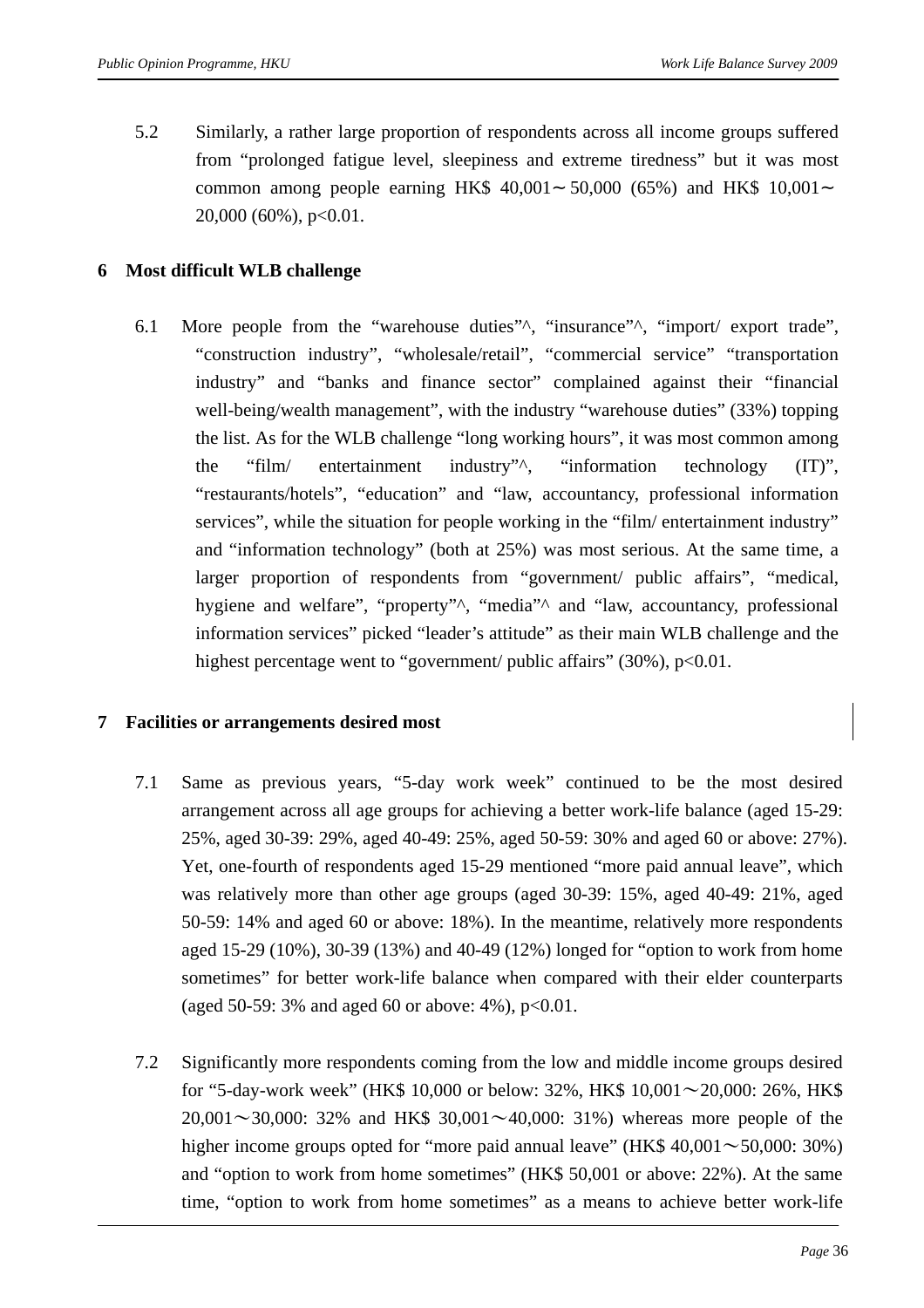5.2 Similarly, a rather large proportion of respondents across all income groups suffered from "prolonged fatigue level, sleepiness and extreme tiredness" but it was most common among people earning HK\$ 40,001 50,000 (65%) and HK\$ 10,001 20,000 (60%), p<0.01.

#### **6 Most difficult WLB challenge**

6.1 More people from the "warehouse duties"^, "insurance"^, "import/ export trade", "construction industry", "wholesale/retail", "commercial service" "transportation industry" and "banks and finance sector" complained against their "financial well-being/wealth management", with the industry "warehouse duties" (33%) topping the list. As for the WLB challenge "long working hours", it was most common among the "film/ entertainment industry"^, "information technology (IT)", "restaurants/hotels", "education" and "law, accountancy, professional information services", while the situation for people working in the "film/ entertainment industry" and "information technology" (both at 25%) was most serious. At the same time, a larger proportion of respondents from "government/ public affairs", "medical, hygiene and welfare", "property"<sup> $\wedge$ </sup>, "media"<sup> $\wedge$ </sup> and "law, accountancy, professional information services" picked "leader's attitude" as their main WLB challenge and the highest percentage went to "government/ public affairs" (30%), p<0.01.

#### **7 Facilities or arrangements desired most**

- 7.1 Same as previous years, "5-day work week" continued to be the most desired arrangement across all age groups for achieving a better work-life balance (aged 15-29: 25%, aged 30-39: 29%, aged 40-49: 25%, aged 50-59: 30% and aged 60 or above: 27%). Yet, one-fourth of respondents aged 15-29 mentioned "more paid annual leave", which was relatively more than other age groups (aged 30-39: 15%, aged 40-49: 21%, aged 50-59: 14% and aged 60 or above: 18%). In the meantime, relatively more respondents aged 15-29 (10%), 30-39 (13%) and 40-49 (12%) longed for "option to work from home sometimes" for better work-life balance when compared with their elder counterparts (aged 50-59: 3% and aged 60 or above:  $4\%$ ),  $p<0.01$ .
- 7.2 Significantly more respondents coming from the low and middle income groups desired for "5-day-work week" (HK\$ 10,000 or below: 32%, HK\$ 10,001∼20,000: 26%, HK\$ 20,001∼30,000: 32% and HK\$ 30,001∼40,000: 31%) whereas more people of the higher income groups opted for "more paid annual leave" (HK\$ 40,001∼50,000: 30%) and "option to work from home sometimes" (HK\$ 50,001 or above: 22%). At the same time, "option to work from home sometimes" as a means to achieve better work-life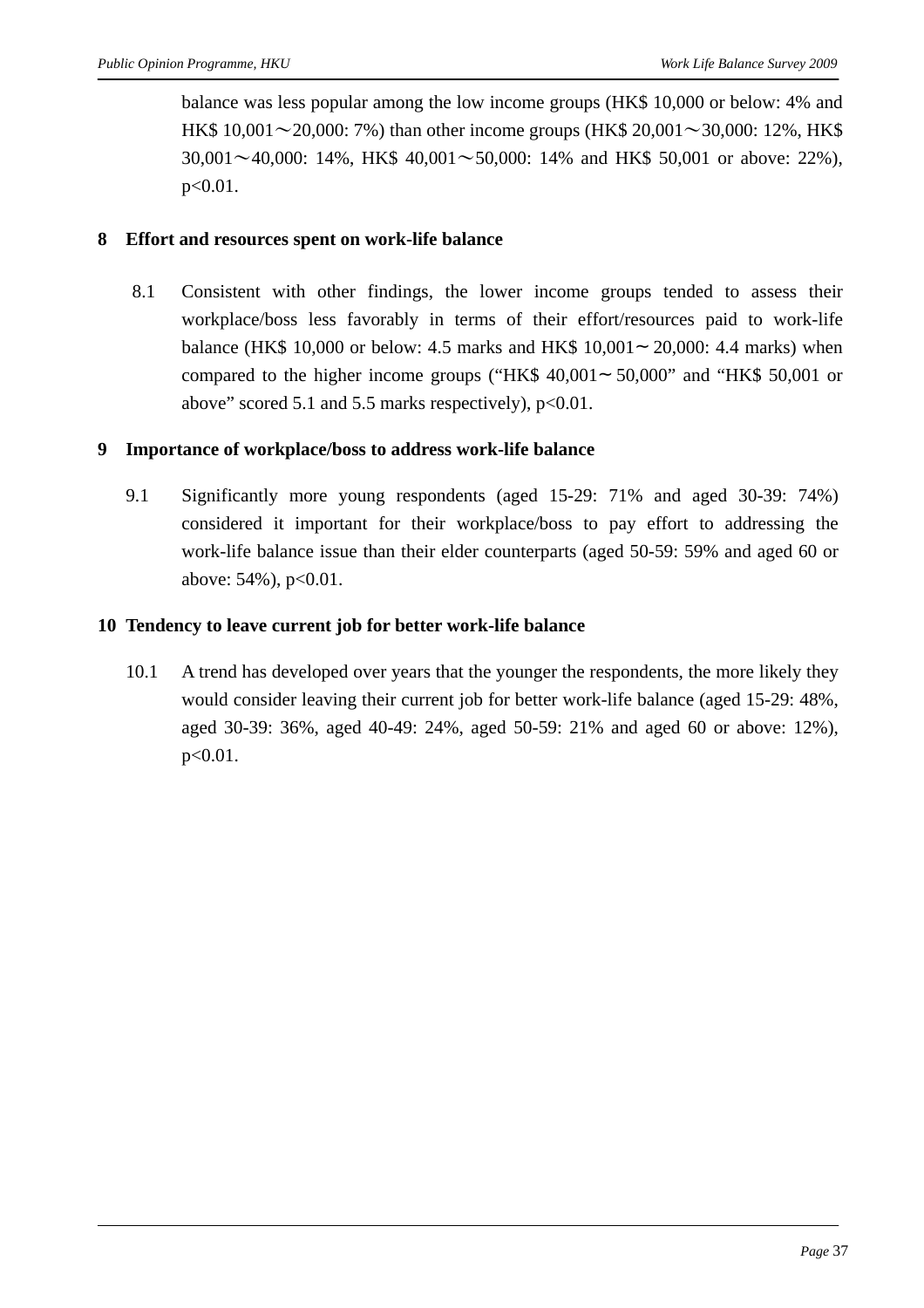balance was less popular among the low income groups (HK\$ 10,000 or below: 4% and HK\$ 10,001∼20,000: 7%) than other income groups (HK\$ 20,001∼30,000: 12%, HK\$ 30,001∼40,000: 14%, HK\$ 40,001∼50,000: 14% and HK\$ 50,001 or above: 22%), p<0.01.

#### **8 Effort and resources spent on work-life balance**

8.1 Consistent with other findings, the lower income groups tended to assess their workplace/boss less favorably in terms of their effort/resources paid to work-life balance (HK\$ 10,000 or below: 4.5 marks and HK\$ 10,001 20,000: 4.4 marks) when compared to the higher income groups ("HK\$ 40,001 50,000" and "HK\$ 50,001 or above" scored 5.1 and 5.5 marks respectively),  $p<0.01$ .

#### **9 Importance of workplace/boss to address work-life balance**

9.1 Significantly more young respondents (aged 15-29: 71% and aged 30-39: 74%) considered it important for their workplace/boss to pay effort to addressing the work-life balance issue than their elder counterparts (aged 50-59: 59% and aged 60 or above: 54%), p<0.01.

#### **10 Tendency to leave current job for better work-life balance**

10.1 A trend has developed over years that the younger the respondents, the more likely they would consider leaving their current job for better work-life balance (aged 15-29: 48%, aged 30-39: 36%, aged 40-49: 24%, aged 50-59: 21% and aged 60 or above: 12%), p<0.01.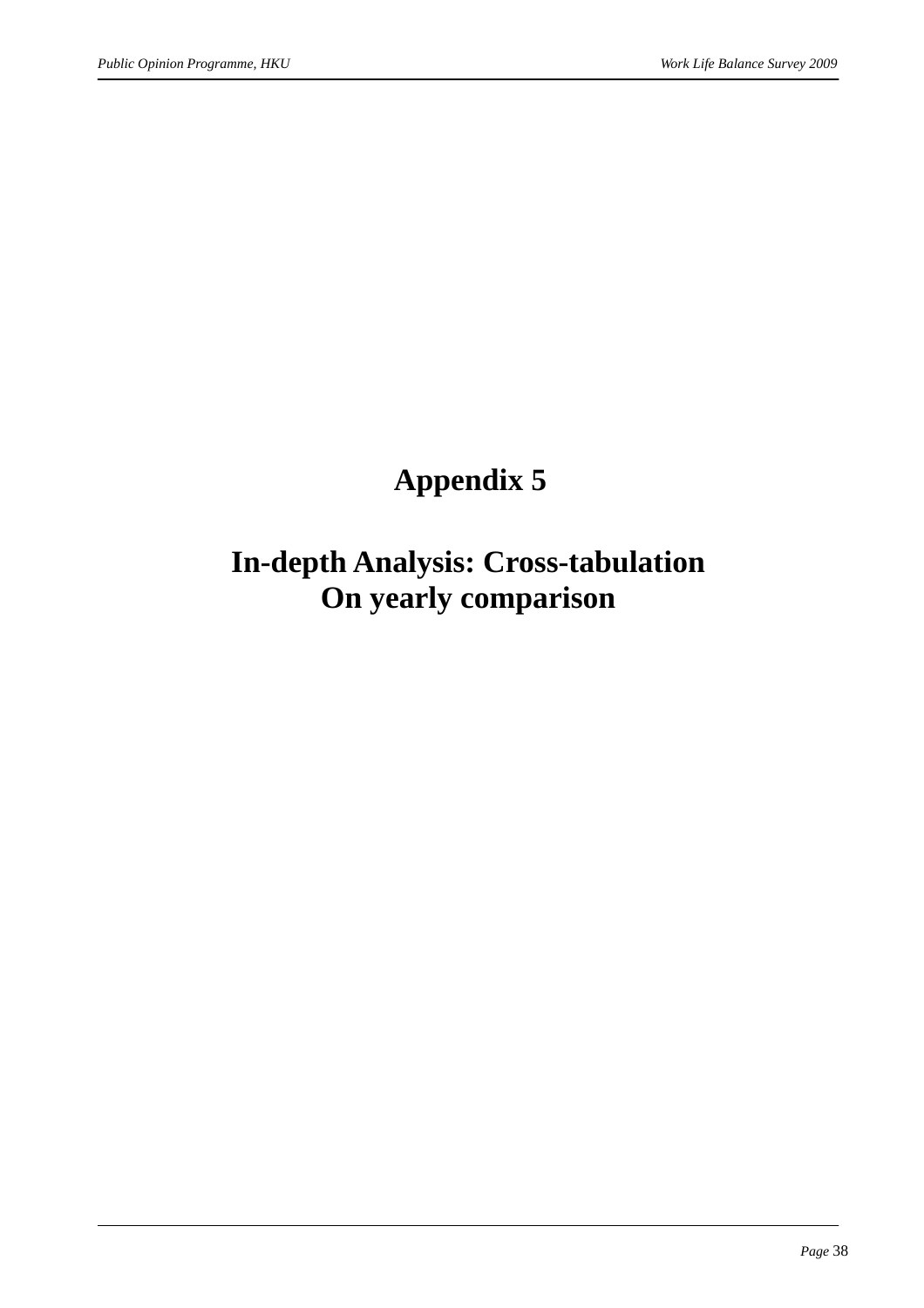### **Appendix 5**

### **In-depth Analysis: Cross-tabulation On yearly comparison**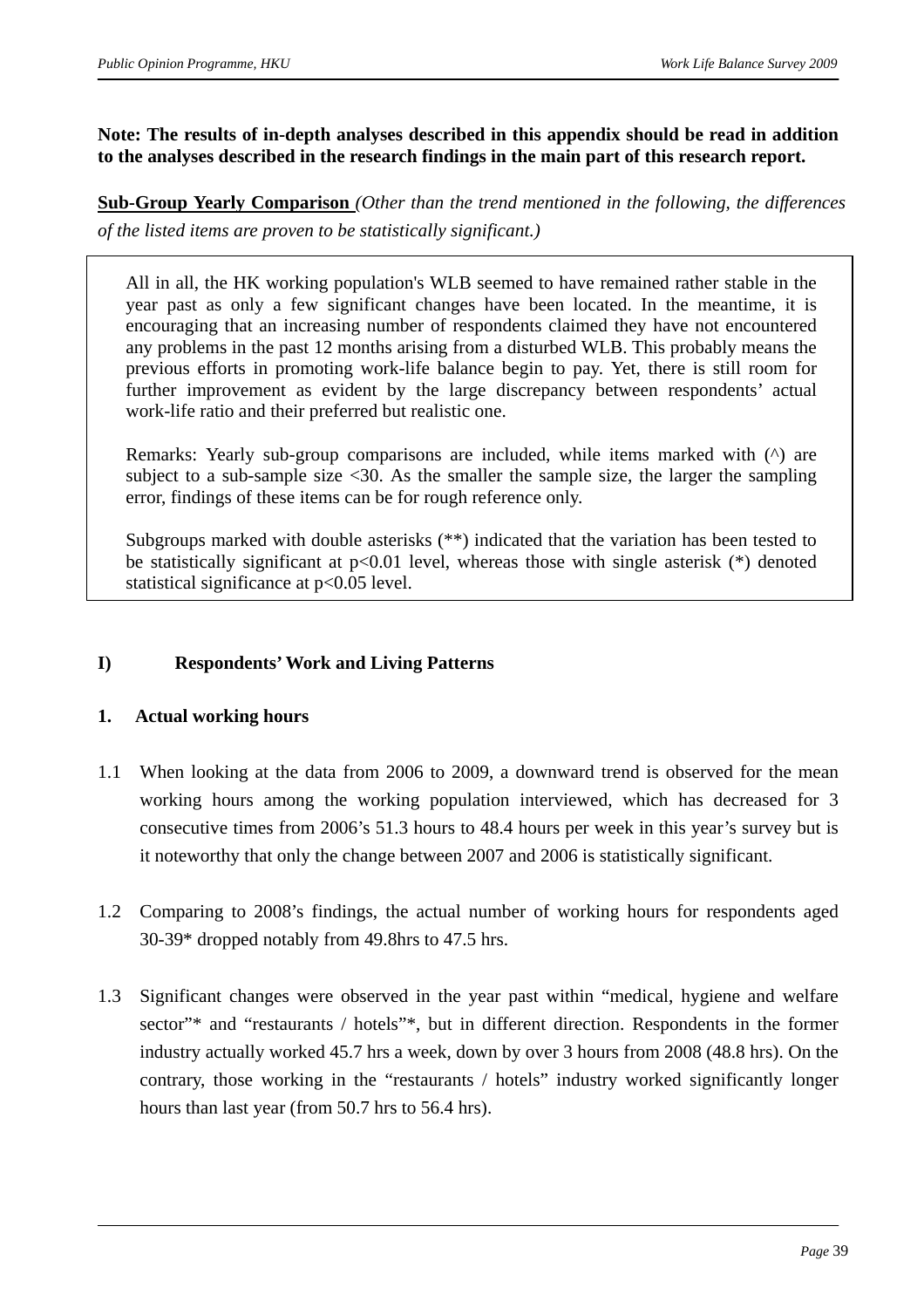#### **Note: The results of in-depth analyses described in this appendix should be read in addition to the analyses described in the research findings in the main part of this research report.**

**Sub-Group Yearly Comparison** *(Other than the trend mentioned in the following, the differences of the listed items are proven to be statistically significant.)*

All in all, the HK working population's WLB seemed to have remained rather stable in the year past as only a few significant changes have been located. In the meantime, it is encouraging that an increasing number of respondents claimed they have not encountered any problems in the past 12 months arising from a disturbed WLB. This probably means the previous efforts in promoting work-life balance begin to pay. Yet, there is still room for further improvement as evident by the large discrepancy between respondents' actual work-life ratio and their preferred but realistic one.

Remarks: Yearly sub-group comparisons are included, while items marked with ( $\land$ ) are subject to a sub-sample size  $\langle 30. \rangle$  As the smaller the sample size, the larger the sampling error, findings of these items can be for rough reference only.

Subgroups marked with double asterisks (\*\*) indicated that the variation has been tested to be statistically significant at  $p<0.01$  level, whereas those with single asterisk  $(*)$  denoted statistical significance at p<0.05 level.

#### **I) Respondents' Work and Living Patterns**

#### **1. Actual working hours**

- 1.1 When looking at the data from 2006 to 2009, a downward trend is observed for the mean working hours among the working population interviewed, which has decreased for 3 consecutive times from 2006's 51.3 hours to 48.4 hours per week in this year's survey but is it noteworthy that only the change between 2007 and 2006 is statistically significant.
- 1.2 Comparing to 2008's findings, the actual number of working hours for respondents aged 30-39\* dropped notably from 49.8hrs to 47.5 hrs.
- 1.3 Significant changes were observed in the year past within "medical, hygiene and welfare sector"\* and "restaurants / hotels"\*, but in different direction. Respondents in the former industry actually worked 45.7 hrs a week, down by over 3 hours from 2008 (48.8 hrs). On the contrary, those working in the "restaurants / hotels" industry worked significantly longer hours than last year (from 50.7 hrs to 56.4 hrs).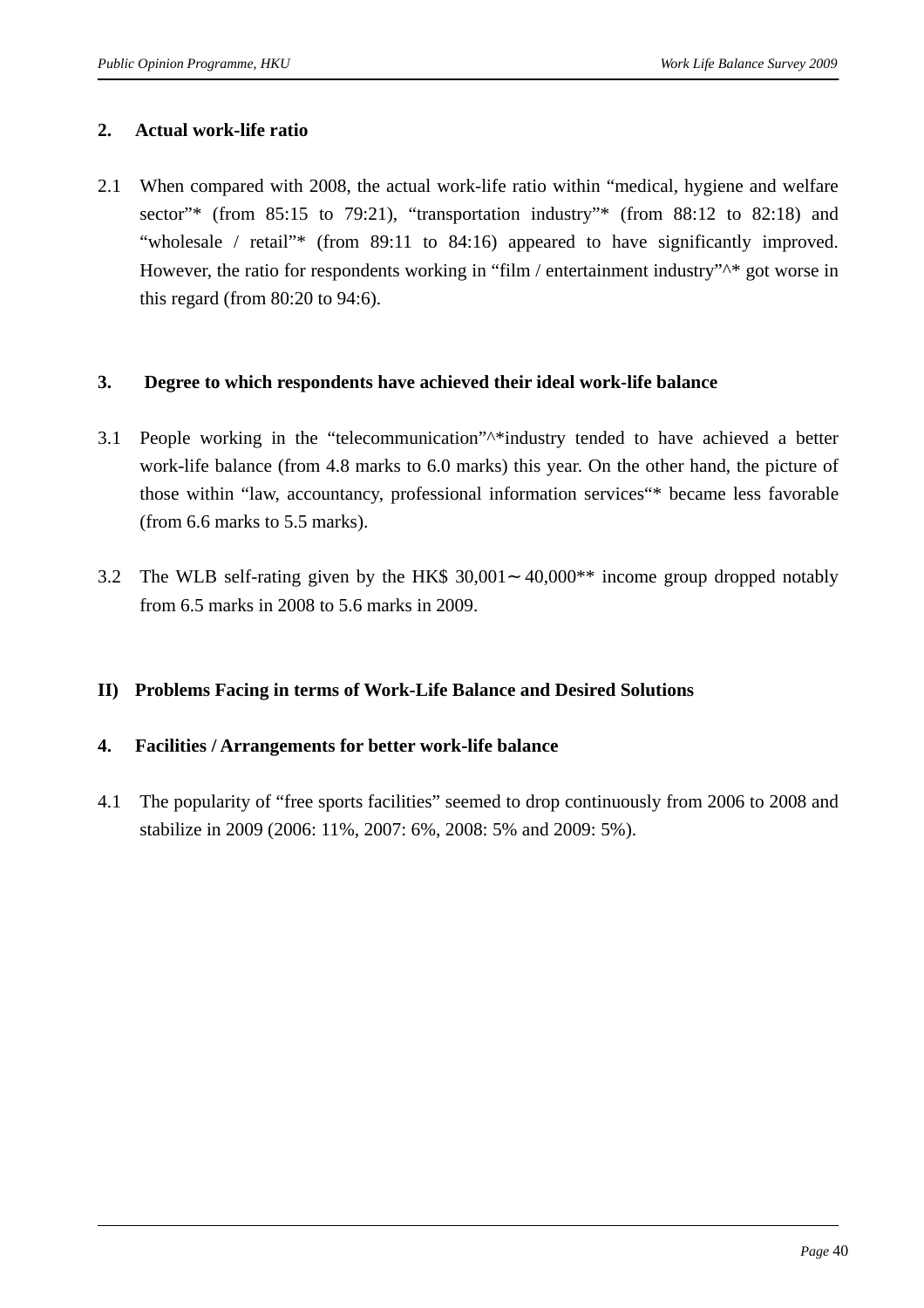#### **2. Actual work-life ratio**

2.1 When compared with 2008, the actual work-life ratio within "medical, hygiene and welfare sector"\* (from 85:15 to 79:21), "transportation industry"\* (from 88:12 to 82:18) and "wholesale / retail"\* (from 89:11 to 84:16) appeared to have significantly improved. However, the ratio for respondents working in "film / entertainment industry"<sup> $\wedge$ \*</sup> got worse in this regard (from 80:20 to 94:6).

#### **3. Degree to which respondents have achieved their ideal work-life balance**

- 3.1 People working in the "telecommunication"^\*industry tended to have achieved a better work-life balance (from 4.8 marks to 6.0 marks) this year. On the other hand, the picture of those within "law, accountancy, professional information services"\* became less favorable (from 6.6 marks to 5.5 marks).
- 3.2 The WLB self-rating given by the HK\$ 30,001 40,000\*\* income group dropped notably from 6.5 marks in 2008 to 5.6 marks in 2009.

#### **II) Problems Facing in terms of Work-Life Balance and Desired Solutions**

#### **4. Facilities / Arrangements for better work-life balance**

4.1 The popularity of "free sports facilities" seemed to drop continuously from 2006 to 2008 and stabilize in 2009 (2006: 11%, 2007: 6%, 2008: 5% and 2009: 5%).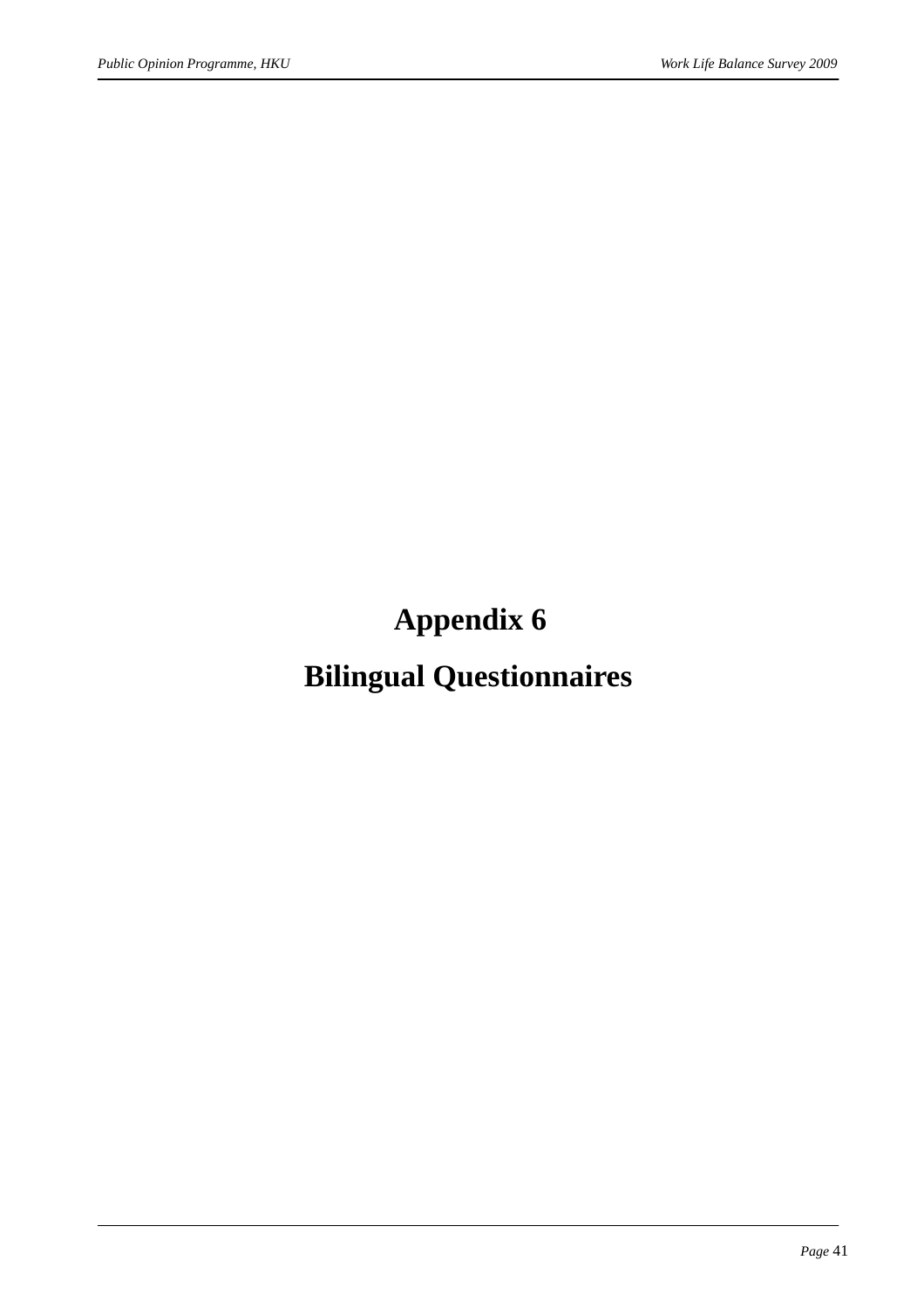## **Appendix 6**

## **Bilingual Questionnaires**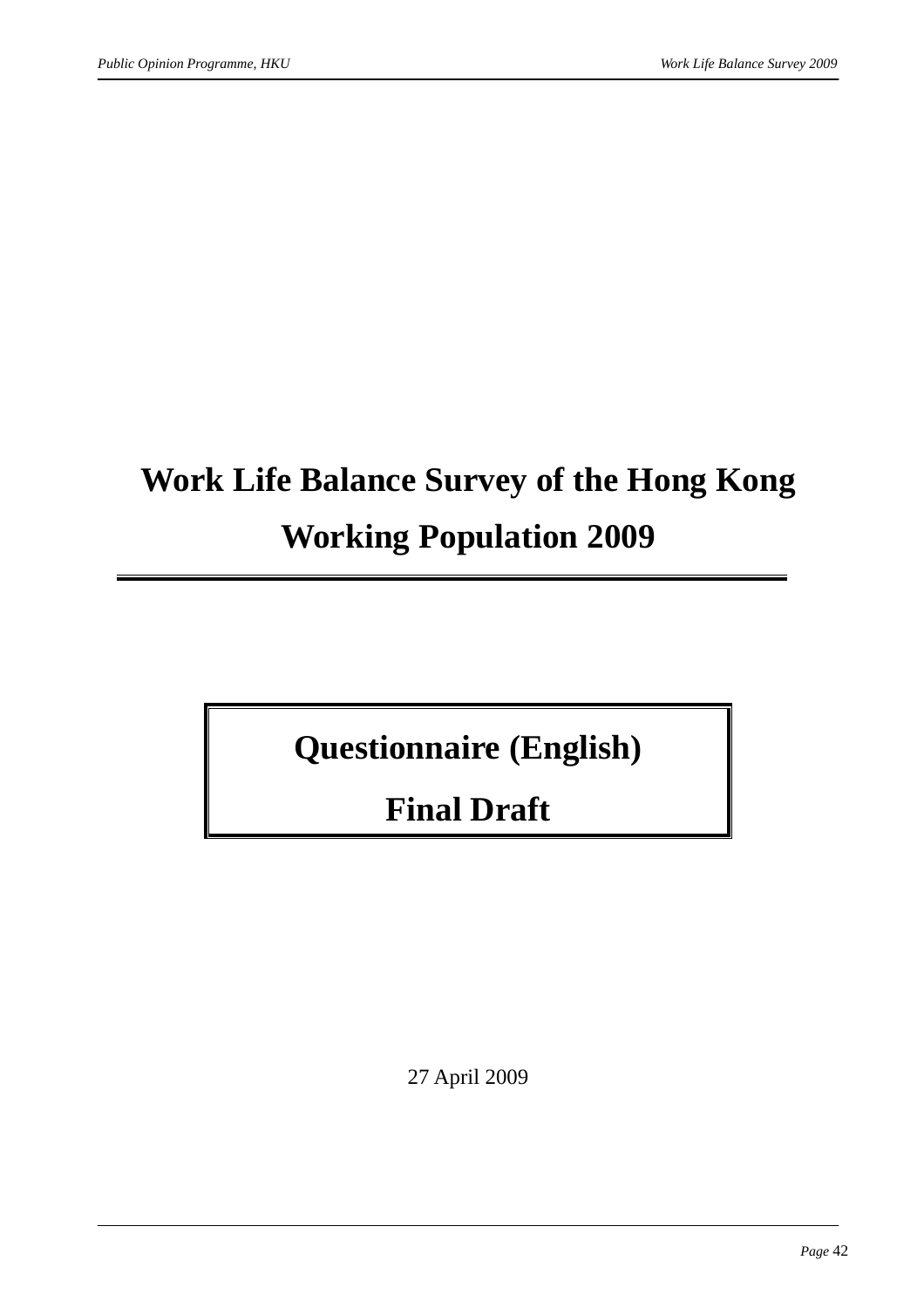# **Work Life Balance Survey of the Hong Kong Working Population 2009**

## **Questionnaire (English)**

## **Final Draft**

27 April 2009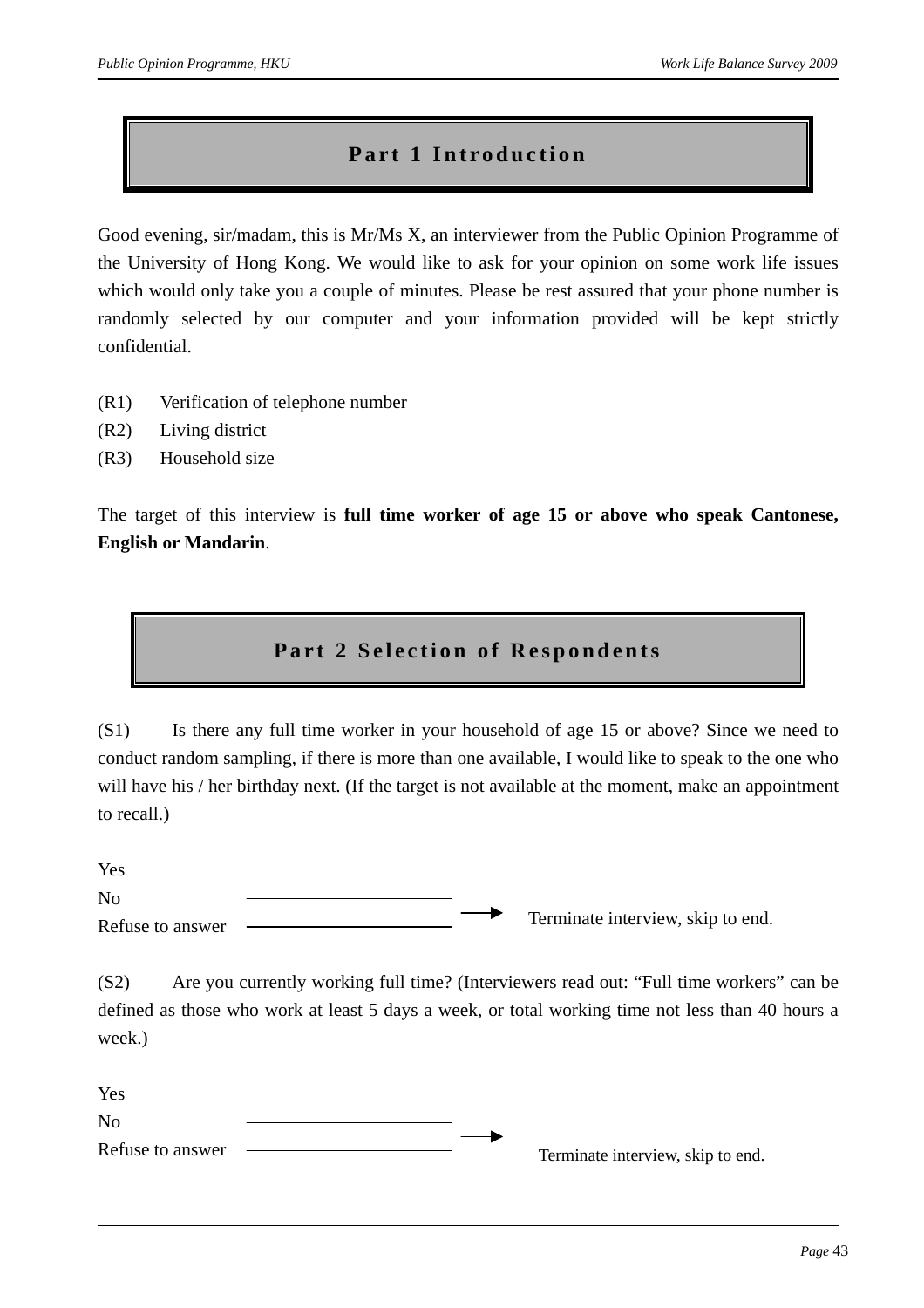#### **Part 1 Introduction**

Good evening, sir/madam, this is Mr/Ms X, an interviewer from the Public Opinion Programme of the University of Hong Kong. We would like to ask for your opinion on some work life issues which would only take you a couple of minutes. Please be rest assured that your phone number is randomly selected by our computer and your information provided will be kept strictly confidential.

- (R1) Verification of telephone number
- (R2) Living district
- (R3) Household size

The target of this interview is **full time worker of age 15 or above who speak Cantonese, English or Mandarin**.

#### **Part 2 Selection of Respondents**

(S1) Is there any full time worker in your household of age 15 or above? Since we need to conduct random sampling, if there is more than one available, I would like to speak to the one who will have his / her birthday next. (If the target is not available at the moment, make an appointment to recall.)

Yes  $N<sub>0</sub>$ Refuse to answer Terminate interview, skip to end.

(S2) Are you currently working full time? (Interviewers read out: "Full time workers" can be defined as those who work at least 5 days a week, or total working time not less than 40 hours a week.)

Yes  $N<sub>0</sub>$ Refuse to answer Terminate interview, skip to end.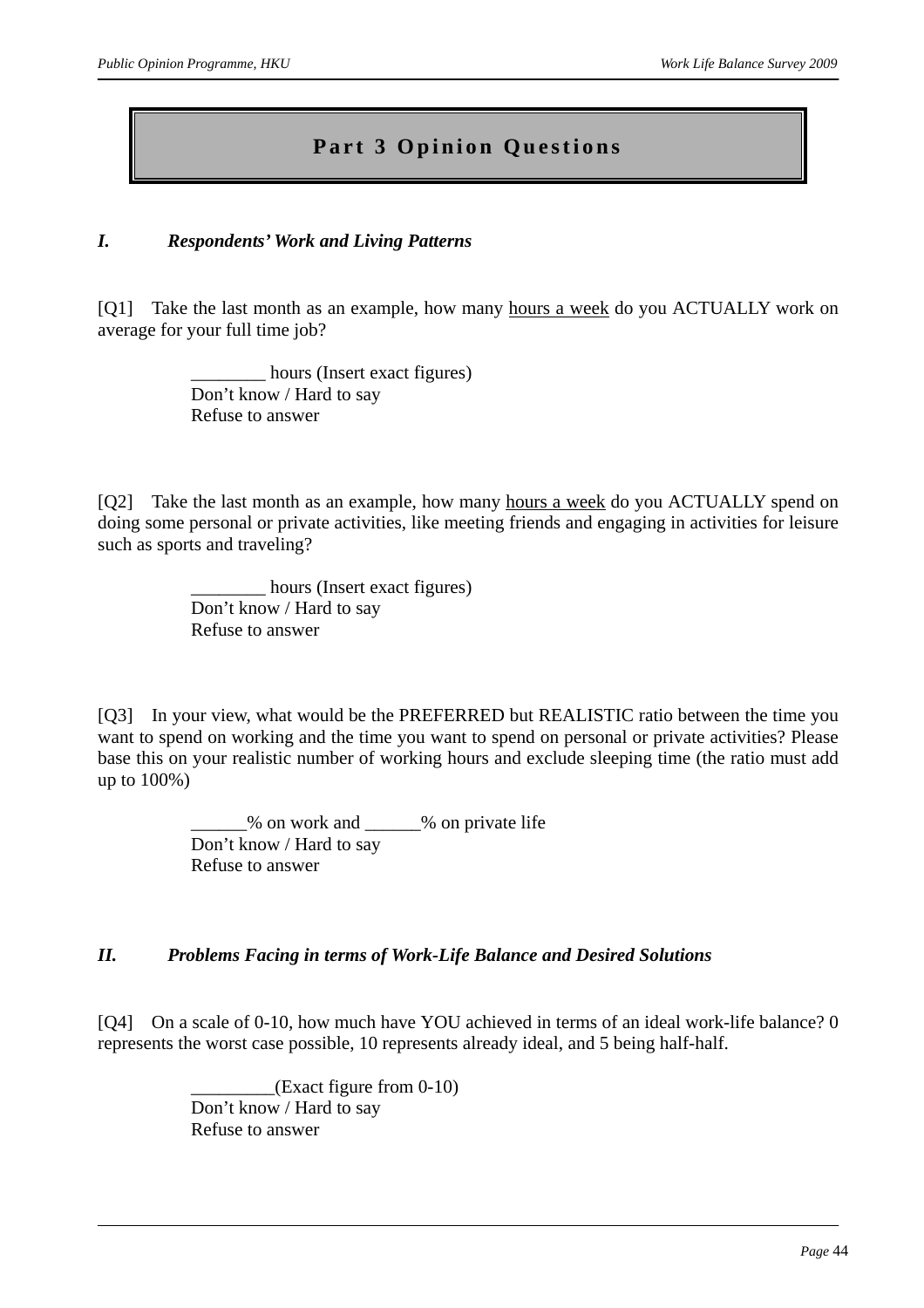### **Part 3 Opinion Questions**

#### *I. Respondents' Work and Living Patterns*

[Q1] Take the last month as an example, how many hours a week do you ACTUALLY work on average for your full time job?

> hours (Insert exact figures) Don't know / Hard to say Refuse to answer

[Q2] Take the last month as an example, how many hours a week do you ACTUALLY spend on doing some personal or private activities, like meeting friends and engaging in activities for leisure such as sports and traveling?

> \_\_\_\_\_\_\_\_ hours (Insert exact figures) Don't know / Hard to say Refuse to answer

[Q3] In your view, what would be the PREFERRED but REALISTIC ratio between the time you want to spend on working and the time you want to spend on personal or private activities? Please base this on your realistic number of working hours and exclude sleeping time (the ratio must add up to 100%)

> \_\_\_\_\_\_% on work and \_\_\_\_\_\_% on private life Don't know / Hard to say Refuse to answer

#### *II. Problems Facing in terms of Work-Life Balance and Desired Solutions*

[Q4] On a scale of 0-10, how much have YOU achieved in terms of an ideal work-life balance? 0 represents the worst case possible, 10 represents already ideal, and 5 being half-half.

> $(Kxact figure from 0-10)$ Don't know / Hard to say Refuse to answer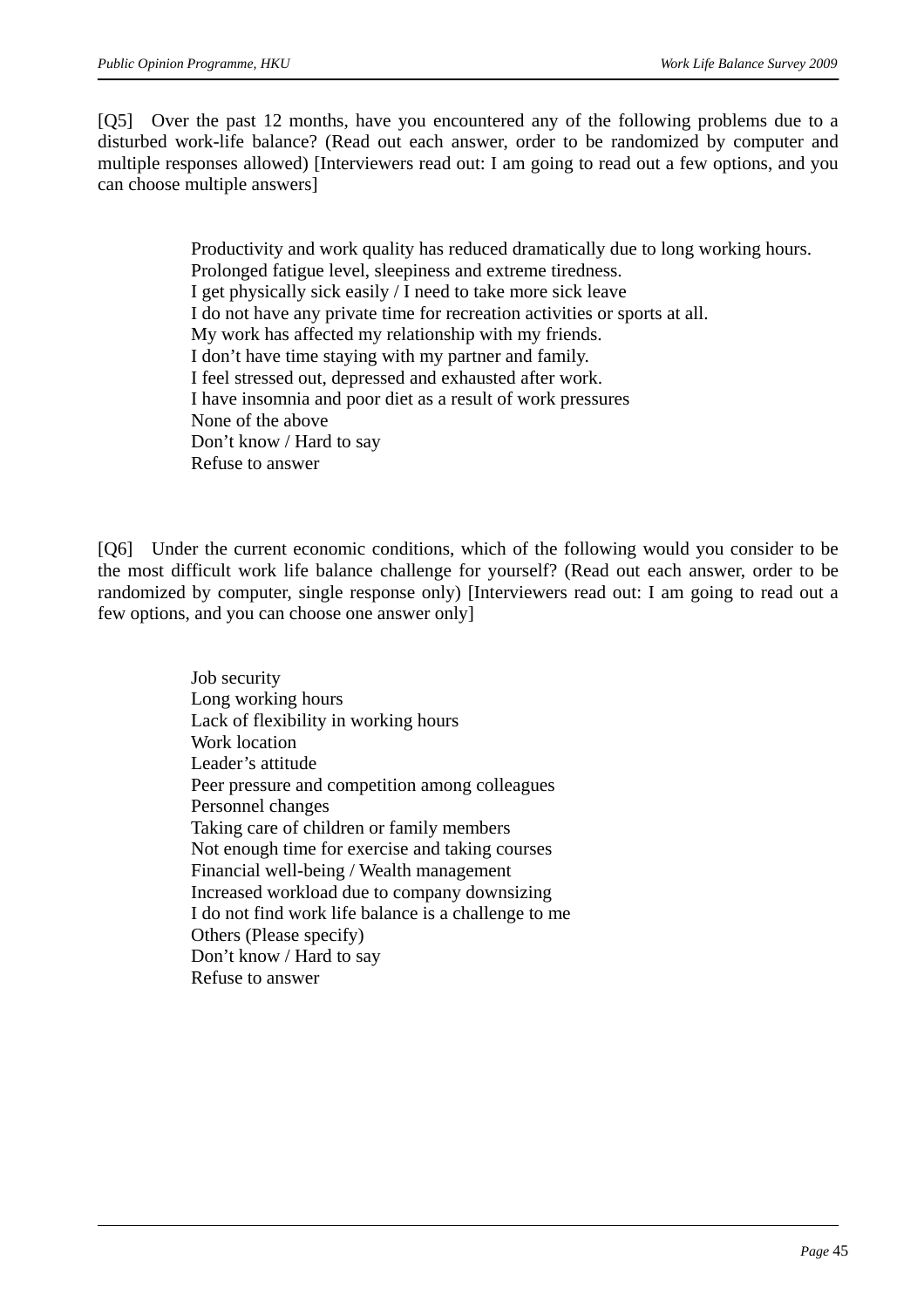[Q5] Over the past 12 months, have you encountered any of the following problems due to a disturbed work-life balance? (Read out each answer, order to be randomized by computer and multiple responses allowed) [Interviewers read out: I am going to read out a few options, and you can choose multiple answers]

> Productivity and work quality has reduced dramatically due to long working hours. Prolonged fatigue level, sleepiness and extreme tiredness. I get physically sick easily / I need to take more sick leave I do not have any private time for recreation activities or sports at all. My work has affected my relationship with my friends. I don't have time staying with my partner and family. I feel stressed out, depressed and exhausted after work. I have insomnia and poor diet as a result of work pressures None of the above Don't know / Hard to say Refuse to answer

[Q6] Under the current economic conditions, which of the following would you consider to be the most difficult work life balance challenge for yourself? (Read out each answer, order to be randomized by computer, single response only) [Interviewers read out: I am going to read out a few options, and you can choose one answer only]

> Job security Long working hours Lack of flexibility in working hours Work location Leader's attitude Peer pressure and competition among colleagues Personnel changes Taking care of children or family members Not enough time for exercise and taking courses Financial well-being / Wealth management Increased workload due to company downsizing I do not find work life balance is a challenge to me Others (Please specify) Don't know / Hard to say Refuse to answer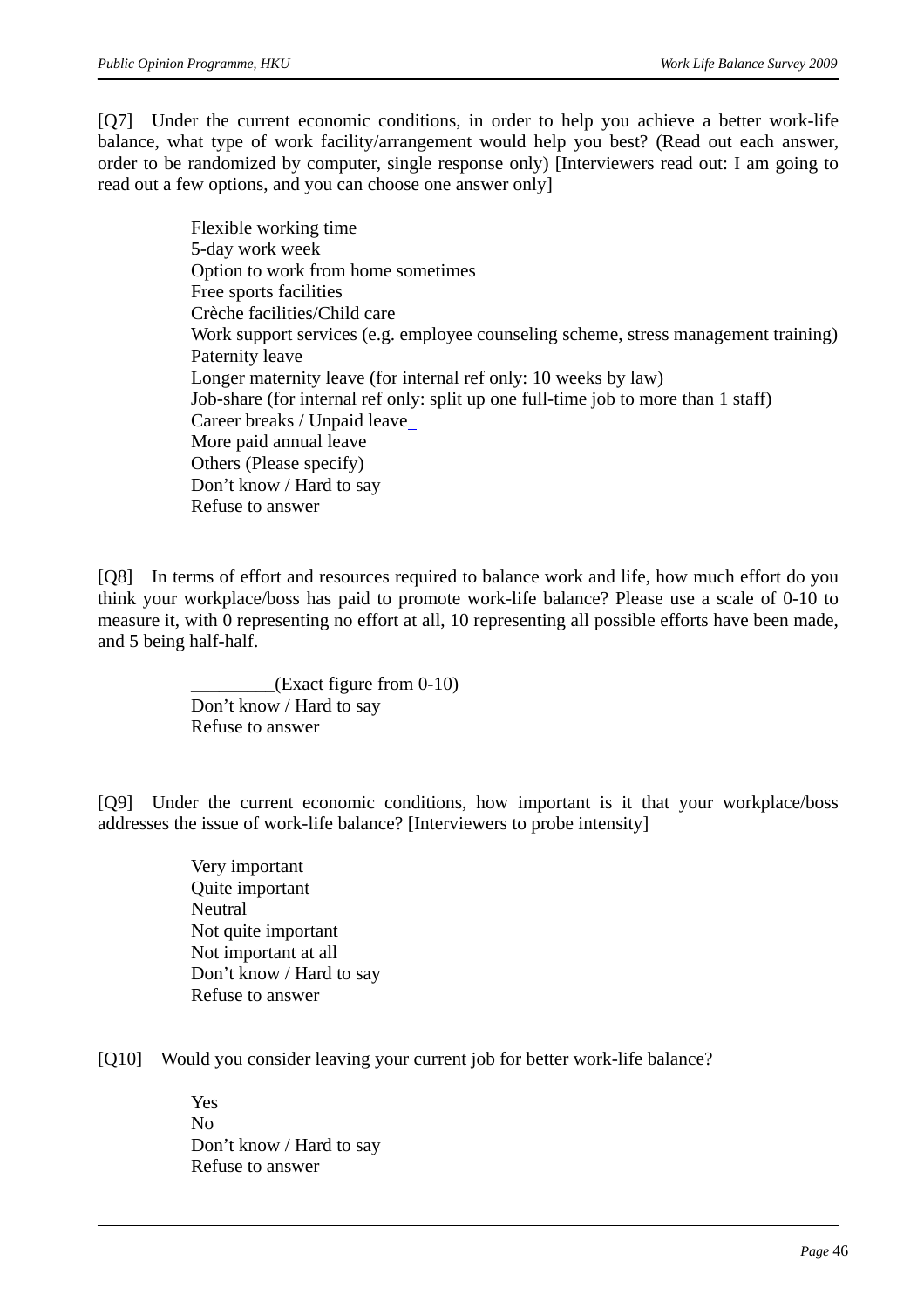[Q7] Under the current economic conditions, in order to help you achieve a better work-life balance, what type of work facility/arrangement would help you best? (Read out each answer, order to be randomized by computer, single response only) [Interviewers read out: I am going to read out a few options, and you can choose one answer only]

> Flexible working time 5-day work week Option to work from home sometimes Free sports facilities Crèche facilities/Child care Work support services (e.g. employee counseling scheme, stress management training) Paternity leave Longer maternity leave (for internal ref only: 10 weeks by law) Job-share (for internal ref only: split up one full-time job to more than 1 staff) Career breaks / Unpaid leave More paid annual leave Others (Please specify) Don't know / Hard to say Refuse to answer

[Q8] In terms of effort and resources required to balance work and life, how much effort do you think your workplace/boss has paid to promote work-life balance? Please use a scale of 0-10 to measure it, with 0 representing no effort at all, 10 representing all possible efforts have been made, and 5 being half-half.

> $_L$ (Exact figure from 0-10) Don't know / Hard to say Refuse to answer

[Q9] Under the current economic conditions, how important is it that your workplace/boss addresses the issue of work-life balance? [Interviewers to probe intensity]

- Very important Quite important **Neutral** Not quite important Not important at all Don't know / Hard to say Refuse to answer
- [Q10] Would you consider leaving your current job for better work-life balance?

Yes No Don't know / Hard to say Refuse to answer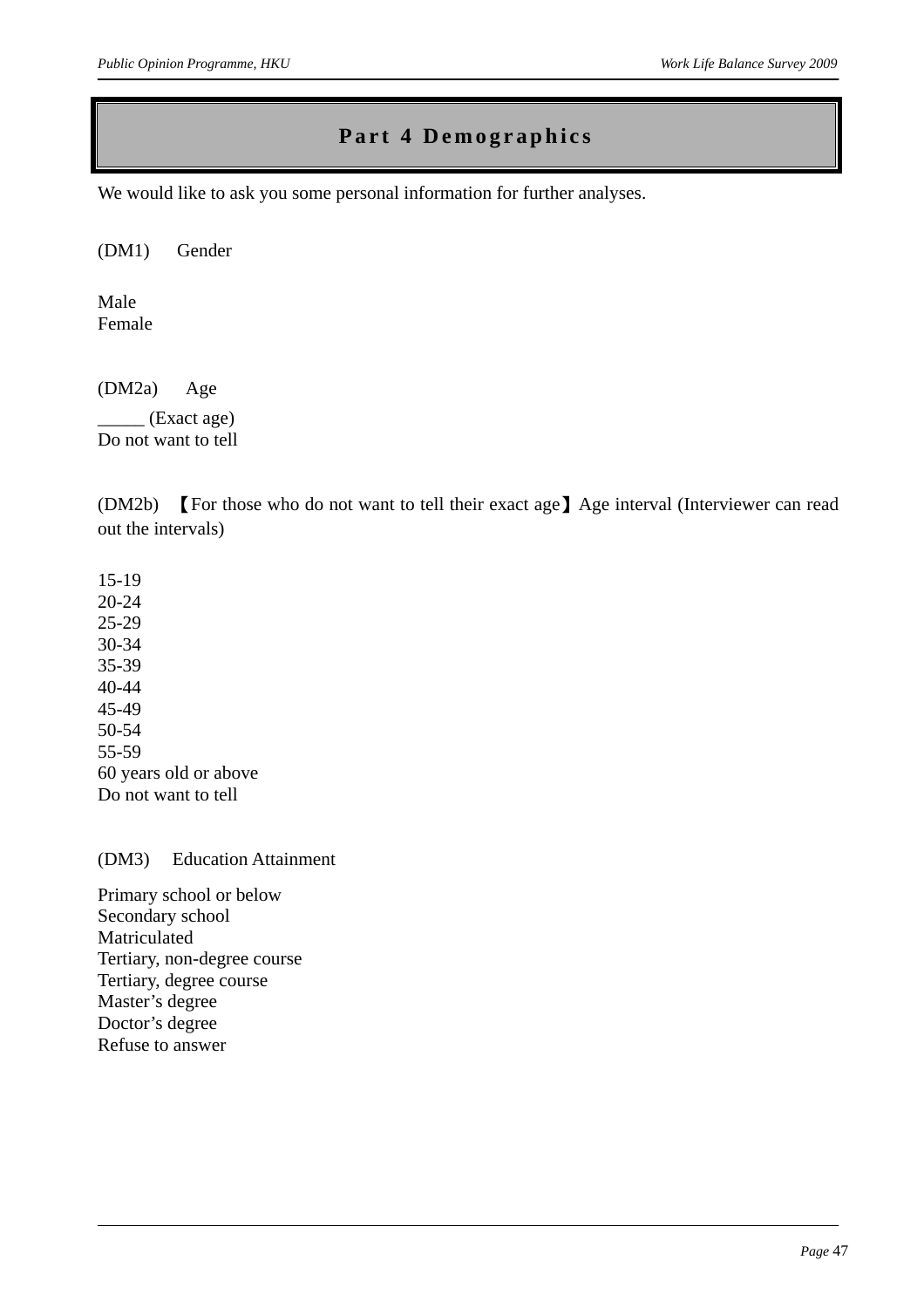### **Part 4 Demographics**

We would like to ask you some personal information for further analyses.

(DM1) Gender

Male Female

(DM2a) Age

 $_{\_}$  (Exact age) Do not want to tell

(DM2b) 【For those who do not want to tell their exact age】Age interval (Interviewer can read out the intervals)

15-19 20-24 25-29 30-34 35-39 40-44 45-49 50-54 55-59 60 years old or above Do not want to tell

(DM3) Education Attainment

Primary school or below Secondary school Matriculated Tertiary, non-degree course Tertiary, degree course Master's degree Doctor's degree Refuse to answer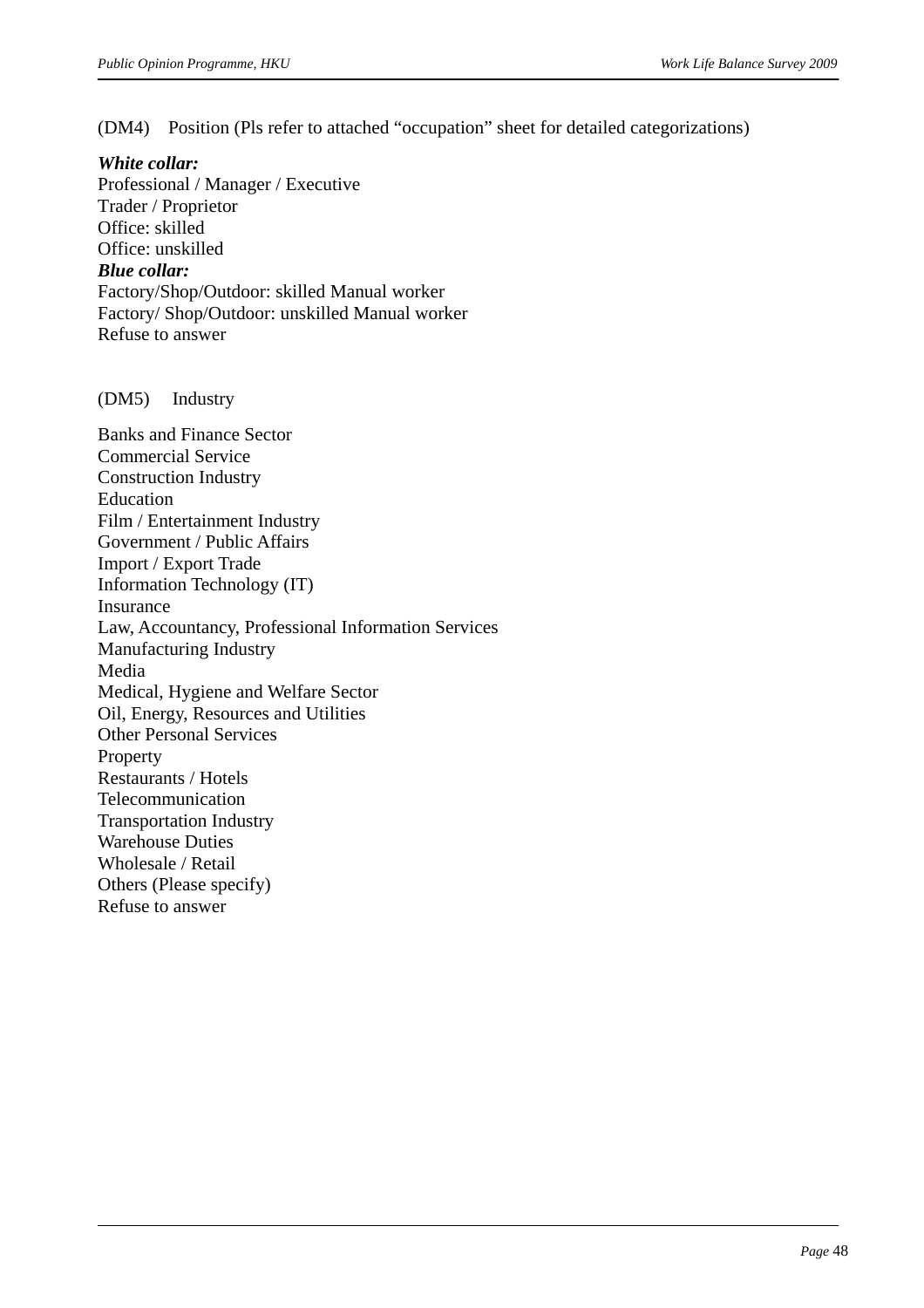(DM4) Position (Pls refer to attached "occupation" sheet for detailed categorizations)

#### *White collar:*

Professional / Manager / Executive Trader / Proprietor Office: skilled Office: unskilled *Blue collar:*  Factory/Shop/Outdoor: skilled Manual worker Factory/ Shop/Outdoor: unskilled Manual worker Refuse to answer

#### (DM5) Industry

Banks and Finance Sector Commercial Service Construction Industry Education Film / Entertainment Industry Government / Public Affairs Import / Export Trade Information Technology (IT) Insurance Law, Accountancy, Professional Information Services Manufacturing Industry Media Medical, Hygiene and Welfare Sector Oil, Energy, Resources and Utilities Other Personal Services Property Restaurants / Hotels Telecommunication Transportation Industry Warehouse Duties Wholesale / Retail Others (Please specify) Refuse to answer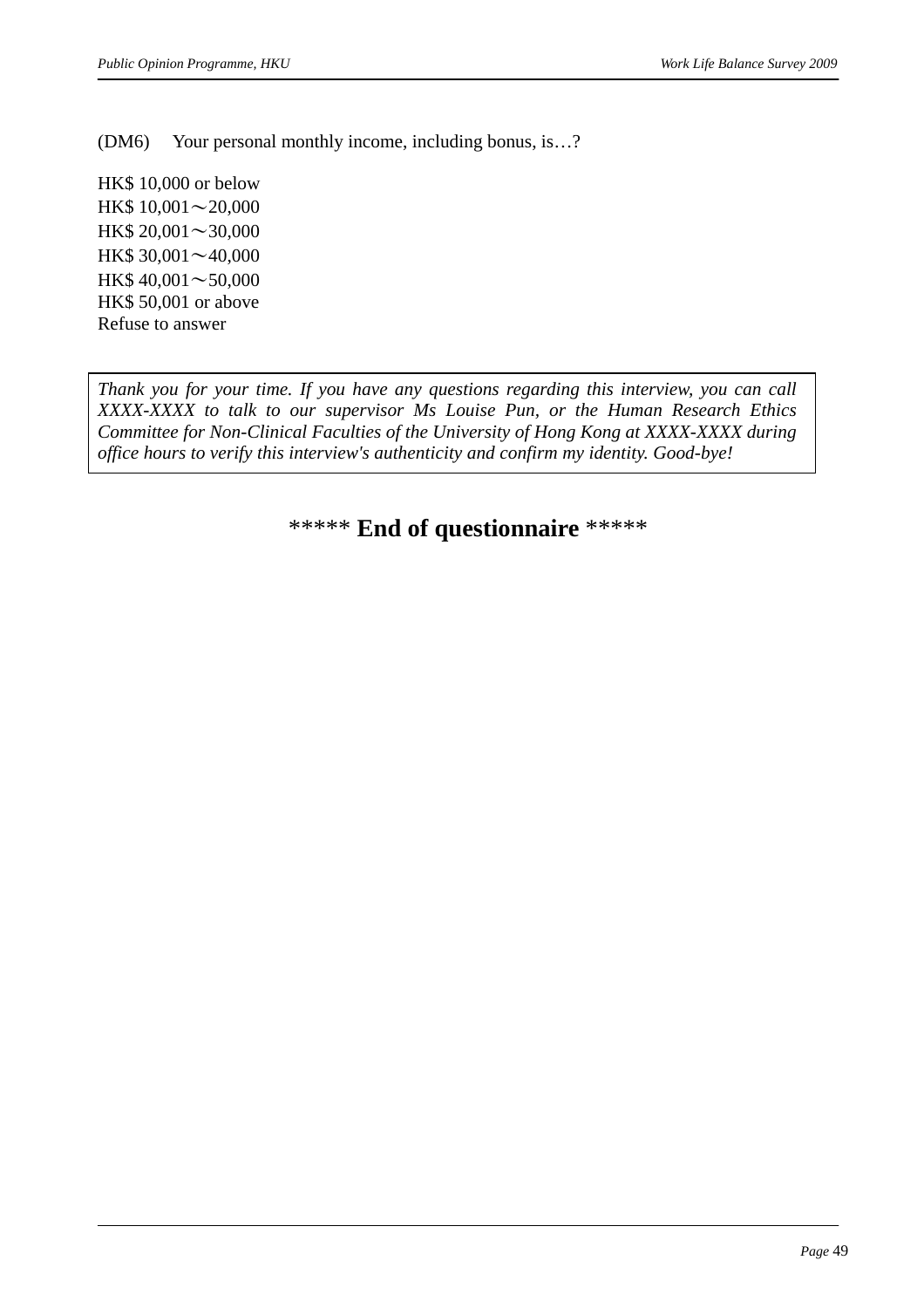(DM6) Your personal monthly income, including bonus, is…?

HK\$ 10,000 or below HK\$ 10,001∼20,000 HK\$ 20,001∼30,000 HK\$ 30,001∼40,000 HK\$ 40,001∼50,000 HK\$ 50,001 or above Refuse to answer

*Thank you for your time. If you have any questions regarding this interview, you can call XXXX-XXXX to talk to our supervisor Ms Louise Pun, or the Human Research Ethics Committee for Non-Clinical Faculties of the University of Hong Kong at XXXX-XXXX during office hours to verify this interview's authenticity and confirm my identity. Good-bye!* 

\*\*\*\*\* **End of questionnaire** \*\*\*\*\*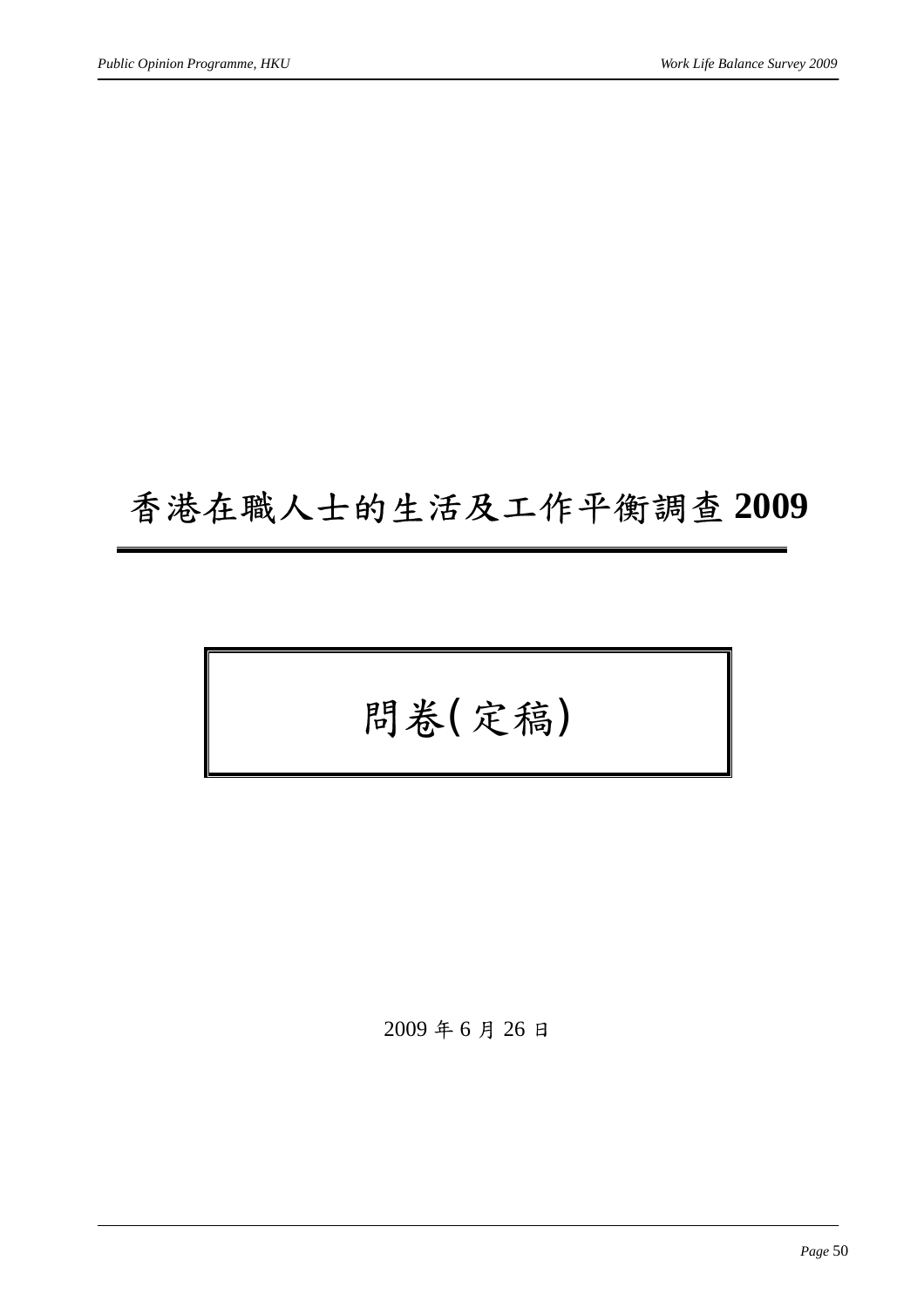## 香港在職人士的生活及工作平衡調查 **2009**

# 問卷(定稿)

2009 年 6 月 26 日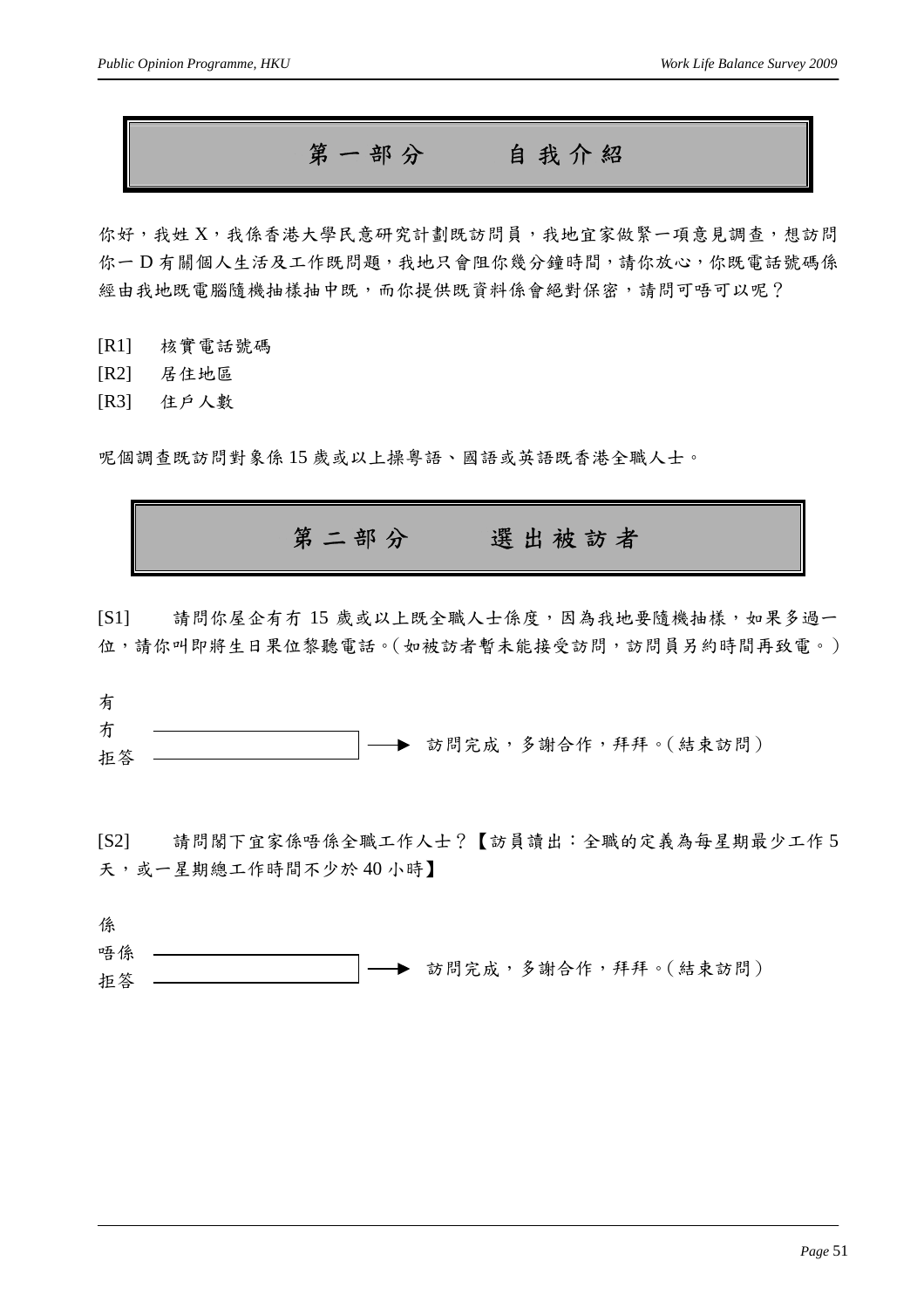第一部分自我介紹

你好,我姓 X,我係香港大學民意研究計劃既訪問員,我地宜家做緊一項意見調查,想訪問 你一D 有關個人生活及工作既問題,我地只會阻你幾分鐘時間,請你放心,你既電話號碼係 經由我地既電腦隨機抽樣抽中既,而你提供既資料係會絕對保密,請問可唔可以呢?

[R1] 核實電話號碼

[R2] 居住地區

[R3] 住戶人數

呢個調查既訪問對象係 15 歲或以上操粵語、國語或英語既香港全職人士。

第二部分選出被訪者

[S1] 請問你屋企有冇 15 歲或以上既全職人士係度,因為我地要隨機抽樣,如果多過一 位,請你叫即將生日果位黎聽電話。(如被訪者暫未能接受訪問,訪問員另約時間再致電。)

| 有  |  |                           |
|----|--|---------------------------|
| 冇  |  |                           |
| 拒答 |  | ' ─ ▶ 訪問完成,多謝合作,拜拜。(結束訪問) |

[S2] 請問閣下宜家係唔係全職工作人士?【訪員讀出:全職的定義為每星期最少工作 5 天,或一星期總工作時間不少於40小時】

係 唔係 拒答 訪問完成,多謝合作,拜拜。(結束訪問)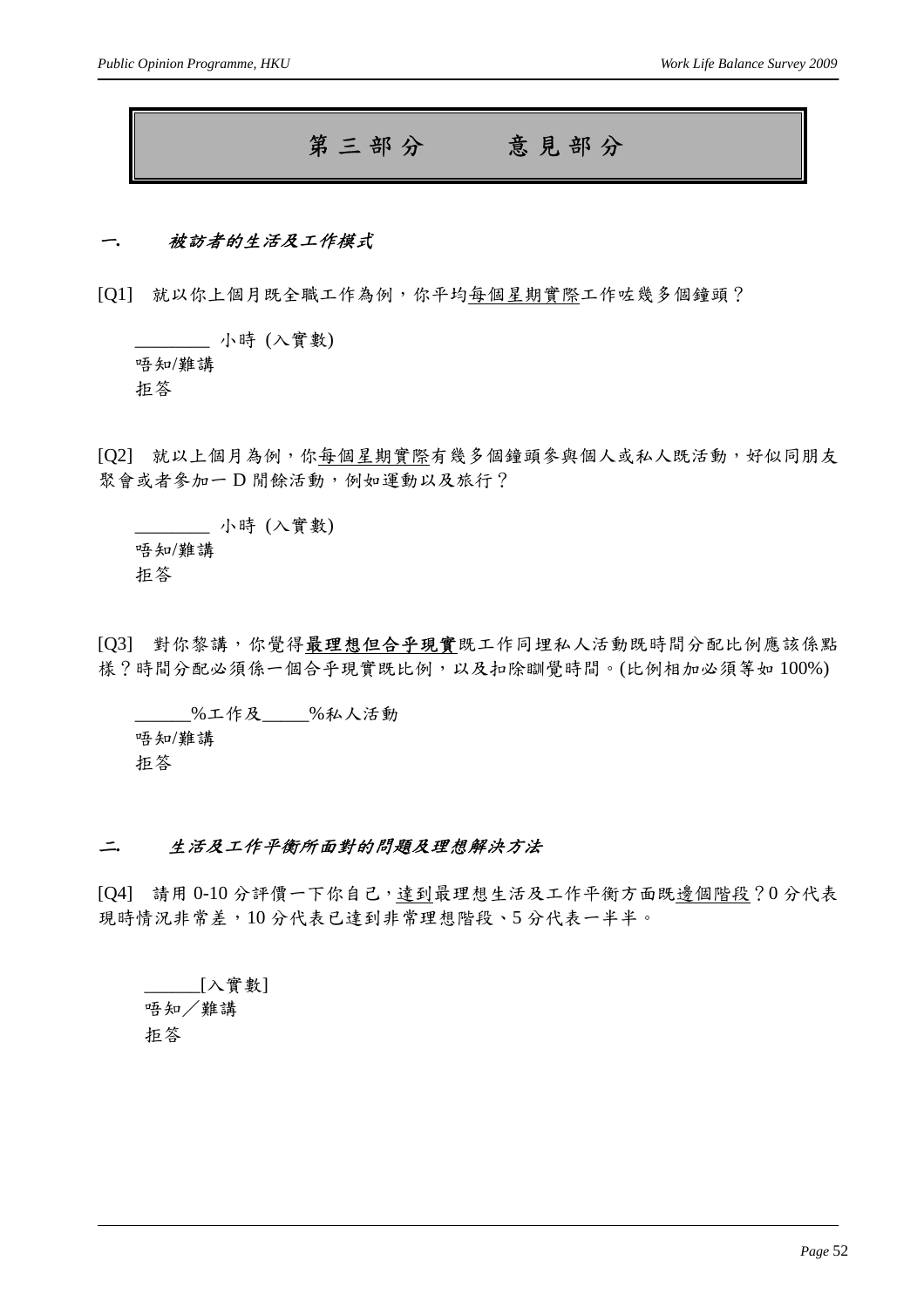### 第三部分意見部分

#### <sup>一</sup>*.* 被訪者的生活及工作模式

[Q1] 就以你上個月既全職工作為例,你平均每個星期實際工作咗幾多個鐘頭?

\_\_\_\_\_\_\_\_ 小時 (入實數) 唔知/難講 拒答

[Q2] 就以上個月為例,你每個星期實際有幾多個鐘頭參與個人或私人既活動,好似同朋友 聚會或者參加一 D 閒餘活動, 例如運動以及旅行?

\_\_\_\_\_\_\_\_ 小時 (入實數) 唔知/難講 拒答

[Q3] 對你黎講,你覺得最理想但合乎現實既工作同埋私人活動既時間分配比例應該係點 樣?時間分配必須係一個合乎現實既比例,以及扣除瞓覺時間。(比例相加必須等如 100%)

\_\_\_\_\_\_%工作及\_\_\_\_\_%私人活動 唔知/難講 拒答

#### <sup>二</sup>*.* 生活及工作平衡所面對的問題及理想解決方法

[Q4] 請用 0-10 分評價一下你自己,達到最理想生活及工作平衡方面既邊個階段?0 分代表 現時情況非常差,10分代表已達到非常理想階段、5分代表一半半。

 $[\lambda]$ 實數] 唔知/難講 拒答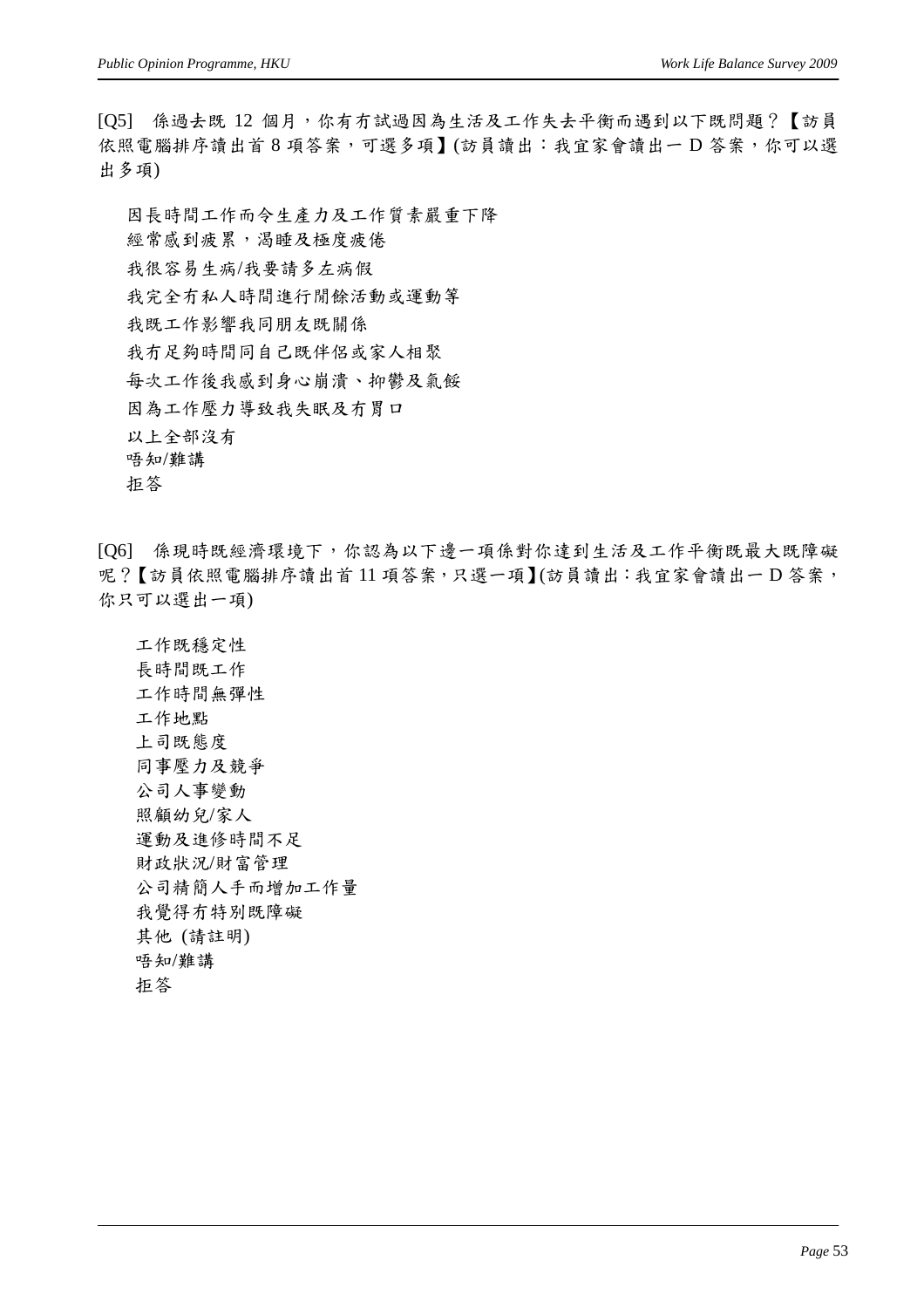[Q5] 係過去既 12 個月,你有冇試過因為生活及工作失去平衡而遇到以下既問題?【訪員 依照電腦排序讀出首 8 項答案,可選多項】(訪員讀出:我宜家會讀出一 D 答案,你可以選 出多項)

因長時間工作而令生產力及工作質素嚴重下降 經常感到疲累,渴睡及極度疲倦 我很容易生病/我要請多左病假 我完全冇私人時間進行閒餘活動或運動等 我既工作影響我同朋友既關係 我冇足夠時間同自己既伴侶或家人相聚 每次工作後我感到身心崩潰、抑鬱及氣餒 因為工作壓力導致我失眠及冇胃口 以上全部沒有 唔知/難講 拒答

[Q6] 係現時既經濟環境下,你認為以下邊一項係對你達到生活及工作平衡既最大既障礙 呢?【訪員依照電腦排序讀出首11 項答案,只選一項】(訪員讀出:我宜家會讀出一D 答案, 你只可以選出一項)

工作既穩定性 長時間既工作 工作時間無彈性 工作地點 上司既態度 同事壓力及競爭 公司人事變動 照顧幼兒/家人 運動及進修時間不足 財政狀況/財富管理 公司精簡人手而增加工作量 我覺得冇特別既障礙 其他 (請註明) 唔知/難講 拒答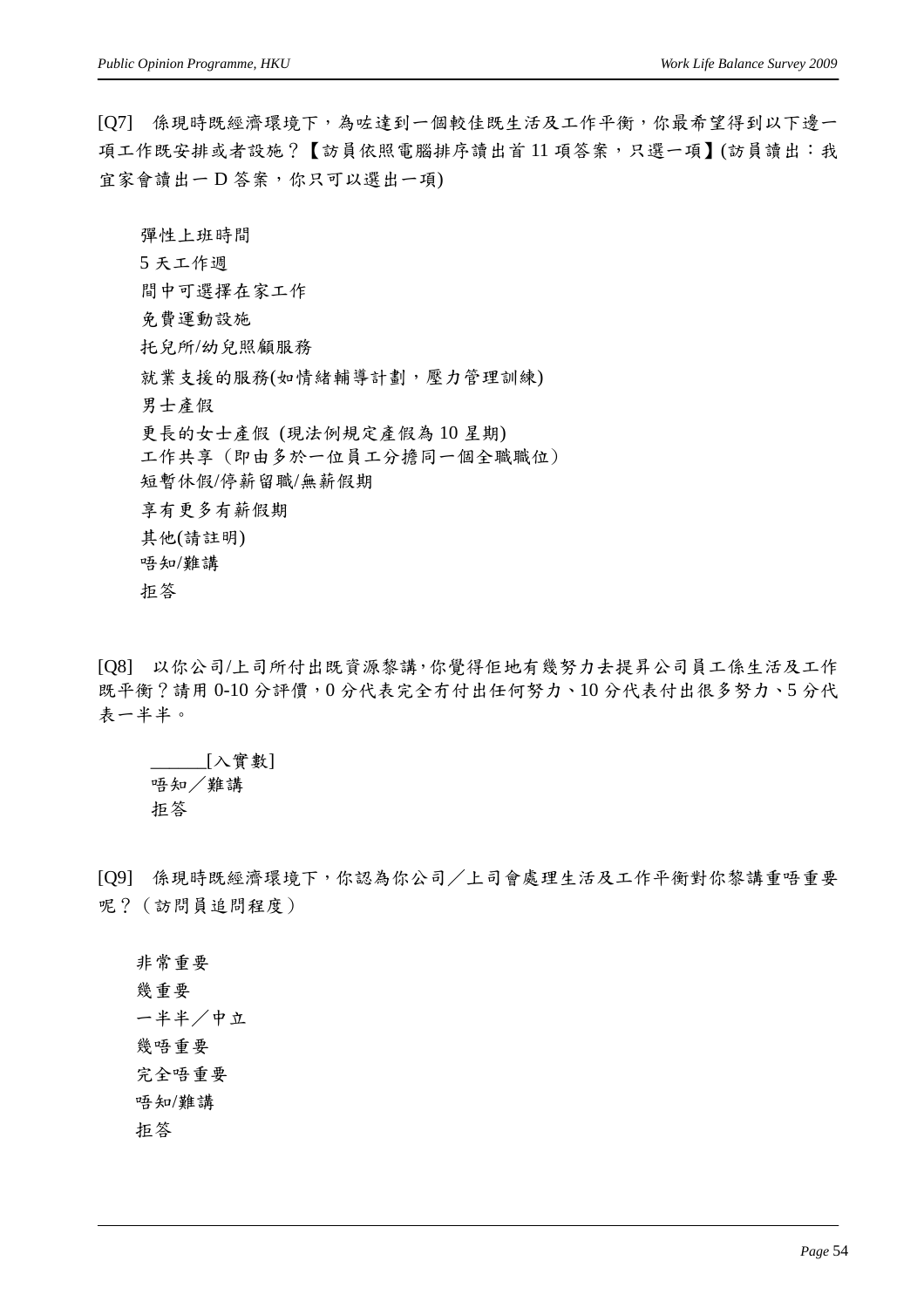[Q7] 係現時既經濟環境下,為咗達到一個較佳既生活及工作平衡,你最希望得到以下邊一 項工作既安排或者設施?【訪員依照電腦排序讀出首11 項答案,只選一項】(訪員讀出:我 宜家會讀出一 D 答案,你只可以選出一項)

彈性上班時間 5 天工作週 間中可選擇在家工作 免費運動設施 托兒所/幼兒照顧服務 就業支援的服務(如情緒輔導計劃,壓力管理訓練) 男士產假 更長的女士產假 (現法例規定產假為 10 星期) 工作共享 (即由多於一位員工分擔同一個全職職位) 短暫休假/停薪留職/無薪假期 享有更多有薪假期 其他(請註明) 唔知/難講 拒答

[Q8] 以你公司/上司所付出既資源黎講,你覺得佢地有幾努力去提昇公司員工係生活及工作 既平衡?請用 0-10 分評價,0 分代表完全冇付出任何努力、10 分代表付出很多努力、5 分代 表一半半。

\_\_\_\_\_\_[入實數] 唔知/難講 拒答

[Q9] 係現時既經濟環境下,你認為你公司/上司會處理生活及工作平衡對你黎講重唔重要 呢?(訪問員追問程度)

非常重要 幾重要 一半半/中立 幾唔重要 完全唔重要 唔知/難講 拒答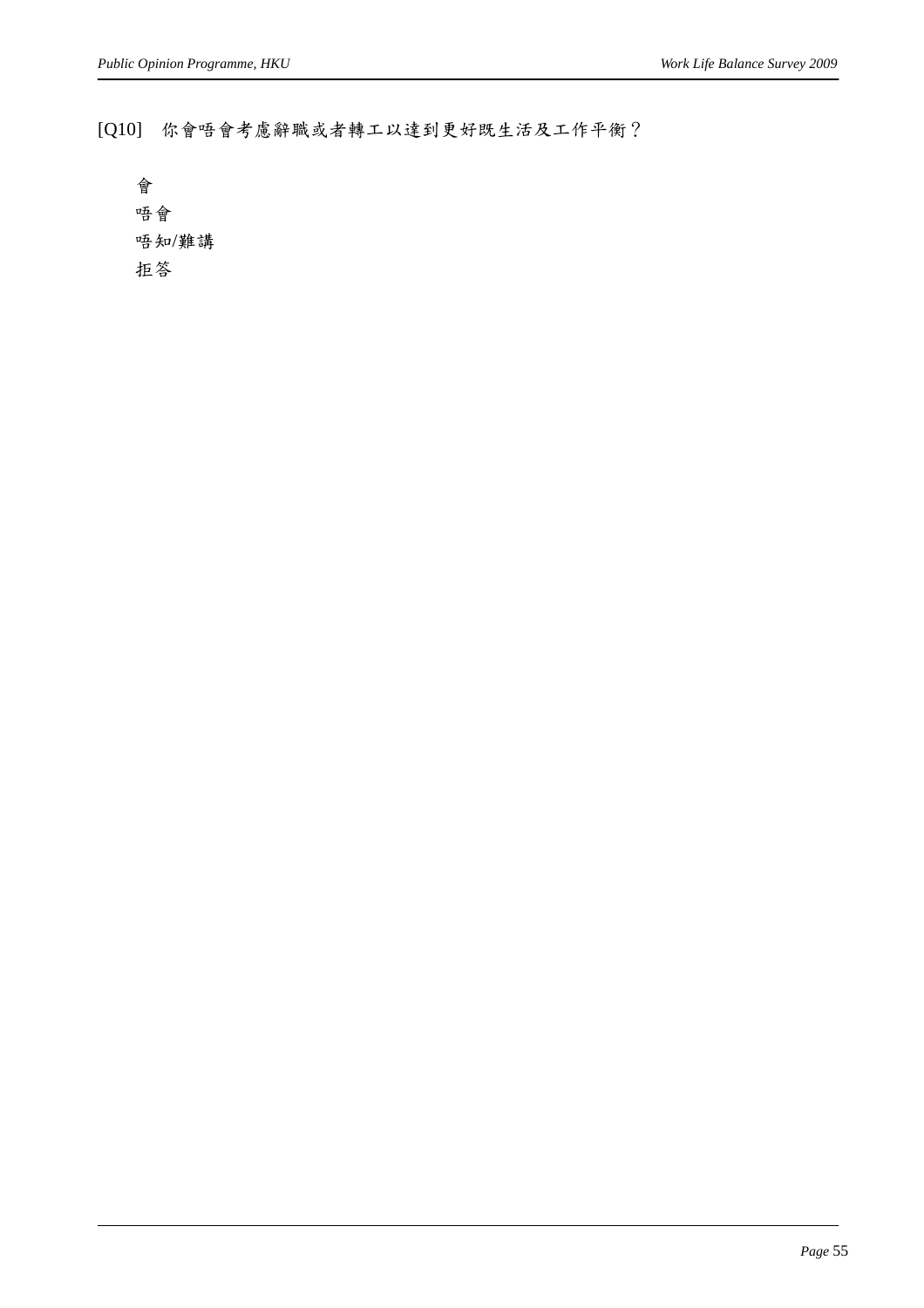[Q10] 你會唔會考慮辭職或者轉工以達到更好既生活及工作平衡?

會 唔會 唔知/難講 拒答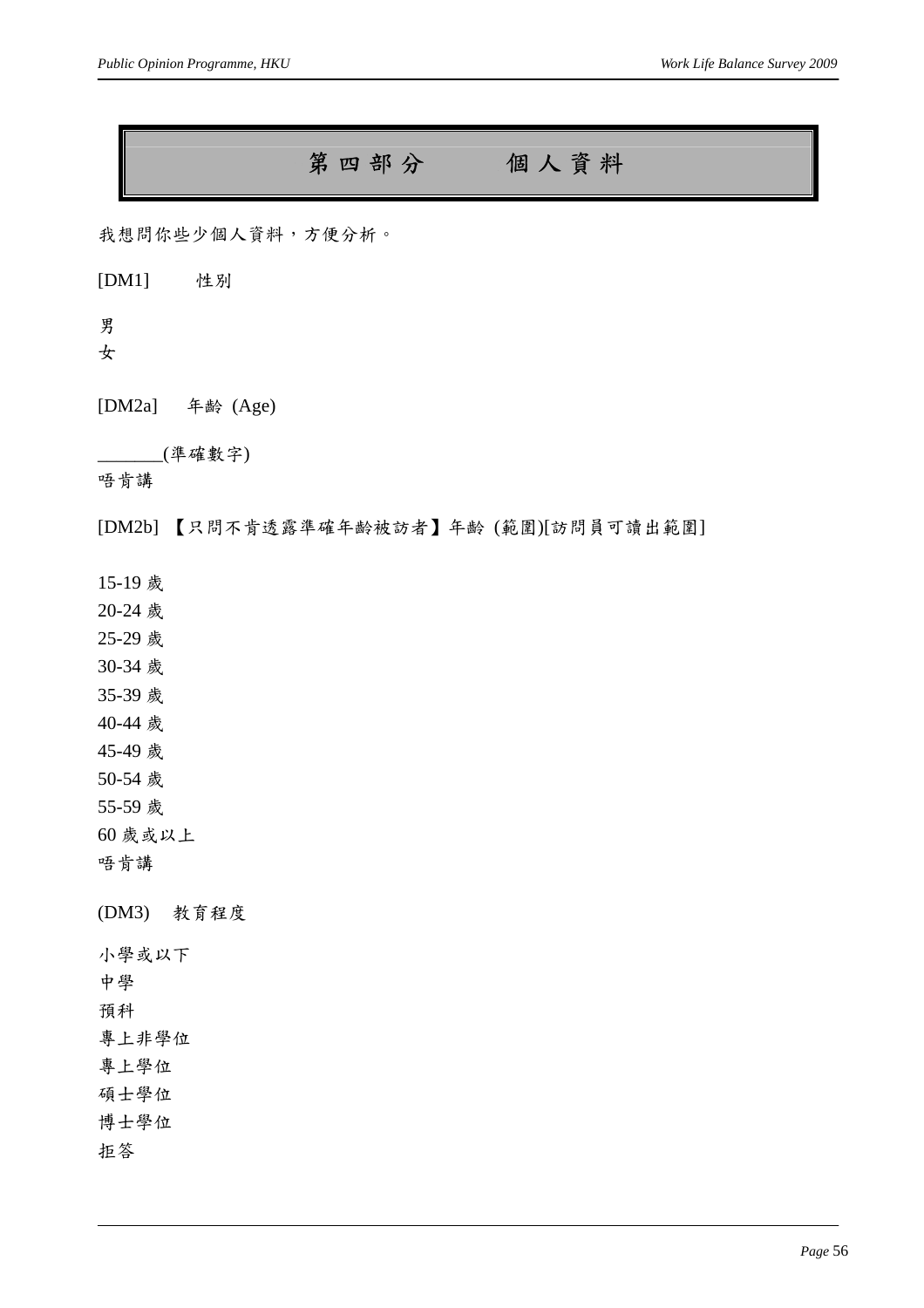### 第四部分個人資料

我想問你些少個人資料,方便分析。

[DM1] 性別

男

女

[DM2a] 年齡 (Age)

\_\_\_\_\_\_\_(準確數字)

唔肯講

[DM2b] 【只問不肯透露準確年齡被訪者】年齡 (範圍)[訪問員可讀出範圍]

15-19 歲

20-24 歲

25-29 歲

30-34 歲

35-39 歲

40-44 歲

45-49 歲

50-54 歲

55-59 歲

60 歲或以上

唔肯講

(DM3) 教育程度

小學或以下

中學

預科

專上非學位

專上學位

碩士學位

博士學位

拒答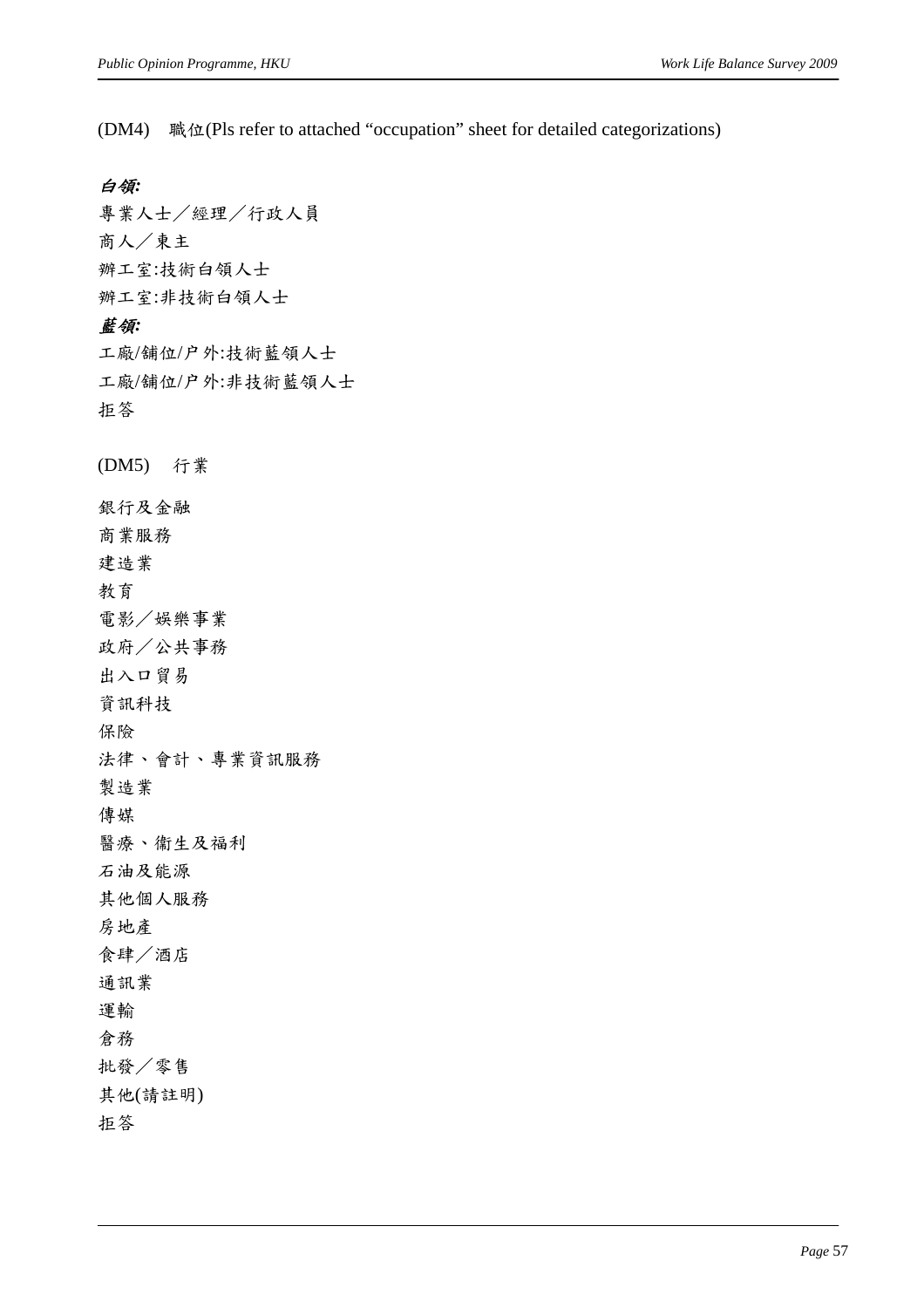(DM4) 職位(Pls refer to attached "occupation" sheet for detailed categorizations)

#### 白領*:*

專業人士/經理/行政人員 商人/東主 辦工室:技術白領人士 辦工室:非技術白領人士 藍領*:*  工廠/舖位/户外:技術藍領人士 工廠/舖位/户外:非技術藍領人士 拒答 (DM5) 行業 銀行及金融 商業服務 建造業 教育 電影/娛樂事業 政府/公共事務 出入口貿易 資訊科技 保險 法律、會計、專業資訊服務 製造業 傳媒 醫療、衞生及福利 石油及能源 其他個人服務 房地產 食肆/酒店 通訊業 運輸 倉務

拒答

批發/零售 其他(請註明)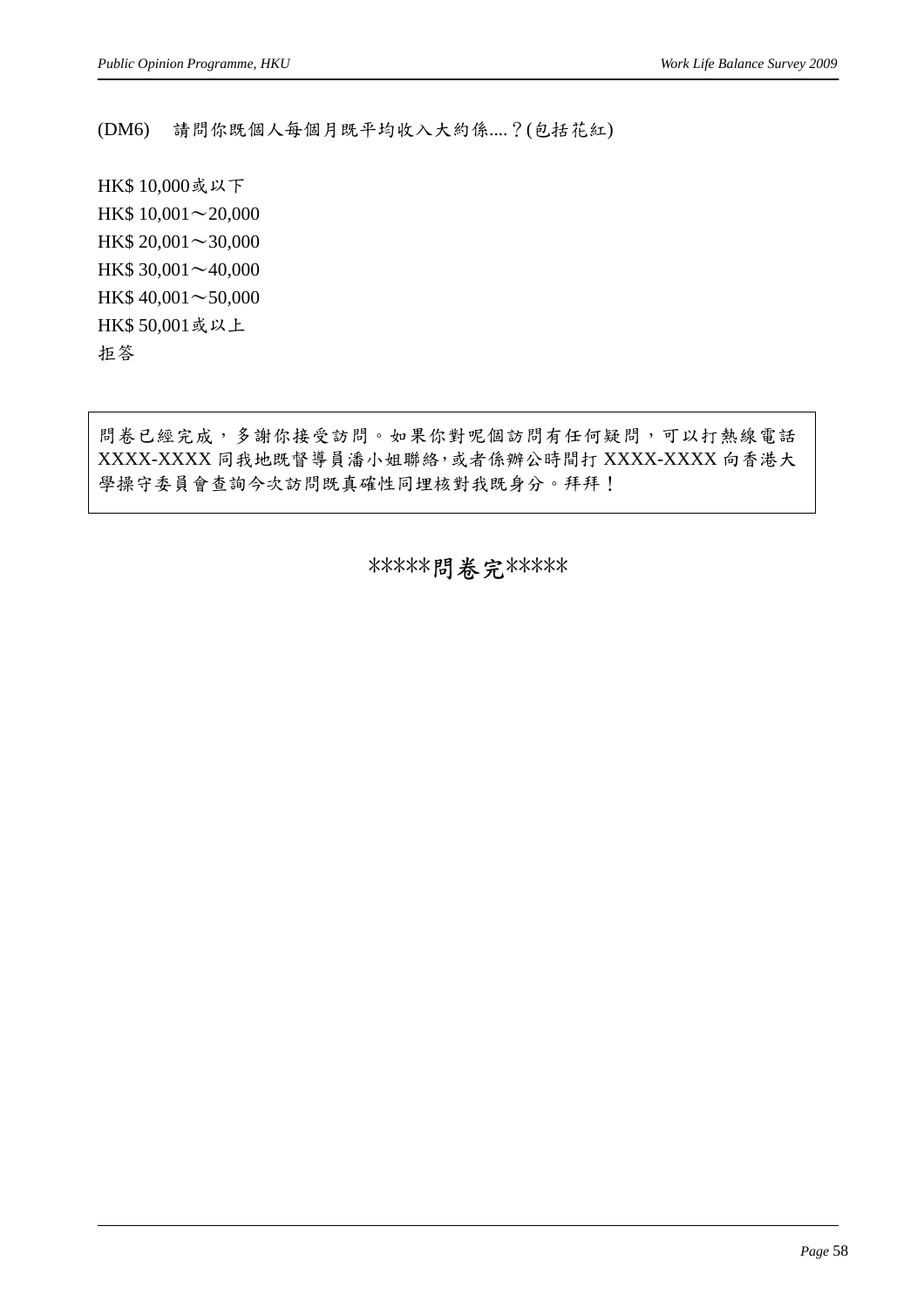(DM6) 請問你既個人每個月既平均收入大約係....?(包括花紅)

HK\$ 10,000或以下 HK\$ 10,001∼20,000 HK\$ 20,001∼30,000 HK\$ 30,001∼40,000 HK\$ 40,001∼50,000 HK\$ 50,001或以上 拒答

問卷已經完成,多謝你接受訪問。如果你對呢個訪問有任何疑問,可以打熱線電話 XXXX-XXXX 同我地既督導員潘小姐聯絡,或者係辦公時間打 XXXX-XXXX 向香港大 學操守委員會查詢今次訪問既真確性同埋核對我既身分。拜拜!

\*\*\*\*\*問卷完\*\*\*\*\*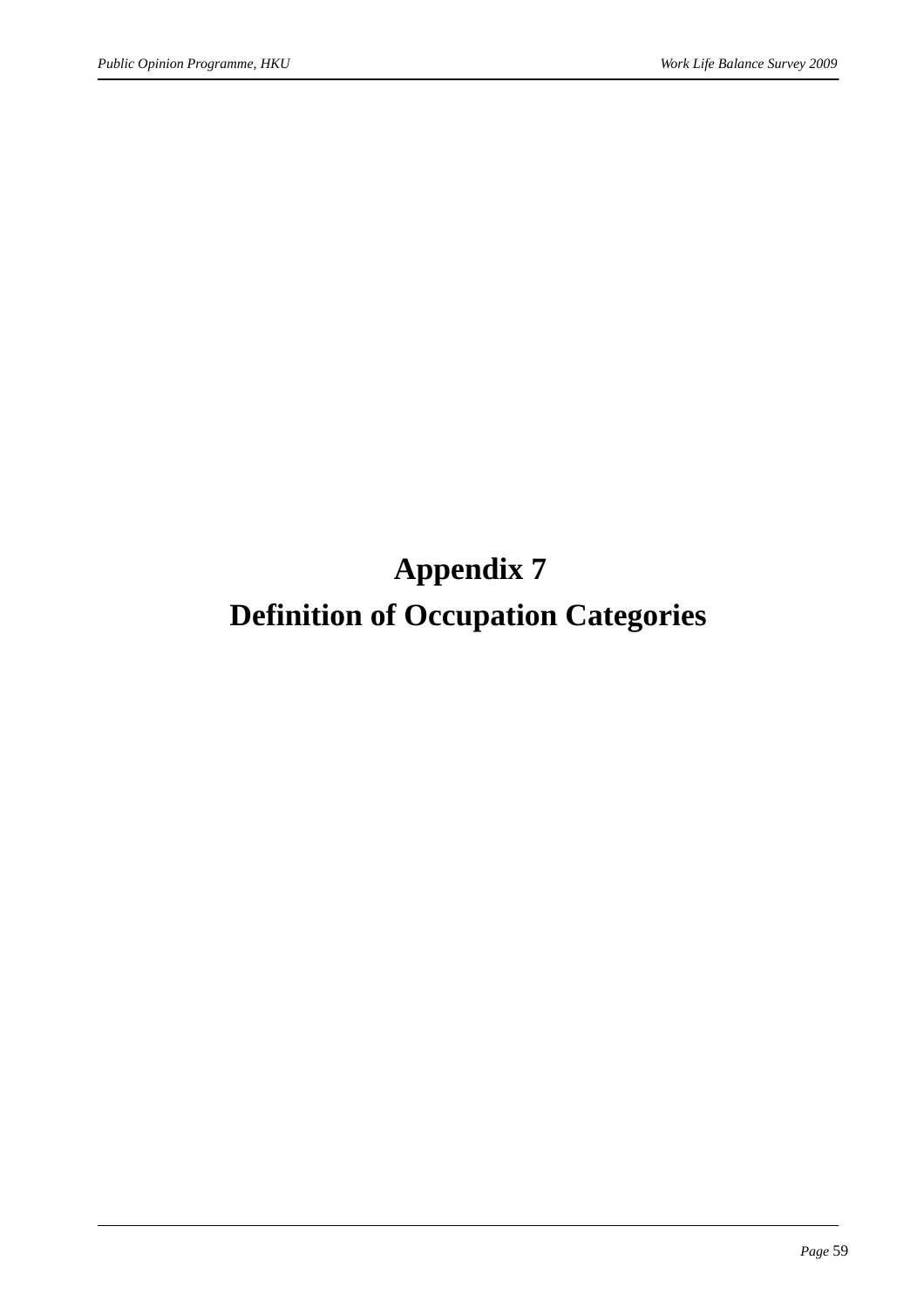**Appendix 7** 

## **Definition of Occupation Categories**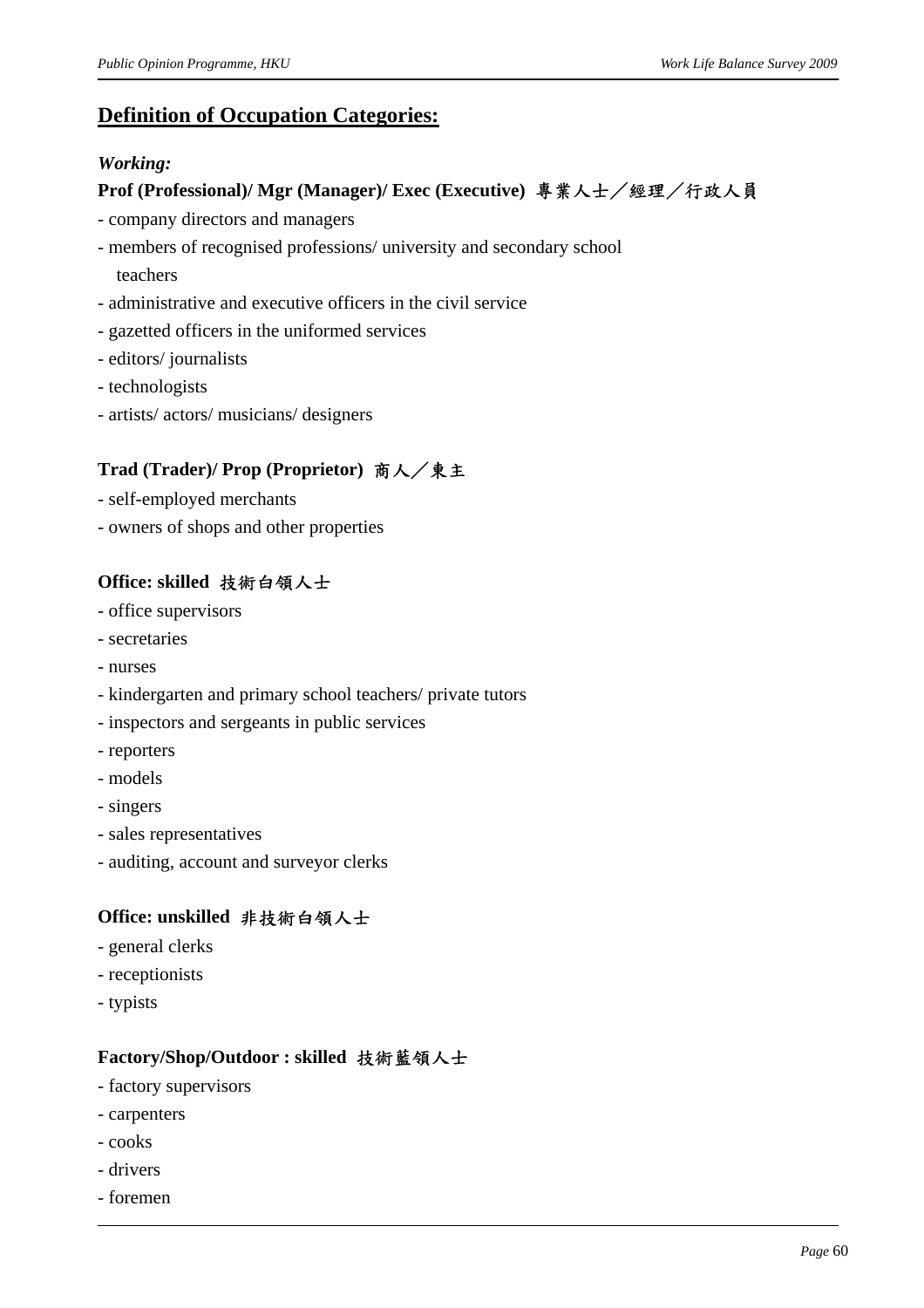#### **Definition of Occupation Categories:**

#### *Working:*

#### **Prof (Professional)/ Mgr (Manager)/ Exec (Executive)** 專業人士/經理/行政人員

- company directors and managers
- members of recognised professions/ university and secondary school teachers
- administrative and executive officers in the civil service
- gazetted officers in the uniformed services
- editors/ journalists
- technologists
- artists/ actors/ musicians/ designers

#### **Trad (Trader)/ Prop (Proprietor)** 商人/東主

- self-employed merchants
- owners of shops and other properties

#### **Office: skilled** 技術白領人士

- office supervisors
- secretaries
- nurses
- kindergarten and primary school teachers/ private tutors
- inspectors and sergeants in public services
- reporters
- models
- singers
- sales representatives
- auditing, account and surveyor clerks

#### **Office: unskilled** 非技術白領人士

- general clerks
- receptionists
- typists

#### **Factory/Shop/Outdoor : skilled** 技術藍領人士

- factory supervisors
- carpenters
- cooks
- drivers
- foremen